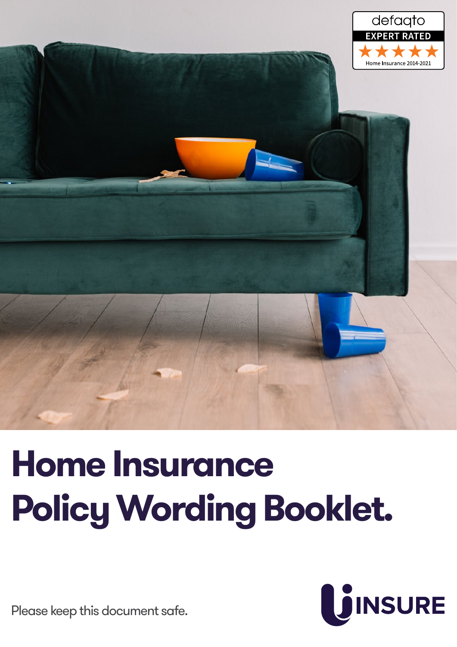

# **Home Insurance Policy Wording Booklet.**



Please keep this document safe.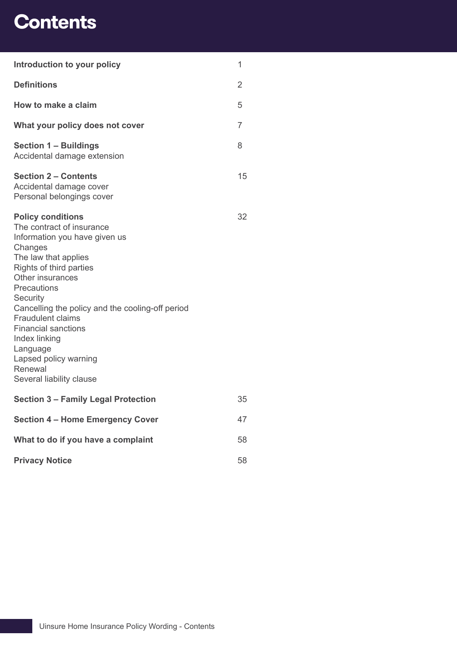## **Contents**

| Introduction to your policy                                                                                                                                                                                                                                                                                                                                                                                           | 1              |
|-----------------------------------------------------------------------------------------------------------------------------------------------------------------------------------------------------------------------------------------------------------------------------------------------------------------------------------------------------------------------------------------------------------------------|----------------|
| <b>Definitions</b>                                                                                                                                                                                                                                                                                                                                                                                                    | $\overline{2}$ |
| How to make a claim                                                                                                                                                                                                                                                                                                                                                                                                   | 5              |
| What your policy does not cover                                                                                                                                                                                                                                                                                                                                                                                       | 7              |
| <b>Section 1 - Buildings</b><br>Accidental damage extension                                                                                                                                                                                                                                                                                                                                                           | 8              |
| <b>Section 2 – Contents</b><br>Accidental damage cover<br>Personal belongings cover                                                                                                                                                                                                                                                                                                                                   | 15             |
| <b>Policy conditions</b><br>The contract of insurance<br>Information you have given us<br>Changes<br>The law that applies<br>Rights of third parties<br><b>Other insurances</b><br>Precautions<br>Security<br>Cancelling the policy and the cooling-off period<br><b>Fraudulent claims</b><br><b>Financial sanctions</b><br>Index linking<br>Language<br>Lapsed policy warning<br>Renewal<br>Several liability clause | 32             |
| <b>Section 3 - Family Legal Protection</b>                                                                                                                                                                                                                                                                                                                                                                            | 35             |
| <b>Section 4 - Home Emergency Cover</b>                                                                                                                                                                                                                                                                                                                                                                               | 47             |
| What to do if you have a complaint                                                                                                                                                                                                                                                                                                                                                                                    | 58             |
| <b>Privacy Notice</b>                                                                                                                                                                                                                                                                                                                                                                                                 | 58             |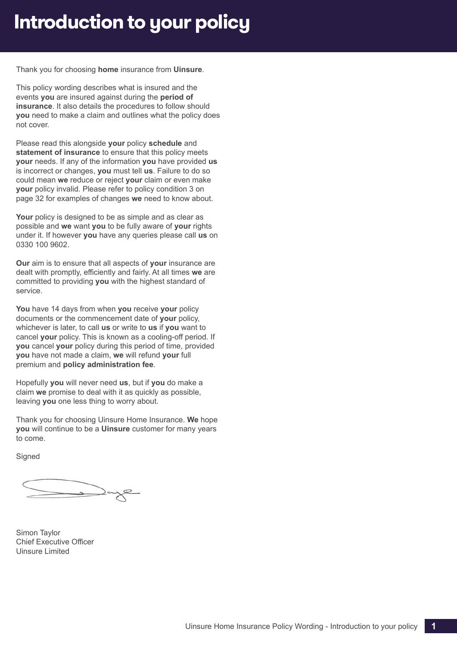## <span id="page-2-0"></span>**Introduction to your policy**

Thank you for choosing **home** insurance from **Uinsure**.

This policy wording describes what is insured and the events **you** are insured against during the **period of insurance**. It also details the procedures to follow should **you** need to make a claim and outlines what the policy does not cover.

Please read this alongside **your** policy **schedule** and **statement of insurance** to ensure that this policy meets **your** needs. If any of the information **you** have provided **us** is incorrect or changes, **you** must tell **us**. Failure to do so could mean **we** reduce or reject **your** claim or even make **your** policy invalid. Please refer to policy condition 3 on page [32](#page-33-0) for examples of changes **we** need to know about.

**Your** policy is designed to be as simple and as clear as possible and **we** want **you** to be fully aware of **your** rights under it. If however **you** have any queries please call **us** on 0330 100 9602.

**Our** aim is to ensure that all aspects of **your** insurance are dealt with promptly, efficiently and fairly. At all times **we** are committed to providing **you** with the highest standard of service.

**You** have 14 days from when **you** receive **your** policy documents or the commencement date of **your** policy, whichever is later, to call **us** or write to **us** if **you** want to cancel **your** policy. This is known as a cooling-off period. If **you** cancel **your** policy during this period of time, provided **you** have not made a claim, **we** will refund **your** full premium and **policy administration fee**.

Hopefully **you** will never need **us**, but if **you** do make a claim **we** promise to deal with it as quickly as possible, leaving **you** one less thing to worry about.

Thank you for choosing Uinsure Home Insurance. **We** hope **you** will continue to be a **Uinsure** customer for many years to come.

**Signed** 

Simon Taylor Chief Executive Officer Uinsure Limited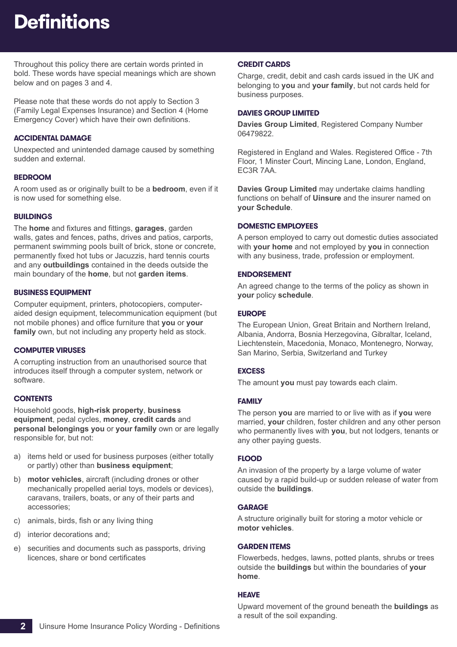## <span id="page-3-0"></span>**Definitions**

Throughout this policy there are certain words printed in bold. These words have special meanings which are shown below and on pages 3 and 4.

Please note that these words do not apply to Section 3 (Family Legal Expenses Insurance) and Section 4 (Home Emergency Cover) which have their own definitions.

## **ACCIDENTAL DAMAGE**

Unexpected and unintended damage caused by something sudden and external.

## **BEDROOM**

A room used as or originally built to be a **bedroom**, even if it is now used for something else.

## **BUILDINGS**

The **home** and fixtures and fittings, **garages**, garden walls, gates and fences, paths, drives and patios, carports, permanent swimming pools built of brick, stone or concrete, permanently fixed hot tubs or Jacuzzis, hard tennis courts and any **outbuildings** contained in the deeds outside the main boundary of the **home**, but not **garden items**.

## **BUSINESS EQUIPMENT**

Computer equipment, printers, photocopiers, computeraided design equipment, telecommunication equipment (but not mobile phones) and office furniture that **you** or **your family** own, but not including any property held as stock.

## **COMPUTER VIRUSES**

A corrupting instruction from an unauthorised source that introduces itself through a computer system, network or software.

## **CONTENTS**

Household goods, **high-risk property**, **business equipment**, pedal cycles, **money**, **credit cards** and **personal belongings you** or **your family** own or are legally responsible for, but not:

- a) items held or used for business purposes (either totally or partly) other than **business equipment**;
- b) **motor vehicles**, aircraft (including drones or other mechanically propelled aerial toys, models or devices), caravans, trailers, boats, or any of their parts and accessories;
- c) animals, birds, fish or any living thing
- d) interior decorations and;
- e) securities and documents such as passports, driving licences, share or bond certificates

## **CREDIT CARDS**

Charge, credit, debit and cash cards issued in the UK and belonging to **you** and **your family**, but not cards held for business purposes.

## **DAVIES GROUP LIMITED**

**Davies Group Limited**, Registered Company Number 06479822.

Registered in England and Wales. Registered Office - 7th Floor, 1 Minster Court, Mincing Lane, London, England, EC3R 7AA.

**Davies Group Limited** may undertake claims handling functions on behalf of **Uinsure** and the insurer named on **your Schedule**.

### **DOMESTIC EMPLOYEES**

A person employed to carry out domestic duties associated with **your home** and not employed by **you** in connection with any business, trade, profession or employment.

## **ENDORSEMENT**

An agreed change to the terms of the policy as shown in **your** policy **schedule**.

## **EUROPE**

The European Union, Great Britain and Northern Ireland, Albania, Andorra, Bosnia Herzegovina, Gibraltar, Iceland, Liechtenstein, Macedonia, Monaco, Montenegro, Norway, San Marino, Serbia, Switzerland and Turkey

## **EXCESS**

The amount **you** must pay towards each claim.

## **FAMILY**

The person **you** are married to or live with as if **you** were married, **your** children, foster children and any other person who permanently lives with **you**, but not lodgers, tenants or any other paying guests.

## **FLOOD**

An invasion of the property by a large volume of water caused by a rapid build-up or sudden release of water from outside the **buildings**.

## **GARAGE**

A structure originally built for storing a motor vehicle or **motor vehicles**.

## **GARDEN ITEMS**

Flowerbeds, hedges, lawns, potted plants, shrubs or trees outside the **buildings** but within the boundaries of **your home**.

## **HEAVE**

Upward movement of the ground beneath the **buildings** as a result of the soil expanding.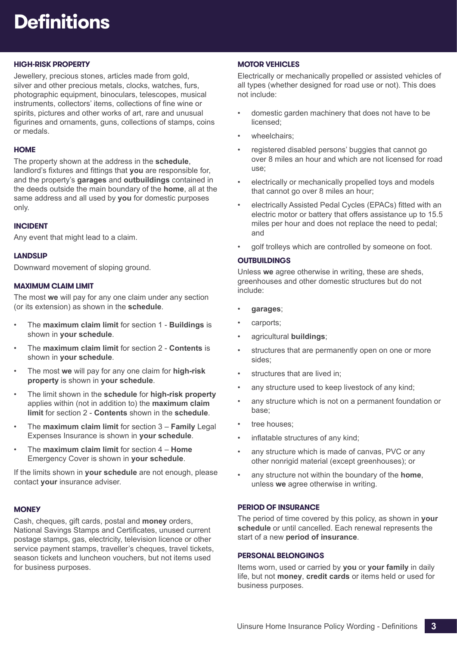## **Definitions**

## **HIGH-RISK PROPERTY**

Jewellery, precious stones, articles made from gold, silver and other precious metals, clocks, watches, furs, photographic equipment, binoculars, telescopes, musical instruments, collectors' items, collections of fine wine or spirits, pictures and other works of art, rare and unusual figurines and ornaments, guns, collections of stamps, coins or medals.

## **HOME**

The property shown at the address in the **schedule**, landlord's fixtures and fittings that **you** are responsible for, and the property's **garages** and **outbuildings** contained in the deeds outside the main boundary of the **home**, all at the same address and all used by **you** for domestic purposes only.

## **INCIDENT**

Any event that might lead to a claim.

## **LANDSLIP**

Downward movement of sloping ground.

## **MAXIMUM CLAIM LIMIT**

The most **we** will pay for any one claim under any section (or its extension) as shown in the **schedule**.

- The **maximum claim limit** for section 1 **Buildings** is shown in **your schedule**.
- The **maximum claim limit** for section 2 **Contents** is shown in **your schedule**.
- The most **we** will pay for any one claim for **high-risk property** is shown in **your schedule**.
- The limit shown in the **schedule** for **high-risk property** applies within (not in addition to) the **maximum claim limit** for section 2 - **Contents** shown in the **schedule**.
- The **maximum claim limit** for section 3 **Family** Legal Expenses Insurance is shown in **your schedule**.
- The **maximum claim limit** for section 4 **Home** Emergency Cover is shown in **your schedule**.

If the limits shown in **your schedule** are not enough, please contact **your** insurance adviser.

## **MONEY**

Cash, cheques, gift cards, postal and **money** orders, National Savings Stamps and Certificates, unused current postage stamps, gas, electricity, television licence or other service payment stamps, traveller's cheques, travel tickets, season tickets and luncheon vouchers, but not items used for business purposes.

## **MOTOR VEHICLES**

Electrically or mechanically propelled or assisted vehicles of all types (whether designed for road use or not). This does not include:

- domestic garden machinery that does not have to be licensed;
- wheelchairs:
- registered disabled persons' buggies that cannot go over 8 miles an hour and which are not licensed for road use;
- electrically or mechanically propelled toys and models that cannot go over 8 miles an hour;
- electrically Assisted Pedal Cycles (EPACs) fitted with an electric motor or battery that offers assistance up to 15.5 miles per hour and does not replace the need to pedal; and
- golf trolleys which are controlled by someone on foot.

## **OUTBUILDINGS**

Unless **we** agree otherwise in writing, these are sheds, greenhouses and other domestic structures but do not include:

- **garages**;
- carports;
- agricultural **buildings**;
- structures that are permanently open on one or more sides;
- structures that are lived in;
- any structure used to keep livestock of any kind;
- any structure which is not on a permanent foundation or base;
- tree houses;
- inflatable structures of any kind;
- any structure which is made of canvas, PVC or any other nonrigid material (except greenhouses); or
- any structure not within the boundary of the **home**, unless **we** agree otherwise in writing.

## **PERIOD OF INSURANCE**

The period of time covered by this policy, as shown in **your schedule** or until cancelled. Each renewal represents the start of a new **period of insurance**.

## **PERSONAL BELONGINGS**

Items worn, used or carried by **you** or **your family** in daily life, but not **money**, **credit cards** or items held or used for business purposes.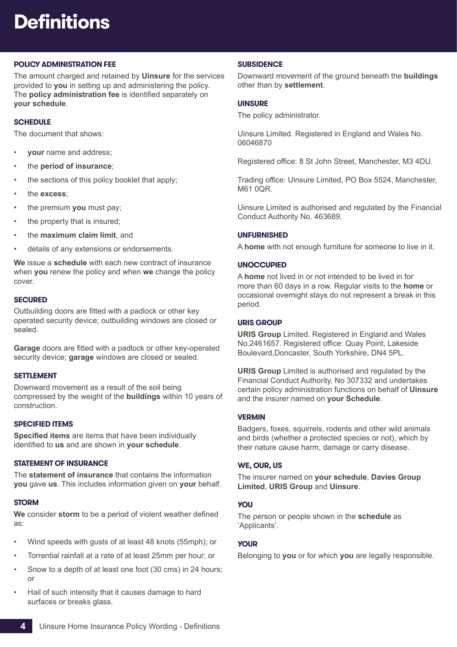## **Definitions**

## **POLICY ADMINISTRATION FEE**

The amount charged and retained by **Uinsure** for the services provided to **you** in setting up and administering the policy. The **policy administration fee** is identified separately on **your schedule**.

## **SCHEDULE**

The document that shows:

- **your** name and address;
- the **period of insurance**;
- the sections of this policy booklet that apply;
- the **excess**;
- the premium **you** must pay;
- the property that is insured;
- the **maximum claim limit**, and
- details of any extensions or endorsements.

**We** issue a **schedule** with each new contract of insurance when **you** renew the policy and when **we** change the policy cover.

#### **SECURED**

Outbuilding doors are fitted with a padlock or other key operated security device; outbuilding windows are closed or sealed.

**Garage** doors are fitted with a padlock or other key-operated security device; **garage** windows are closed or sealed.

#### **SETTLEMENT**

Downward movement as a result of the soil being compressed by the weight of the **buildings** within 10 years of construction.

## **SPECIFIED ITEMS**

**Specified items** are items that have been individually identified to **us** and are shown in **your schedule**.

#### **STATEMENT OF INSURANCE**

The **statement of insurance** that contains the information **you** gave **us**. This includes information given on **your** behalf.

### **STORM**

**We** consider **storm** to be a period of violent weather defined as:

- Wind speeds with gusts of at least 48 knots (55mph); or
- Torrential rainfall at a rate of at least 25mm per hour; or
- Snow to a depth of at least one foot (30 cms) in 24 hours; or
- Hail of such intensity that it causes damage to hard surfaces or breaks glass.

### **SUBSIDENCE**

Downward movement of the ground beneath the **buildings** other than by **settlement**.

#### **UINSURE**

The policy administrator.

Uinsure Limited. Registered in England and Wales No. 06046870

Registered office: 8 St John Street, Manchester, M3 4DU.

Trading office: Uinsure Limited, PO Box 5524, Manchester, M61 0QR.

Uinsure Limited is authorised and regulated by the Financial Conduct Authority No. 463689.

### **UNFURNISHED**

A **home** with not enough furniture for someone to live in it.

### **UNOCCUPIED**

A **home** not lived in or not intended to be lived in for more than 60 days in a row. Regular visits to the **home** or occasional overnight stays do not represent a break in this period.

### **URIS GROUP**

**URIS Group** Limited. Registered in England and Wales No.2461657. Registered office: Quay Point, Lakeside Boulevard,Doncaster, South Yorkshire, DN4 5PL.

**URIS Group** Limited is authorised and regulated by the Financial Conduct Authority. No 307332 and undertakes certain policy administration functions on behalf of **Uinsure** and the insurer named on **your Schedule**.

### **VERMIN**

Badgers, foxes, squirrels, rodents and other wild animals and birds (whether a protected species or not), which by their nature cause harm, damage or carry disease.

#### **WE, OUR, US**

The insurer named on **your schedule**, **Davies Group Limited**, **URIS Group** and **Uinsure**.

#### **YOU**

The person or people shown in the **schedule** as 'Applicants'.

## **YOUR**

Belonging to **you** or for which **you** are legally responsible.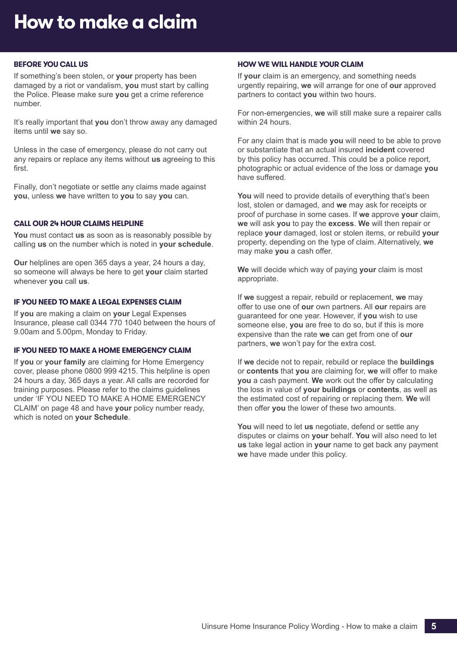## <span id="page-6-0"></span>**BEFORE YOU CALL US**

If something's been stolen, or **your** property has been damaged by a riot or vandalism, **you** must start by calling the Police. Please make sure **you** get a crime reference number.

It's really important that **you** don't throw away any damaged items until **we** say so.

Unless in the case of emergency, please do not carry out any repairs or replace any items without **us** agreeing to this first.

Finally, don't negotiate or settle any claims made against **you**, unless **we** have written to **you** to say **you** can.

## **CALL OUR 24 HOUR CLAIMS HELPLINE**

**You** must contact **us** as soon as is reasonably possible by calling **us** on the number which is noted in **your schedule**.

**Our** helplines are open 365 days a year, 24 hours a day, so someone will always be here to get **your** claim started whenever **you** call **us**.

## **IF YOU NEED TO MAKE A LEGAL EXPENSES CLAIM**

If **you** are making a claim on **your** Legal Expenses Insurance, please call 0344 770 1040 between the hours of 9.00am and 5.00pm, Monday to Friday.

#### **IF YOU NEED TO MAKE A HOME EMERGENCY CLAIM**

If **you** or **your family** are claiming for Home Emergency cover, please phone 0800 999 4215. This helpline is open 24 hours a day, 365 days a year. All calls are recorded for training purposes. Please refer to the claims guidelines under 'IF YOU NEED TO MAKE A HOME EMERGENCY CLAIM' on page 48 and have **your** policy number ready, which is noted on **your Schedule**.

#### **HOW WE WILL HANDLE YOUR CLAIM**

If **your** claim is an emergency, and something needs urgently repairing, **we** will arrange for one of **our** approved partners to contact **you** within two hours.

For non-emergencies, **we** will still make sure a repairer calls within 24 hours.

For any claim that is made **you** will need to be able to prove or substantiate that an actual insured **incident** covered by this policy has occurred. This could be a police report, photographic or actual evidence of the loss or damage **you** have suffered.

**You** will need to provide details of everything that's been lost, stolen or damaged, and **we** may ask for receipts or proof of purchase in some cases. If **we** approve **your** claim, **we** will ask **you** to pay the **excess**. **We** will then repair or replace **your** damaged, lost or stolen items, or rebuild **your** property, depending on the type of claim. Alternatively, **we** may make **you** a cash offer.

**We** will decide which way of paying **your** claim is most appropriate.

If **we** suggest a repair, rebuild or replacement, **we** may offer to use one of **our** own partners. All **our** repairs are guaranteed for one year. However, if **you** wish to use someone else, **you** are free to do so, but if this is more expensive than the rate **we** can get from one of **our** partners, **we** won't pay for the extra cost.

If **we** decide not to repair, rebuild or replace the **buildings** or **contents** that **you** are claiming for, **we** will offer to make **you** a cash payment. **We** work out the offer by calculating the loss in value of **your buildings** or **contents**, as well as the estimated cost of repairing or replacing them. **We** will then offer **you** the lower of these two amounts.

**You** will need to let **us** negotiate, defend or settle any disputes or claims on **your** behalf. **You** will also need to let **us** take legal action in **your** name to get back any payment **we** have made under this policy.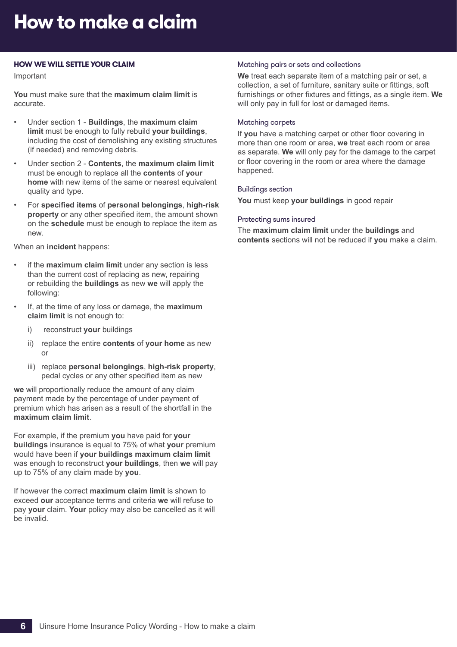## **How to make a claim**

### **HOW WE WILL SETTLE YOUR CLAIM**

Important

**You** must make sure that the **maximum claim limit** is accurate.

- Under section 1 **Buildings**, the **maximum claim limit** must be enough to fully rebuild **your buildings**, including the cost of demolishing any existing structures (if needed) and removing debris.
- Under section 2 **Contents**, the **maximum claim limit** must be enough to replace all the **contents** of **your home** with new items of the same or nearest equivalent quality and type.
- For **specified items** of **personal belongings**, **high-risk property** or any other specified item, the amount shown on the **schedule** must be enough to replace the item as new.

When an **incident** happens:

- if the **maximum claim limit** under any section is less than the current cost of replacing as new, repairing or rebuilding the **buildings** as new **we** will apply the following:
- If, at the time of any loss or damage, the **maximum claim limit** is not enough to:
	- i) reconstruct **your** buildings
	- ii) replace the entire **contents** of **your home** as new or
	- iii) replace **personal belongings**, **high-risk property**, pedal cycles or any other specified item as new

**we** will proportionally reduce the amount of any claim payment made by the percentage of under payment of premium which has arisen as a result of the shortfall in the **maximum claim limit**.

For example, if the premium **you** have paid for **your buildings** insurance is equal to 75% of what **your** premium would have been if **your buildings maximum claim limit** was enough to reconstruct **your buildings**, then **we** will pay up to 75% of any claim made by **you**.

If however the correct **maximum claim limit** is shown to exceed **our** acceptance terms and criteria **we** will refuse to pay **your** claim. **Your** policy may also be cancelled as it will be invalid.

#### Matching pairs or sets and collections

**We** treat each separate item of a matching pair or set, a collection, a set of furniture, sanitary suite or fittings, soft furnishings or other fixtures and fittings, as a single item. **We** will only pay in full for lost or damaged items.

#### Matching carpets

If **you** have a matching carpet or other floor covering in more than one room or area, **we** treat each room or area as separate. **We** will only pay for the damage to the carpet or floor covering in the room or area where the damage happened.

### Buildings section

**You** must keep **your buildings** in good repair

#### Protecting sums insured

The **maximum claim limit** under the **buildings** and **contents** sections will not be reduced if **you** make a claim.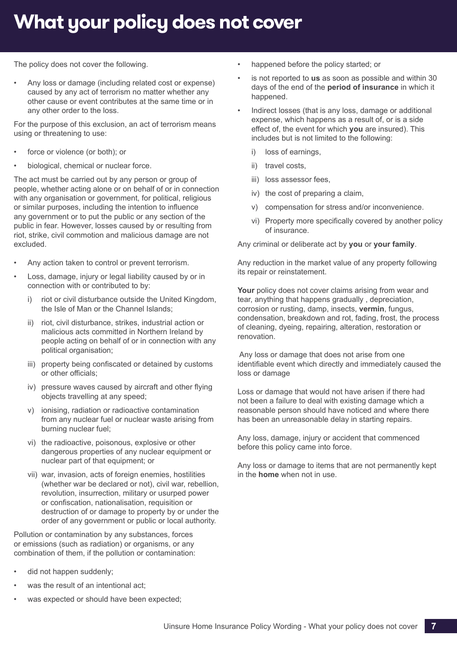## **What your policy does not cover**

The policy does not cover the following.

• Any loss or damage (including related cost or expense) caused by any act of terrorism no matter whether any other cause or event contributes at the same time or in any other order to the loss.

For the purpose of this exclusion, an act of terrorism means using or threatening to use:

- force or violence (or both); or
- biological, chemical or nuclear force.

The act must be carried out by any person or group of people, whether acting alone or on behalf of or in connection with any organisation or government, for political, religious or similar purposes, including the intention to influence any government or to put the public or any section of the public in fear. However, losses caused by or resulting from riot, strike, civil commotion and malicious damage are not excluded.

- Any action taken to control or prevent terrorism.
- Loss, damage, injury or legal liability caused by or in connection with or contributed to by:
	- riot or civil disturbance outside the United Kingdom, the Isle of Man or the Channel Islands;
	- ii) riot, civil disturbance, strikes, industrial action or malicious acts committed in Northern Ireland by people acting on behalf of or in connection with any political organisation;
	- iii) property being confiscated or detained by customs or other officials;
	- iv) pressure waves caused by aircraft and other flying objects travelling at any speed;
	- v) ionising, radiation or radioactive contamination from any nuclear fuel or nuclear waste arising from burning nuclear fuel;
	- vi) the radioactive, poisonous, explosive or other dangerous properties of any nuclear equipment or nuclear part of that equipment; or
	- vii) war, invasion, acts of foreign enemies, hostilities (whether war be declared or not), civil war, rebellion, revolution, insurrection, military or usurped power or confiscation, nationalisation, requisition or destruction of or damage to property by or under the order of any government or public or local authority.

Pollution or contamination by any substances, forces or emissions (such as radiation) or organisms, or any combination of them, if the pollution or contamination:

- did not happen suddenly;
- was the result of an intentional act:
- was expected or should have been expected;
- happened before the policy started; or
- is not reported to **us** as soon as possible and within 30 days of the end of the **period of insurance** in which it happened.
- Indirect losses (that is any loss, damage or additional expense, which happens as a result of, or is a side effect of, the event for which **you** are insured). This includes but is not limited to the following:
	- i) loss of earnings,
	- ii) travel costs,
	- iii) loss assessor fees,
	- iv) the cost of preparing a claim,
	- v) compensation for stress and/or inconvenience.
	- vi) Property more specifically covered by another policy of insurance.

Any criminal or deliberate act by **you** or **your family**.

Any reduction in the market value of any property following its repair or reinstatement.

**Your** policy does not cover claims arising from wear and tear, anything that happens gradually , depreciation, corrosion or rusting, damp, insects, **vermin**, fungus, condensation, breakdown and rot, fading, frost, the process of cleaning, dyeing, repairing, alteration, restoration or renovation.

 Any loss or damage that does not arise from one identifiable event which directly and immediately caused the loss or damage

Loss or damage that would not have arisen if there had not been a failure to deal with existing damage which a reasonable person should have noticed and where there has been an unreasonable delay in starting repairs.

Any loss, damage, injury or accident that commenced before this policy came into force.

Any loss or damage to items that are not permanently kept in the **home** when not in use.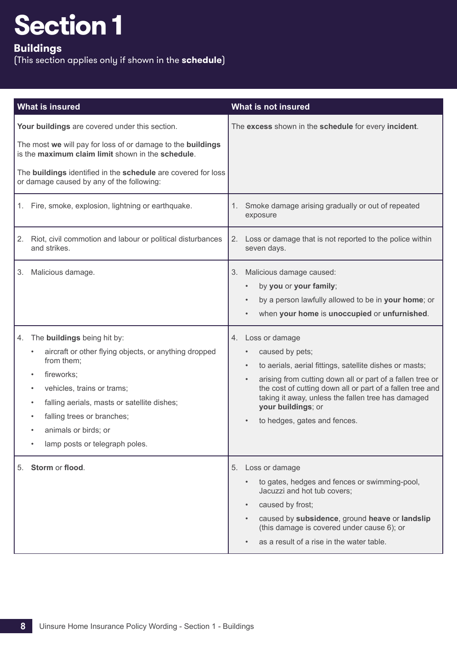## <span id="page-9-0"></span>**Buildings**

| What is insured                                                                                                                                                                                                                                                                                                                                        | What is not insured                                                                                                                                                                                                                                                                                                                                                                          |
|--------------------------------------------------------------------------------------------------------------------------------------------------------------------------------------------------------------------------------------------------------------------------------------------------------------------------------------------------------|----------------------------------------------------------------------------------------------------------------------------------------------------------------------------------------------------------------------------------------------------------------------------------------------------------------------------------------------------------------------------------------------|
| Your buildings are covered under this section.<br>The most we will pay for loss of or damage to the buildings<br>is the maximum claim limit shown in the schedule.<br>The <b>buildings</b> identified in the schedule are covered for loss<br>or damage caused by any of the following:                                                                | The excess shown in the schedule for every incident.                                                                                                                                                                                                                                                                                                                                         |
| 1. Fire, smoke, explosion, lightning or earthquake.                                                                                                                                                                                                                                                                                                    | 1. Smoke damage arising gradually or out of repeated<br>exposure                                                                                                                                                                                                                                                                                                                             |
| Riot, civil commotion and labour or political disturbances<br>2.<br>and strikes.                                                                                                                                                                                                                                                                       | 2.<br>Loss or damage that is not reported to the police within<br>seven days.                                                                                                                                                                                                                                                                                                                |
| Malicious damage.<br>3.                                                                                                                                                                                                                                                                                                                                | Malicious damage caused:<br>3.<br>by you or your family;<br>$\bullet$<br>by a person lawfully allowed to be in your home; or<br>$\bullet$<br>when your home is unoccupied or unfurnished.                                                                                                                                                                                                    |
| The <b>buildings</b> being hit by:<br>4.<br>aircraft or other flying objects, or anything dropped<br>from them;<br>fireworks;<br>$\bullet$<br>vehicles, trains or trams;<br>$\bullet$<br>falling aerials, masts or satellite dishes;<br>$\bullet$<br>falling trees or branches;<br>$\bullet$<br>animals or birds; or<br>lamp posts or telegraph poles. | Loss or damage<br>4.<br>caused by pets;<br>$\bullet$<br>to aerials, aerial fittings, satellite dishes or masts;<br>$\bullet$<br>arising from cutting down all or part of a fallen tree or<br>$\bullet$<br>the cost of cutting down all or part of a fallen tree and<br>taking it away, unless the fallen tree has damaged<br>your buildings; or<br>to hedges, gates and fences.<br>$\bullet$ |
| 5. Storm or flood.                                                                                                                                                                                                                                                                                                                                     | 5. Loss or damage<br>to gates, hedges and fences or swimming-pool,<br>$\bullet$<br>Jacuzzi and hot tub covers;<br>caused by frost;<br>$\bullet$<br>caused by subsidence, ground heave or landslip<br>$\bullet$<br>(this damage is covered under cause 6); or<br>as a result of a rise in the water table.                                                                                    |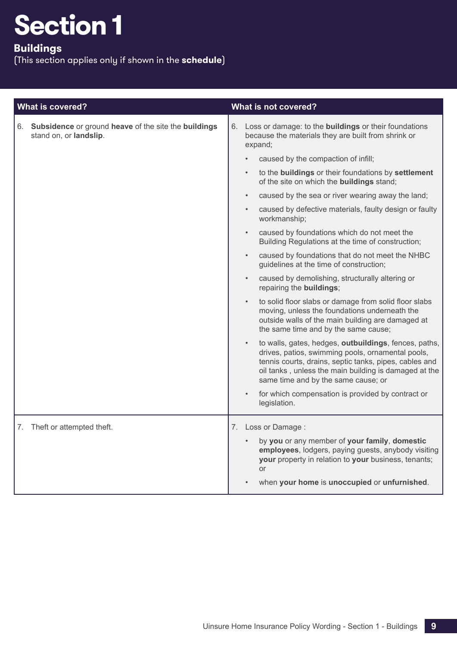## **Buildings**

| <b>What is covered?</b>                                                           | What is not covered?                                                                                                                                                                                                                                                              |
|-----------------------------------------------------------------------------------|-----------------------------------------------------------------------------------------------------------------------------------------------------------------------------------------------------------------------------------------------------------------------------------|
| 6. Subsidence or ground heave of the site the buildings<br>stand on, or landslip. | 6. Loss or damage: to the <b>buildings</b> or their foundations<br>because the materials they are built from shrink or<br>expand;                                                                                                                                                 |
|                                                                                   | caused by the compaction of infill;<br>$\bullet$                                                                                                                                                                                                                                  |
|                                                                                   | to the buildings or their foundations by settlement<br>$\bullet$<br>of the site on which the <b>buildings</b> stand;                                                                                                                                                              |
|                                                                                   | caused by the sea or river wearing away the land;<br>$\bullet$                                                                                                                                                                                                                    |
|                                                                                   | caused by defective materials, faulty design or faulty<br>workmanship;                                                                                                                                                                                                            |
|                                                                                   | caused by foundations which do not meet the<br>$\bullet$<br>Building Regulations at the time of construction;                                                                                                                                                                     |
|                                                                                   | caused by foundations that do not meet the NHBC<br>$\bullet$<br>guidelines at the time of construction;                                                                                                                                                                           |
|                                                                                   | caused by demolishing, structurally altering or<br>repairing the buildings;                                                                                                                                                                                                       |
|                                                                                   | to solid floor slabs or damage from solid floor slabs<br>$\bullet$<br>moving, unless the foundations underneath the<br>outside walls of the main building are damaged at<br>the same time and by the same cause;                                                                  |
|                                                                                   | to walls, gates, hedges, outbuildings, fences, paths,<br>$\bullet$<br>drives, patios, swimming pools, ornamental pools,<br>tennis courts, drains, septic tanks, pipes, cables and<br>oil tanks, unless the main building is damaged at the<br>same time and by the same cause; or |
|                                                                                   | for which compensation is provided by contract or<br>$\bullet$<br>legislation.                                                                                                                                                                                                    |
| 7. Theft or attempted theft.                                                      | 7. Loss or Damage:<br>by you or any member of your family, domestic<br>employees, lodgers, paying guests, anybody visiting<br>your property in relation to your business, tenants;<br><b>or</b><br>when your home is unoccupied or unfurnished.                                   |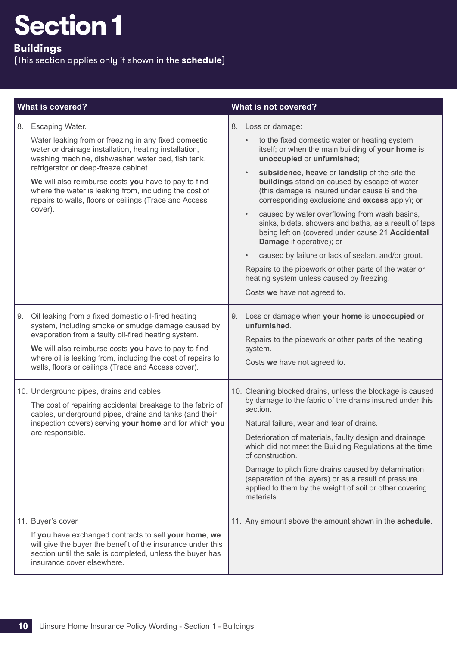## **Buildings**

|    | <b>What is covered?</b>                                                                                                                                                                                                                                                                                                                                                                                                      |                        | What is not covered?                                                                                                                                                                                                                                                                                                                                                                                                                                                                                                                                                                                                                                                                                                                              |
|----|------------------------------------------------------------------------------------------------------------------------------------------------------------------------------------------------------------------------------------------------------------------------------------------------------------------------------------------------------------------------------------------------------------------------------|------------------------|---------------------------------------------------------------------------------------------------------------------------------------------------------------------------------------------------------------------------------------------------------------------------------------------------------------------------------------------------------------------------------------------------------------------------------------------------------------------------------------------------------------------------------------------------------------------------------------------------------------------------------------------------------------------------------------------------------------------------------------------------|
| 8. | <b>Escaping Water.</b><br>Water leaking from or freezing in any fixed domestic<br>water or drainage installation, heating installation,<br>washing machine, dishwasher, water bed, fish tank,<br>refrigerator or deep-freeze cabinet.<br>We will also reimburse costs you have to pay to find<br>where the water is leaking from, including the cost of<br>repairs to walls, floors or ceilings (Trace and Access<br>cover). | $\bullet$<br>$\bullet$ | 8. Loss or damage:<br>to the fixed domestic water or heating system<br>itself; or when the main building of your home is<br>unoccupied or unfurnished;<br>subsidence, heave or landslip of the site the<br>buildings stand on caused by escape of water<br>(this damage is insured under cause 6 and the<br>corresponding exclusions and excess apply); or<br>caused by water overflowing from wash basins,<br>sinks, bidets, showers and baths, as a result of taps<br>being left on (covered under cause 21 Accidental<br>Damage if operative); or<br>caused by failure or lack of sealant and/or grout.<br>Repairs to the pipework or other parts of the water or<br>heating system unless caused by freezing.<br>Costs we have not agreed to. |
| 9. | Oil leaking from a fixed domestic oil-fired heating<br>system, including smoke or smudge damage caused by<br>evaporation from a faulty oil-fired heating system.<br>We will also reimburse costs you have to pay to find<br>where oil is leaking from, including the cost of repairs to<br>walls, floors or ceilings (Trace and Access cover).                                                                               | 9.<br>system.          | Loss or damage when your home is unoccupied or<br>unfurnished.<br>Repairs to the pipework or other parts of the heating<br>Costs we have not agreed to.                                                                                                                                                                                                                                                                                                                                                                                                                                                                                                                                                                                           |
|    | 10. Underground pipes, drains and cables<br>The cost of repairing accidental breakage to the fabric of<br>cables, underground pipes, drains and tanks (and their<br>inspection covers) serving your home and for which you<br>are responsible.                                                                                                                                                                               | section.               | 10. Cleaning blocked drains, unless the blockage is caused<br>by damage to the fabric of the drains insured under this<br>Natural failure, wear and tear of drains.<br>Deterioration of materials, faulty design and drainage<br>which did not meet the Building Regulations at the time<br>of construction.<br>Damage to pitch fibre drains caused by delamination<br>(separation of the layers) or as a result of pressure<br>applied to them by the weight of soil or other covering<br>materials.                                                                                                                                                                                                                                             |
|    | 11. Buyer's cover<br>If you have exchanged contracts to sell your home, we<br>will give the buyer the benefit of the insurance under this<br>section until the sale is completed, unless the buyer has<br>insurance cover elsewhere.                                                                                                                                                                                         |                        | 11. Any amount above the amount shown in the schedule.                                                                                                                                                                                                                                                                                                                                                                                                                                                                                                                                                                                                                                                                                            |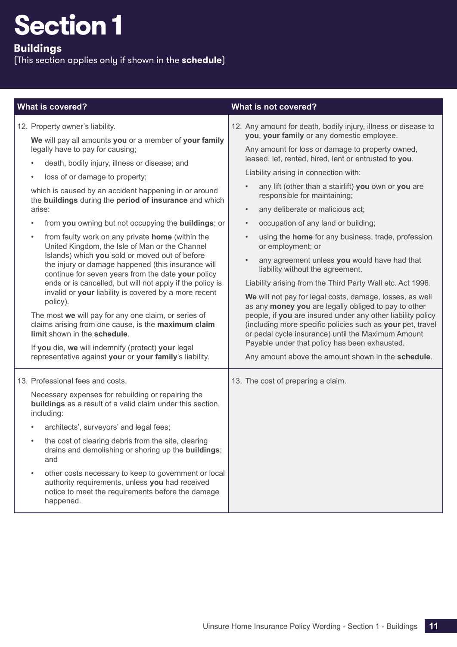**Buildings**

| <b>What is covered?</b>                                                                                                                                                                                                                                                                                                                                                                                                                                                                                                                                                                                                                                                                                                                                                                                                                                                                                                                                                                                                                                                                              | What is not covered?                                                                                                                                                                                                                                                                                                                                                                                                                                                                                                                                                                                                                                                                                                                                                                                                                                                                                                                                                                                                                                                                                                                                     |
|------------------------------------------------------------------------------------------------------------------------------------------------------------------------------------------------------------------------------------------------------------------------------------------------------------------------------------------------------------------------------------------------------------------------------------------------------------------------------------------------------------------------------------------------------------------------------------------------------------------------------------------------------------------------------------------------------------------------------------------------------------------------------------------------------------------------------------------------------------------------------------------------------------------------------------------------------------------------------------------------------------------------------------------------------------------------------------------------------|----------------------------------------------------------------------------------------------------------------------------------------------------------------------------------------------------------------------------------------------------------------------------------------------------------------------------------------------------------------------------------------------------------------------------------------------------------------------------------------------------------------------------------------------------------------------------------------------------------------------------------------------------------------------------------------------------------------------------------------------------------------------------------------------------------------------------------------------------------------------------------------------------------------------------------------------------------------------------------------------------------------------------------------------------------------------------------------------------------------------------------------------------------|
| 12. Property owner's liability.<br>We will pay all amounts you or a member of your family<br>legally have to pay for causing;<br>death, bodily injury, illness or disease; and<br>loss of or damage to property;<br>$\bullet$<br>which is caused by an accident happening in or around<br>the buildings during the period of insurance and which<br>arise:<br>from you owning but not occupying the buildings; or<br>from faulty work on any private home (within the<br>$\bullet$<br>United Kingdom, the Isle of Man or the Channel<br>Islands) which you sold or moved out of before<br>the injury or damage happened (this insurance will<br>continue for seven years from the date your policy<br>ends or is cancelled, but will not apply if the policy is<br>invalid or your liability is covered by a more recent<br>policy).<br>The most we will pay for any one claim, or series of<br>claims arising from one cause, is the maximum claim<br>limit shown in the schedule.<br>If you die, we will indemnify (protect) your legal<br>representative against your or your family's liability. | 12. Any amount for death, bodily injury, illness or disease to<br>you, your family or any domestic employee.<br>Any amount for loss or damage to property owned,<br>leased, let, rented, hired, lent or entrusted to you.<br>Liability arising in connection with:<br>any lift (other than a stairlift) you own or you are<br>$\bullet$<br>responsible for maintaining;<br>any deliberate or malicious act;<br>$\bullet$<br>occupation of any land or building;<br>$\bullet$<br>using the <b>home</b> for any business, trade, profession<br>$\bullet$<br>or employment; or<br>any agreement unless you would have had that<br>$\bullet$<br>liability without the agreement.<br>Liability arising from the Third Party Wall etc. Act 1996.<br>We will not pay for legal costs, damage, losses, as well<br>as any money you are legally obliged to pay to other<br>people, if you are insured under any other liability policy<br>(including more specific policies such as your pet, travel<br>or pedal cycle insurance) until the Maximum Amount<br>Payable under that policy has been exhausted.<br>Any amount above the amount shown in the schedule. |
| 13. Professional fees and costs.<br>Necessary expenses for rebuilding or repairing the<br>buildings as a result of a valid claim under this section,<br>including:<br>architects', surveyors' and legal fees;<br>the cost of clearing debris from the site, clearing<br>drains and demolishing or shoring up the <b>buildings</b> ;<br>and<br>other costs necessary to keep to government or local<br>$\bullet$<br>authority requirements, unless you had received<br>notice to meet the requirements before the damage<br>happened.                                                                                                                                                                                                                                                                                                                                                                                                                                                                                                                                                                 | 13. The cost of preparing a claim.                                                                                                                                                                                                                                                                                                                                                                                                                                                                                                                                                                                                                                                                                                                                                                                                                                                                                                                                                                                                                                                                                                                       |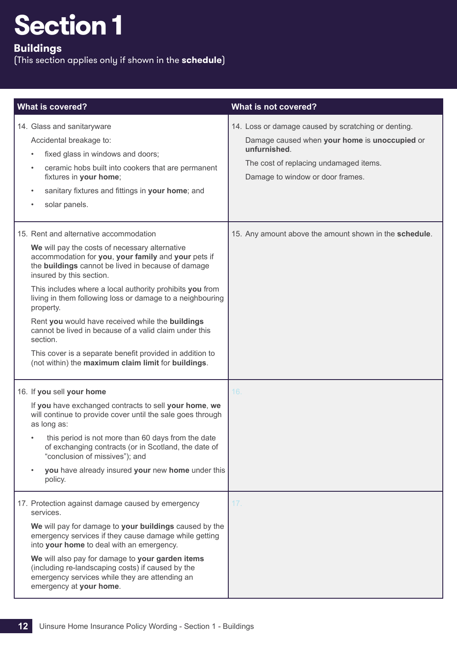## **Buildings**

| <b>What is covered?</b>                                                                                                                                                                                                                                                                                                                                                                                                                                                                                                                                                                                              | What is not covered?                                                                                                                                                                               |
|----------------------------------------------------------------------------------------------------------------------------------------------------------------------------------------------------------------------------------------------------------------------------------------------------------------------------------------------------------------------------------------------------------------------------------------------------------------------------------------------------------------------------------------------------------------------------------------------------------------------|----------------------------------------------------------------------------------------------------------------------------------------------------------------------------------------------------|
| 14. Glass and sanitaryware<br>Accidental breakage to:<br>fixed glass in windows and doors;<br>$\bullet$<br>ceramic hobs built into cookers that are permanent<br>$\bullet$<br>fixtures in your home;<br>sanitary fixtures and fittings in your home; and<br>$\bullet$<br>solar panels.<br>$\bullet$                                                                                                                                                                                                                                                                                                                  | 14. Loss or damage caused by scratching or denting.<br>Damage caused when your home is unoccupied or<br>unfurnished.<br>The cost of replacing undamaged items.<br>Damage to window or door frames. |
| 15. Rent and alternative accommodation<br>We will pay the costs of necessary alternative<br>accommodation for you, your family and your pets if<br>the buildings cannot be lived in because of damage<br>insured by this section.<br>This includes where a local authority prohibits you from<br>living in them following loss or damage to a neighbouring<br>property.<br>Rent you would have received while the buildings<br>cannot be lived in because of a valid claim under this<br>section.<br>This cover is a separate benefit provided in addition to<br>(not within) the maximum claim limit for buildings. | 15. Any amount above the amount shown in the schedule.                                                                                                                                             |
| 16. If you sell your home<br>If you have exchanged contracts to sell your home, we<br>will continue to provide cover until the sale goes through<br>as long as:<br>this period is not more than 60 days from the date<br>of exchanging contracts (or in Scotland, the date of<br>"conclusion of missives"); and<br>you have already insured your new home under this<br>policy.                                                                                                                                                                                                                                      | 16.                                                                                                                                                                                                |
| 17. Protection against damage caused by emergency<br>services.<br>We will pay for damage to your buildings caused by the<br>emergency services if they cause damage while getting<br>into your home to deal with an emergency.<br>We will also pay for damage to your garden items<br>(including re-landscaping costs) if caused by the<br>emergency services while they are attending an<br>emergency at your home.                                                                                                                                                                                                 | 17.                                                                                                                                                                                                |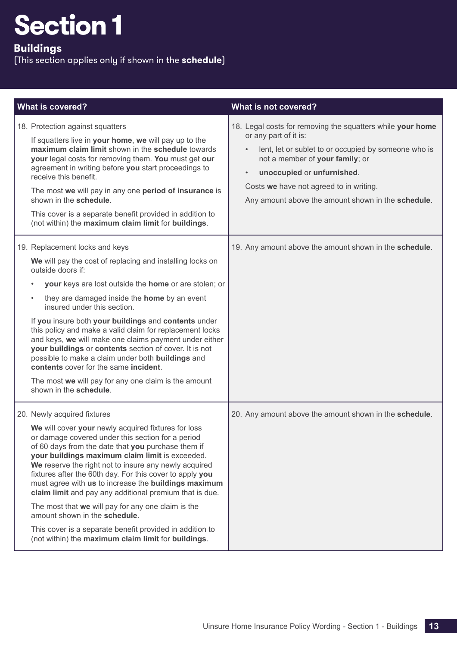## **Buildings**

| <b>What is covered?</b>                                                                                                                                                                                                                                                                                                                                                                                                                                                                                                                                                                                                                                                                              | What is not covered?                                                                                                                                                                                                                                                                                                                    |
|------------------------------------------------------------------------------------------------------------------------------------------------------------------------------------------------------------------------------------------------------------------------------------------------------------------------------------------------------------------------------------------------------------------------------------------------------------------------------------------------------------------------------------------------------------------------------------------------------------------------------------------------------------------------------------------------------|-----------------------------------------------------------------------------------------------------------------------------------------------------------------------------------------------------------------------------------------------------------------------------------------------------------------------------------------|
| 18. Protection against squatters<br>If squatters live in your home, we will pay up to the<br>maximum claim limit shown in the schedule towards<br>your legal costs for removing them. You must get our<br>agreement in writing before you start proceedings to<br>receive this benefit.<br>The most we will pay in any one period of insurance is<br>shown in the schedule.<br>This cover is a separate benefit provided in addition to<br>(not within) the maximum claim limit for buildings.                                                                                                                                                                                                       | 18. Legal costs for removing the squatters while your home<br>or any part of it is:<br>lent, let or sublet to or occupied by someone who is<br>$\bullet$<br>not a member of your family; or<br>unoccupied or unfurnished.<br>$\bullet$<br>Costs we have not agreed to in writing.<br>Any amount above the amount shown in the schedule. |
| 19. Replacement locks and keys<br>We will pay the cost of replacing and installing locks on<br>outside doors if:<br>your keys are lost outside the home or are stolen; or<br>they are damaged inside the <b>home</b> by an event<br>$\bullet$<br>insured under this section.<br>If you insure both your buildings and contents under<br>this policy and make a valid claim for replacement locks<br>and keys, we will make one claims payment under either<br>your buildings or contents section of cover. It is not<br>possible to make a claim under both buildings and<br>contents cover for the same incident.<br>The most we will pay for any one claim is the amount<br>shown in the schedule. | 19. Any amount above the amount shown in the schedule.                                                                                                                                                                                                                                                                                  |
| 20. Newly acquired fixtures<br>We will cover your newly acquired fixtures for loss<br>or damage covered under this section for a period<br>of 60 days from the date that you purchase them if<br>your buildings maximum claim limit is exceeded.<br>We reserve the right not to insure any newly acquired<br>fixtures after the 60th day. For this cover to apply you<br>must agree with us to increase the buildings maximum<br>claim limit and pay any additional premium that is due.<br>The most that we will pay for any one claim is the<br>amount shown in the schedule.<br>This cover is a separate benefit provided in addition to<br>(not within) the maximum claim limit for buildings.   | 20. Any amount above the amount shown in the schedule.                                                                                                                                                                                                                                                                                  |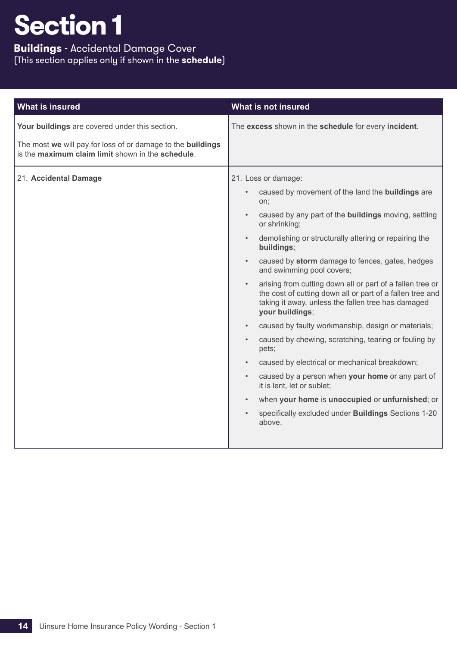## **Buildings** - Accidental Damage Cover (This section applies only if shown in the **schedule**)

| <b>What is insured</b>                                                                                                                                             | What is not insured                                                                                                                                                                                                                                                                                                                                                                                                                                                                                                                                                                                                                                                                                                                                                                                                                                                                                                                                                                                                                                   |
|--------------------------------------------------------------------------------------------------------------------------------------------------------------------|-------------------------------------------------------------------------------------------------------------------------------------------------------------------------------------------------------------------------------------------------------------------------------------------------------------------------------------------------------------------------------------------------------------------------------------------------------------------------------------------------------------------------------------------------------------------------------------------------------------------------------------------------------------------------------------------------------------------------------------------------------------------------------------------------------------------------------------------------------------------------------------------------------------------------------------------------------------------------------------------------------------------------------------------------------|
| Your buildings are covered under this section.<br>The most we will pay for loss of or damage to the buildings<br>is the maximum claim limit shown in the schedule. | The excess shown in the schedule for every incident.                                                                                                                                                                                                                                                                                                                                                                                                                                                                                                                                                                                                                                                                                                                                                                                                                                                                                                                                                                                                  |
| 21. Accidental Damage                                                                                                                                              | 21. Loss or damage:<br>caused by movement of the land the buildings are<br>$\bullet$<br>on;<br>caused by any part of the <b>buildings</b> moving, settling<br>$\bullet$<br>or shrinking;<br>demolishing or structurally altering or repairing the<br>$\bullet$<br>buildings;<br>caused by storm damage to fences, gates, hedges<br>$\bullet$<br>and swimming pool covers;<br>arising from cutting down all or part of a fallen tree or<br>$\bullet$<br>the cost of cutting down all or part of a fallen tree and<br>taking it away, unless the fallen tree has damaged<br>your buildings;<br>caused by faulty workmanship, design or materials;<br>$\bullet$<br>caused by chewing, scratching, tearing or fouling by<br>$\bullet$<br>pets;<br>caused by electrical or mechanical breakdown;<br>$\bullet$<br>caused by a person when your home or any part of<br>$\bullet$<br>it is lent, let or sublet;<br>when your home is unoccupied or unfurnished; or<br>$\bullet$<br>specifically excluded under Buildings Sections 1-20<br>$\bullet$<br>above. |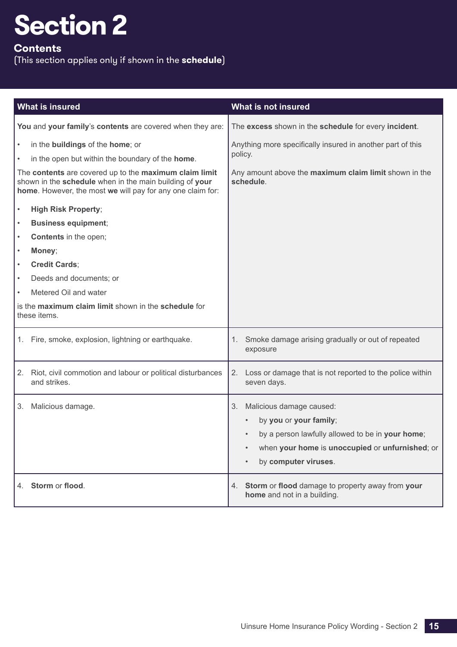## <span id="page-16-0"></span>**Contents**

| What is insured                                                                                                                                               | What is not insured                                                                                                            |
|---------------------------------------------------------------------------------------------------------------------------------------------------------------|--------------------------------------------------------------------------------------------------------------------------------|
| You and your family's contents are covered when they are:                                                                                                     | The excess shown in the schedule for every incident.                                                                           |
| in the <b>buildings</b> of the <b>home</b> ; or<br>in the open but within the boundary of the home.<br>The contents are covered up to the maximum claim limit | Anything more specifically insured in another part of this<br>policy.<br>Any amount above the maximum claim limit shown in the |
| shown in the schedule when in the main building of your<br>home. However, the most we will pay for any one claim for:                                         | schedule.                                                                                                                      |
| <b>High Risk Property;</b><br>$\bullet$                                                                                                                       |                                                                                                                                |
| <b>Business equipment;</b><br>$\bullet$                                                                                                                       |                                                                                                                                |
| <b>Contents</b> in the open;<br>$\bullet$                                                                                                                     |                                                                                                                                |
| Money;<br>$\bullet$                                                                                                                                           |                                                                                                                                |
| <b>Credit Cards;</b><br>$\bullet$                                                                                                                             |                                                                                                                                |
| Deeds and documents; or                                                                                                                                       |                                                                                                                                |
| Metered Oil and water                                                                                                                                         |                                                                                                                                |
| is the maximum claim limit shown in the schedule for<br>these items.                                                                                          |                                                                                                                                |
| Fire, smoke, explosion, lightning or earthquake.<br>1.                                                                                                        | Smoke damage arising gradually or out of repeated<br>1.<br>exposure                                                            |
| Riot, civil commotion and labour or political disturbances<br>2.<br>and strikes.                                                                              | 2.<br>Loss or damage that is not reported to the police within<br>seven days.                                                  |
| Malicious damage.<br>3.                                                                                                                                       | Malicious damage caused:<br>3.                                                                                                 |
|                                                                                                                                                               | by you or your family;                                                                                                         |
|                                                                                                                                                               | by a person lawfully allowed to be in your home;                                                                               |
|                                                                                                                                                               | when your home is unoccupied or unfurnished; or<br>$\bullet$                                                                   |
|                                                                                                                                                               | by computer viruses.<br>$\bullet$                                                                                              |
| 4. Storm or flood.                                                                                                                                            | Storm or flood damage to property away from your<br>4.<br>home and not in a building.                                          |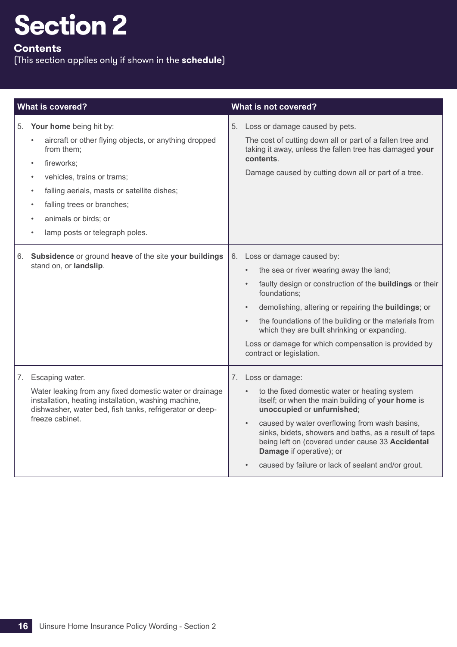## **Contents**

|    | <b>What is covered?</b>                                                                                                                                                                                                                                                                                                                               | What is not covered?                                                                                                                                                                                                                                                                                                                                                                                                                      |
|----|-------------------------------------------------------------------------------------------------------------------------------------------------------------------------------------------------------------------------------------------------------------------------------------------------------------------------------------------------------|-------------------------------------------------------------------------------------------------------------------------------------------------------------------------------------------------------------------------------------------------------------------------------------------------------------------------------------------------------------------------------------------------------------------------------------------|
|    | 5. Your home being hit by:<br>aircraft or other flying objects, or anything dropped<br>from them;<br>fireworks;<br>$\bullet$<br>vehicles, trains or trams;<br>$\bullet$<br>falling aerials, masts or satellite dishes;<br>$\bullet$<br>falling trees or branches;<br>$\bullet$<br>animals or birds; or<br>lamp posts or telegraph poles.<br>$\bullet$ | 5. Loss or damage caused by pets.<br>The cost of cutting down all or part of a fallen tree and<br>taking it away, unless the fallen tree has damaged your<br>contents.<br>Damage caused by cutting down all or part of a tree.                                                                                                                                                                                                            |
| 6. | Subsidence or ground heave of the site your buildings<br>stand on, or landslip.                                                                                                                                                                                                                                                                       | 6. Loss or damage caused by:<br>the sea or river wearing away the land;<br>faulty design or construction of the buildings or their<br>foundations;<br>demolishing, altering or repairing the <b>buildings</b> ; or<br>$\bullet$<br>the foundations of the building or the materials from<br>$\bullet$<br>which they are built shrinking or expanding.<br>Loss or damage for which compensation is provided by<br>contract or legislation. |
|    | 7. Escaping water.<br>Water leaking from any fixed domestic water or drainage<br>installation, heating installation, washing machine,<br>dishwasher, water bed, fish tanks, refrigerator or deep-<br>freeze cabinet.                                                                                                                                  | 7. Loss or damage:<br>to the fixed domestic water or heating system<br>itself; or when the main building of your home is<br>unoccupied or unfurnished;<br>caused by water overflowing from wash basins,<br>$\bullet$<br>sinks, bidets, showers and baths, as a result of taps<br>being left on (covered under cause 33 Accidental<br>Damage if operative); or<br>caused by failure or lack of sealant and/or grout.                       |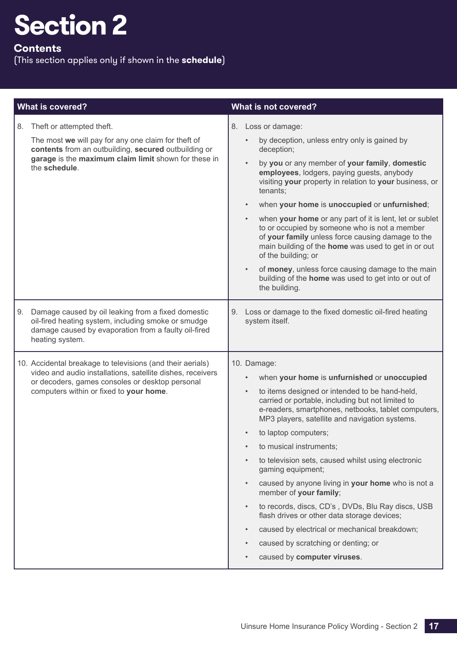## **Contents**

|    | <b>What is covered?</b>                                                                                                                                                                                                | What is not covered?                                                                                                                                                                                                                                                                                                                                                                                                                                                                                                                                                                                                                                                                                                                                      |  |
|----|------------------------------------------------------------------------------------------------------------------------------------------------------------------------------------------------------------------------|-----------------------------------------------------------------------------------------------------------------------------------------------------------------------------------------------------------------------------------------------------------------------------------------------------------------------------------------------------------------------------------------------------------------------------------------------------------------------------------------------------------------------------------------------------------------------------------------------------------------------------------------------------------------------------------------------------------------------------------------------------------|--|
|    | 8. Theft or attempted theft.<br>The most we will pay for any one claim for theft of<br>contents from an outbuilding, secured outbuilding or<br>garage is the maximum claim limit shown for these in<br>the schedule.   | 8. Loss or damage:<br>by deception, unless entry only is gained by<br>deception;<br>by you or any member of your family, domestic<br>employees, lodgers, paying guests, anybody<br>visiting your property in relation to your business, or<br>tenants;<br>when your home is unoccupied or unfurnished;<br>when your home or any part of it is lent, let or sublet<br>to or occupied by someone who is not a member<br>of your family unless force causing damage to the<br>main building of the home was used to get in or out<br>of the building; or<br>of money, unless force causing damage to the main<br>building of the home was used to get into or out of<br>the building.                                                                        |  |
| 9. | Damage caused by oil leaking from a fixed domestic<br>oil-fired heating system, including smoke or smudge<br>damage caused by evaporation from a faulty oil-fired<br>heating system.                                   | Loss or damage to the fixed domestic oil-fired heating<br>system itself.                                                                                                                                                                                                                                                                                                                                                                                                                                                                                                                                                                                                                                                                                  |  |
|    | 10. Accidental breakage to televisions (and their aerials)<br>video and audio installations, satellite dishes, receivers<br>or decoders, games consoles or desktop personal<br>computers within or fixed to your home. | 10. Damage:<br>when your home is unfurnished or unoccupied<br>to items designed or intended to be hand-held,<br>$\bullet$<br>carried or portable, including but not limited to<br>e-readers, smartphones, netbooks, tablet computers,<br>MP3 players, satellite and navigation systems.<br>to laptop computers;<br>to musical instruments;<br>$\bullet$<br>to television sets, caused whilst using electronic<br>gaming equipment;<br>caused by anyone living in your home who is not a<br>member of your family;<br>to records, discs, CD's, DVDs, Blu Ray discs, USB<br>$\bullet$<br>flash drives or other data storage devices;<br>caused by electrical or mechanical breakdown;<br>caused by scratching or denting; or<br>caused by computer viruses. |  |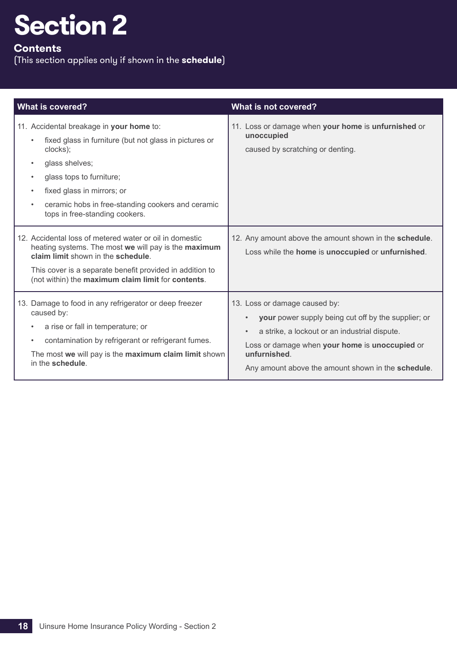## **Contents**

| <b>What is covered?</b>                                                                                                                                                                                                                                                                                                               | What is not covered?                                                                                                                                                                                                                                                                    |
|---------------------------------------------------------------------------------------------------------------------------------------------------------------------------------------------------------------------------------------------------------------------------------------------------------------------------------------|-----------------------------------------------------------------------------------------------------------------------------------------------------------------------------------------------------------------------------------------------------------------------------------------|
| 11. Accidental breakage in your home to:<br>fixed glass in furniture (but not glass in pictures or<br>clocks);<br>glass shelves;<br>$\bullet$<br>glass tops to furniture;<br>$\bullet$<br>fixed glass in mirrors; or<br>$\bullet$<br>ceramic hobs in free-standing cookers and ceramic<br>$\bullet$<br>tops in free-standing cookers. | 11. Loss or damage when your home is unfurnished or<br>unoccupied<br>caused by scratching or denting.                                                                                                                                                                                   |
| 12. Accidental loss of metered water or oil in domestic<br>heating systems. The most we will pay is the maximum<br>claim limit shown in the schedule.<br>This cover is a separate benefit provided in addition to<br>(not within) the maximum claim limit for contents.                                                               | 12. Any amount above the amount shown in the schedule.<br>Loss while the home is unoccupied or unfurnished.                                                                                                                                                                             |
| 13. Damage to food in any refrigerator or deep freezer<br>caused by:<br>a rise or fall in temperature; or<br>$\bullet$<br>contamination by refrigerant or refrigerant fumes.<br>$\bullet$<br>The most we will pay is the maximum claim limit shown<br>in the schedule.                                                                | 13. Loss or damage caused by:<br>your power supply being cut off by the supplier; or<br>$\bullet$<br>a strike, a lockout or an industrial dispute.<br>$\bullet$<br>Loss or damage when your home is unoccupied or<br>unfurnished.<br>Any amount above the amount shown in the schedule. |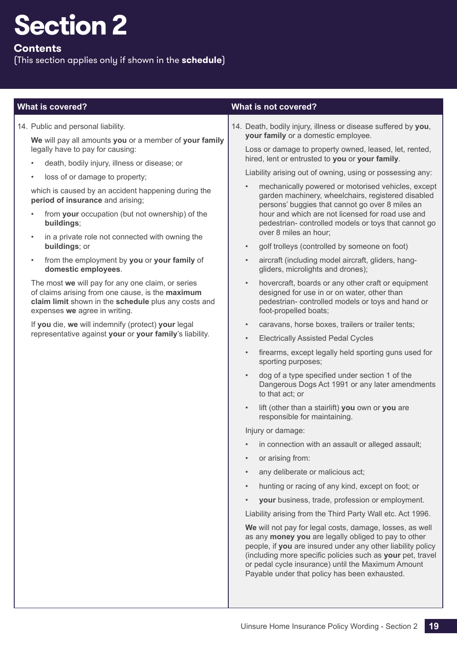## **Contents**

(This section applies only if shown in the **schedule**)

14. Public and personal liability.

**We** will pay all amounts **you** or a member of **your family** legally have to pay for causing:

- death, bodily injury, illness or disease; or
- loss of or damage to property;

which is caused by an accident happening during the **period of insurance** and arising;

- from your occupation (but not ownership) of the **buildings**;
- in a private role not connected with owning the **buildings**; or
- from the employment by **you** or **your family** of **domestic employees**.

The most **we** will pay for any one claim, or series of claims arising from one cause, is the **maximum claim limit** shown in the **schedule** plus any costs and expenses **we** agree in writing.

If **you** die, **we** will indemnify (protect) **your** legal representative against **your** or **your family**'s liability.

## **What is covered? What is not covered?**

14. Death, bodily injury, illness or disease suffered by **you**, **your family** or a domestic employee.

Loss or damage to property owned, leased, let, rented, hired, lent or entrusted to **you** or **your family**.

Liability arising out of owning, using or possessing any:

- mechanically powered or motorised vehicles, except garden machinery, wheelchairs, registered disabled persons' buggies that cannot go over 8 miles an hour and which are not licensed for road use and pedestrian- controlled models or toys that cannot go over 8 miles an hour;
- golf trolleys (controlled by someone on foot)
- aircraft (including model aircraft, gliders, hanggliders, microlights and drones);
- hovercraft, boards or any other craft or equipment designed for use in or on water, other than pedestrian- controlled models or toys and hand or foot-propelled boats;
- caravans, horse boxes, trailers or trailer tents;
- Electrically Assisted Pedal Cycles
- firearms, except legally held sporting guns used for sporting purposes;
- dog of a type specified under section 1 of the Dangerous Dogs Act 1991 or any later amendments to that act; or
- lift (other than a stairlift) **you** own or **you** are responsible for maintaining.

Injury or damage:

- in connection with an assault or alleged assault;
- or arising from:
- any deliberate or malicious act:
- hunting or racing of any kind, except on foot; or
- **your** business, trade, profession or employment.

Liability arising from the Third Party Wall etc. Act 1996.

**We** will not pay for legal costs, damage, losses, as well as any **money you** are legally obliged to pay to other people, if **you** are insured under any other liability policy (including more specific policies such as **your** pet, travel or pedal cycle insurance) until the Maximum Amount Payable under that policy has been exhausted.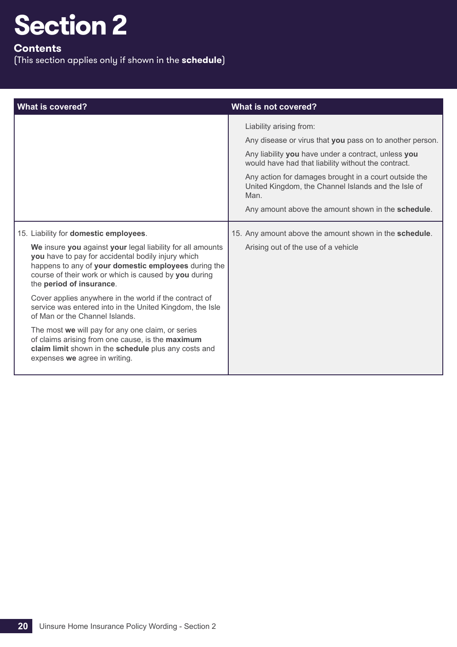## **Contents**

| <b>What is covered?</b>                                                                                                                                                                                                                                                                                                                                | What is not covered?                                                                                                                                                                                                                                                                                                                                                            |
|--------------------------------------------------------------------------------------------------------------------------------------------------------------------------------------------------------------------------------------------------------------------------------------------------------------------------------------------------------|---------------------------------------------------------------------------------------------------------------------------------------------------------------------------------------------------------------------------------------------------------------------------------------------------------------------------------------------------------------------------------|
|                                                                                                                                                                                                                                                                                                                                                        | Liability arising from:<br>Any disease or virus that you pass on to another person.<br>Any liability you have under a contract, unless you<br>would have had that liability without the contract.<br>Any action for damages brought in a court outside the<br>United Kingdom, the Channel Islands and the Isle of<br>Man.<br>Any amount above the amount shown in the schedule. |
| 15. Liability for domestic employees.<br>We insure you against your legal liability for all amounts<br>you have to pay for accidental bodily injury which<br>happens to any of your domestic employees during the<br>course of their work or which is caused by you during<br>the period of insurance.                                                 | 15. Any amount above the amount shown in the schedule.<br>Arising out of the use of a vehicle                                                                                                                                                                                                                                                                                   |
| Cover applies anywhere in the world if the contract of<br>service was entered into in the United Kingdom, the Isle<br>of Man or the Channel Islands.<br>The most we will pay for any one claim, or series<br>of claims arising from one cause, is the maximum<br>claim limit shown in the schedule plus any costs and<br>expenses we agree in writing. |                                                                                                                                                                                                                                                                                                                                                                                 |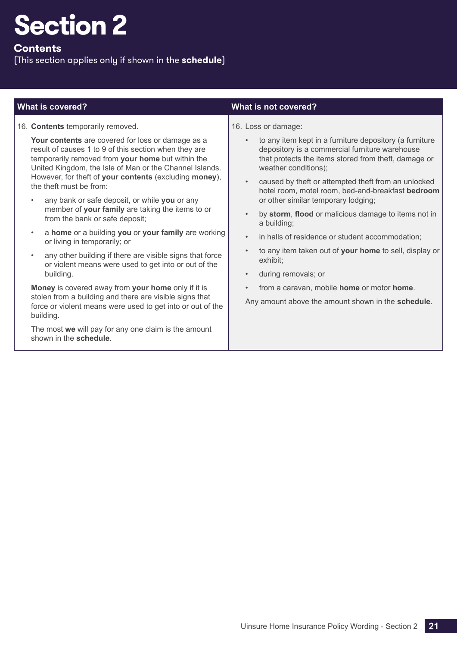## **Contents**

| <b>What is covered?</b>                                                                                                                                                                                                                                                                                                                                                                                                                                                                                                                                                                                                                                                                                                                                                                             | What is not covered?                                                                                                                                                                                                                                                                                                                                                                                                                                                                                                                                                                                                                                                                                                               |
|-----------------------------------------------------------------------------------------------------------------------------------------------------------------------------------------------------------------------------------------------------------------------------------------------------------------------------------------------------------------------------------------------------------------------------------------------------------------------------------------------------------------------------------------------------------------------------------------------------------------------------------------------------------------------------------------------------------------------------------------------------------------------------------------------------|------------------------------------------------------------------------------------------------------------------------------------------------------------------------------------------------------------------------------------------------------------------------------------------------------------------------------------------------------------------------------------------------------------------------------------------------------------------------------------------------------------------------------------------------------------------------------------------------------------------------------------------------------------------------------------------------------------------------------------|
| 16. Contents temporarily removed.<br>Your contents are covered for loss or damage as a<br>result of causes 1 to 9 of this section when they are<br>temporarily removed from your home but within the<br>United Kingdom, the Isle of Man or the Channel Islands.<br>However, for theft of your contents (excluding money),<br>the theft must be from:<br>any bank or safe deposit, or while you or any<br>member of your family are taking the items to or<br>from the bank or safe deposit;<br>a home or a building you or your family are working<br>$\bullet$<br>or living in temporarily; or<br>any other building if there are visible signs that force<br>$\bullet$<br>or violent means were used to get into or out of the<br>building.<br>Money is covered away from your home only if it is | 16. Loss or damage:<br>to any item kept in a furniture depository (a furniture<br>$\bullet$<br>depository is a commercial furniture warehouse<br>that protects the items stored from theft, damage or<br>weather conditions);<br>caused by theft or attempted theft from an unlocked<br>$\bullet$<br>hotel room, motel room, bed-and-breakfast bedroom<br>or other similar temporary lodging;<br>by storm, flood or malicious damage to items not in<br>$\bullet$<br>a building;<br>in halls of residence or student accommodation;<br>$\bullet$<br>to any item taken out of your home to sell, display or<br>$\bullet$<br>exhibit;<br>during removals; or<br>$\bullet$<br>from a caravan, mobile home or motor home.<br>$\bullet$ |
| stolen from a building and there are visible signs that<br>force or violent means were used to get into or out of the                                                                                                                                                                                                                                                                                                                                                                                                                                                                                                                                                                                                                                                                               | Any amount above the amount shown in the schedule.                                                                                                                                                                                                                                                                                                                                                                                                                                                                                                                                                                                                                                                                                 |
| building.<br>The most we will pay for any one claim is the amount<br>shown in the schedule.                                                                                                                                                                                                                                                                                                                                                                                                                                                                                                                                                                                                                                                                                                         |                                                                                                                                                                                                                                                                                                                                                                                                                                                                                                                                                                                                                                                                                                                                    |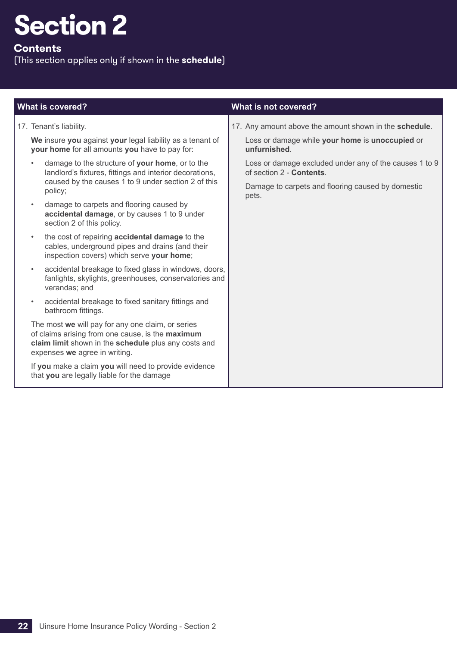## **Contents**

| <b>What is covered?</b>                                                                                                                                                                                                                                                                                                                                                                                                                                                                                                                                                                                                                                                                                                                                                                                                                                                                                                                                                                                                                                                                                                                                                              | What is not covered?                                                                                                                                                                                                                                                          |
|--------------------------------------------------------------------------------------------------------------------------------------------------------------------------------------------------------------------------------------------------------------------------------------------------------------------------------------------------------------------------------------------------------------------------------------------------------------------------------------------------------------------------------------------------------------------------------------------------------------------------------------------------------------------------------------------------------------------------------------------------------------------------------------------------------------------------------------------------------------------------------------------------------------------------------------------------------------------------------------------------------------------------------------------------------------------------------------------------------------------------------------------------------------------------------------|-------------------------------------------------------------------------------------------------------------------------------------------------------------------------------------------------------------------------------------------------------------------------------|
| 17. Tenant's liability.<br>We insure you against your legal liability as a tenant of<br>your home for all amounts you have to pay for:<br>damage to the structure of your home, or to the<br>landlord's fixtures, fittings and interior decorations,<br>caused by the causes 1 to 9 under section 2 of this<br>policy;<br>damage to carpets and flooring caused by<br>$\bullet$<br>accidental damage, or by causes 1 to 9 under<br>section 2 of this policy.<br>the cost of repairing <b>accidental damage</b> to the<br>$\bullet$<br>cables, underground pipes and drains (and their<br>inspection covers) which serve your home;<br>accidental breakage to fixed glass in windows, doors,<br>$\bullet$<br>fanlights, skylights, greenhouses, conservatories and<br>verandas; and<br>accidental breakage to fixed sanitary fittings and<br>$\bullet$<br>bathroom fittings.<br>The most we will pay for any one claim, or series<br>of claims arising from one cause, is the maximum<br>claim limit shown in the schedule plus any costs and<br>expenses we agree in writing.<br>If you make a claim you will need to provide evidence<br>that you are legally liable for the damage | 17. Any amount above the amount shown in the schedule.<br>Loss or damage while your home is unoccupied or<br>unfurnished.<br>Loss or damage excluded under any of the causes 1 to 9<br>of section 2 - Contents.<br>Damage to carpets and flooring caused by domestic<br>pets. |
|                                                                                                                                                                                                                                                                                                                                                                                                                                                                                                                                                                                                                                                                                                                                                                                                                                                                                                                                                                                                                                                                                                                                                                                      |                                                                                                                                                                                                                                                                               |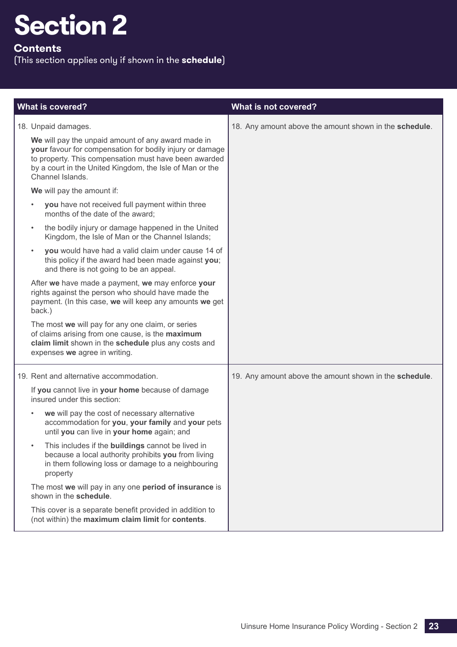## **Contents**

| <b>What is covered?</b>                                                                                                                                                                                                                                                                                                                                                                                                                                                                                                                                                                                                                                                                      | What is not covered?                                   |
|----------------------------------------------------------------------------------------------------------------------------------------------------------------------------------------------------------------------------------------------------------------------------------------------------------------------------------------------------------------------------------------------------------------------------------------------------------------------------------------------------------------------------------------------------------------------------------------------------------------------------------------------------------------------------------------------|--------------------------------------------------------|
| 18. Unpaid damages.<br>We will pay the unpaid amount of any award made in<br>your favour for compensation for bodily injury or damage<br>to property. This compensation must have been awarded<br>by a court in the United Kingdom, the Isle of Man or the<br>Channel Islands.<br>We will pay the amount if:                                                                                                                                                                                                                                                                                                                                                                                 | 18. Any amount above the amount shown in the schedule. |
| you have not received full payment within three<br>months of the date of the award;<br>the bodily injury or damage happened in the United<br>$\bullet$<br>Kingdom, the Isle of Man or the Channel Islands;<br>you would have had a valid claim under cause 14 of<br>this policy if the award had been made against you;<br>and there is not going to be an appeal.<br>After we have made a payment, we may enforce your<br>rights against the person who should have made the<br>payment. (In this case, we will keep any amounts we get                                                                                                                                                     |                                                        |
| back.)<br>The most we will pay for any one claim, or series<br>of claims arising from one cause, is the maximum<br>claim limit shown in the schedule plus any costs and<br>expenses we agree in writing.                                                                                                                                                                                                                                                                                                                                                                                                                                                                                     |                                                        |
| 19. Rent and alternative accommodation.<br>If you cannot live in your home because of damage<br>insured under this section:<br>we will pay the cost of necessary alternative<br>$\bullet$<br>accommodation for you, your family and your pets<br>until you can live in your home again; and<br>This includes if the buildings cannot be lived in<br>$\bullet$<br>because a local authority prohibits you from living<br>in them following loss or damage to a neighbouring<br>property<br>The most we will pay in any one period of insurance is<br>shown in the schedule.<br>This cover is a separate benefit provided in addition to<br>(not within) the maximum claim limit for contents. | 19. Any amount above the amount shown in the schedule. |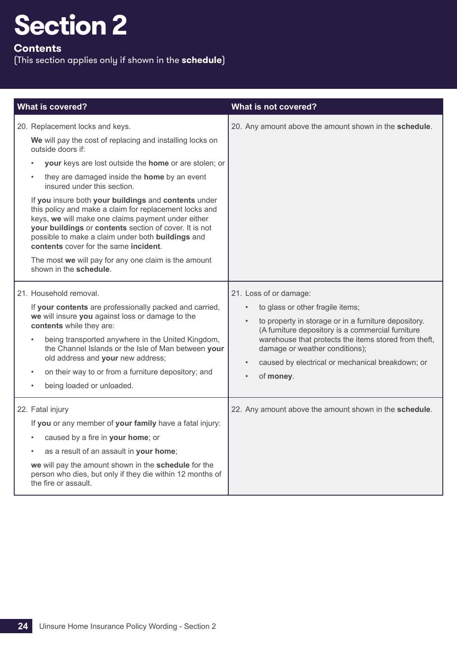## **Contents**

| <b>What is covered?</b>                                                                                                                                                                                                                                                                                                                                                                                                                                                                                                                                                                                                                                                     | What is not covered?                                                                                                                                                                                                                                                                                                                                                                   |
|-----------------------------------------------------------------------------------------------------------------------------------------------------------------------------------------------------------------------------------------------------------------------------------------------------------------------------------------------------------------------------------------------------------------------------------------------------------------------------------------------------------------------------------------------------------------------------------------------------------------------------------------------------------------------------|----------------------------------------------------------------------------------------------------------------------------------------------------------------------------------------------------------------------------------------------------------------------------------------------------------------------------------------------------------------------------------------|
| 20. Replacement locks and keys.<br>We will pay the cost of replacing and installing locks on<br>outside doors if:<br>your keys are lost outside the home or are stolen; or<br>they are damaged inside the home by an event<br>insured under this section.<br>If you insure both your buildings and contents under<br>this policy and make a claim for replacement locks and<br>keys, we will make one claims payment under either<br>your buildings or contents section of cover. It is not<br>possible to make a claim under both buildings and<br>contents cover for the same incident.<br>The most we will pay for any one claim is the amount<br>shown in the schedule. | 20. Any amount above the amount shown in the schedule.                                                                                                                                                                                                                                                                                                                                 |
| 21. Household removal.<br>If your contents are professionally packed and carried,<br>we will insure you against loss or damage to the<br>contents while they are:<br>being transported anywhere in the United Kingdom,<br>the Channel Islands or the Isle of Man between your<br>old address and your new address;<br>on their way to or from a furniture depository; and<br>being loaded or unloaded.                                                                                                                                                                                                                                                                      | 21. Loss of or damage:<br>to glass or other fragile items;<br>$\bullet$<br>to property in storage or in a furniture depository.<br>$\bullet$<br>(A furniture depository is a commercial furniture<br>warehouse that protects the items stored from theft,<br>damage or weather conditions);<br>caused by electrical or mechanical breakdown; or<br>$\bullet$<br>of money.<br>$\bullet$ |
| 22. Fatal injury<br>If you or any member of your family have a fatal injury:<br>caused by a fire in your home; or<br>as a result of an assault in your home;<br>we will pay the amount shown in the schedule for the<br>person who dies, but only if they die within 12 months of<br>the fire or assault.                                                                                                                                                                                                                                                                                                                                                                   | 22. Any amount above the amount shown in the schedule.                                                                                                                                                                                                                                                                                                                                 |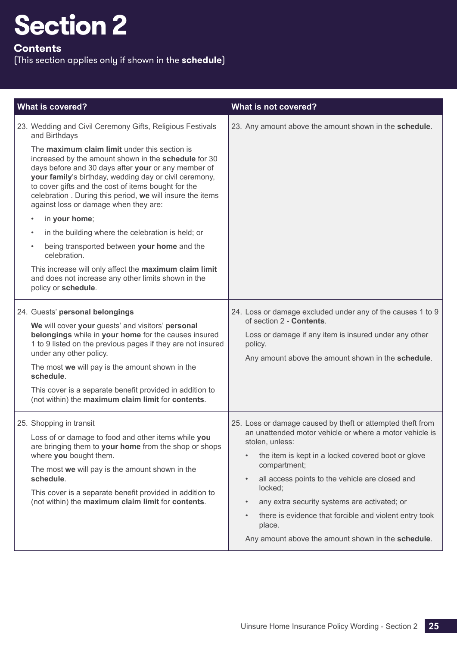## **Contents**

| <b>What is covered?</b>                                                                                                                                                                                                                                                                                                                                                                                                                                                                                                                                                                                                                                                                                                                                                   | What is not covered?                                                                                                                                                                                                                                                                                                                                                                                                                                                                                       |
|---------------------------------------------------------------------------------------------------------------------------------------------------------------------------------------------------------------------------------------------------------------------------------------------------------------------------------------------------------------------------------------------------------------------------------------------------------------------------------------------------------------------------------------------------------------------------------------------------------------------------------------------------------------------------------------------------------------------------------------------------------------------------|------------------------------------------------------------------------------------------------------------------------------------------------------------------------------------------------------------------------------------------------------------------------------------------------------------------------------------------------------------------------------------------------------------------------------------------------------------------------------------------------------------|
| 23. Wedding and Civil Ceremony Gifts, Religious Festivals<br>and Birthdays<br>The maximum claim limit under this section is<br>increased by the amount shown in the schedule for 30<br>days before and 30 days after your or any member of<br>your family's birthday, wedding day or civil ceremony,<br>to cover gifts and the cost of items bought for the<br>celebration . During this period, we will insure the items<br>against loss or damage when they are:<br>in your home;<br>in the building where the celebration is held; or<br>$\bullet$<br>being transported between your home and the<br>$\bullet$<br>celebration.<br>This increase will only affect the maximum claim limit<br>and does not increase any other limits shown in the<br>policy or schedule. | 23. Any amount above the amount shown in the schedule.                                                                                                                                                                                                                                                                                                                                                                                                                                                     |
| 24. Guests' personal belongings<br>We will cover your guests' and visitors' personal<br>belongings while in your home for the causes insured<br>1 to 9 listed on the previous pages if they are not insured<br>under any other policy.<br>The most we will pay is the amount shown in the<br>schedule.<br>This cover is a separate benefit provided in addition to<br>(not within) the maximum claim limit for contents.                                                                                                                                                                                                                                                                                                                                                  | 24. Loss or damage excluded under any of the causes 1 to 9<br>of section 2 - Contents.<br>Loss or damage if any item is insured under any other<br>policy.<br>Any amount above the amount shown in the schedule.                                                                                                                                                                                                                                                                                           |
| 25. Shopping in transit<br>Loss of or damage to food and other items while you<br>are bringing them to your home from the shop or shops<br>where you bought them.<br>The most we will pay is the amount shown in the<br>schedule.<br>This cover is a separate benefit provided in addition to<br>(not within) the maximum claim limit for contents.                                                                                                                                                                                                                                                                                                                                                                                                                       | 25. Loss or damage caused by theft or attempted theft from<br>an unattended motor vehicle or where a motor vehicle is<br>stolen, unless:<br>the item is kept in a locked covered boot or glove<br>$\bullet$<br>compartment;<br>all access points to the vehicle are closed and<br>$\bullet$<br>locked;<br>any extra security systems are activated; or<br>$\bullet$<br>there is evidence that forcible and violent entry took<br>$\bullet$<br>place.<br>Any amount above the amount shown in the schedule. |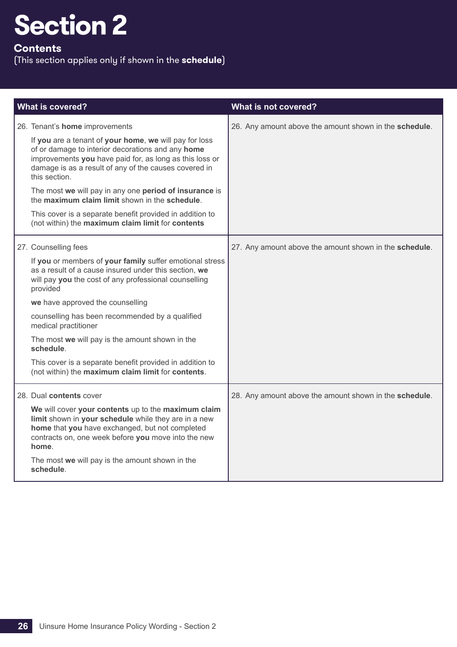## **Contents**

| <b>What is covered?</b>                                                                                                                                                                                                                          | What is not covered?                                   |
|--------------------------------------------------------------------------------------------------------------------------------------------------------------------------------------------------------------------------------------------------|--------------------------------------------------------|
| 26. Tenant's home improvements                                                                                                                                                                                                                   | 26. Any amount above the amount shown in the schedule. |
| If you are a tenant of your home, we will pay for loss<br>of or damage to interior decorations and any home<br>improvements you have paid for, as long as this loss or<br>damage is as a result of any of the causes covered in<br>this section. |                                                        |
| The most we will pay in any one period of insurance is<br>the maximum claim limit shown in the schedule.                                                                                                                                         |                                                        |
| This cover is a separate benefit provided in addition to<br>(not within) the maximum claim limit for contents                                                                                                                                    |                                                        |
| 27. Counselling fees                                                                                                                                                                                                                             | 27. Any amount above the amount shown in the schedule. |
| If you or members of your family suffer emotional stress<br>as a result of a cause insured under this section, we<br>will pay you the cost of any professional counselling<br>provided                                                           |                                                        |
| we have approved the counselling                                                                                                                                                                                                                 |                                                        |
| counselling has been recommended by a qualified<br>medical practitioner                                                                                                                                                                          |                                                        |
| The most we will pay is the amount shown in the<br>schedule.                                                                                                                                                                                     |                                                        |
| This cover is a separate benefit provided in addition to<br>(not within) the maximum claim limit for contents.                                                                                                                                   |                                                        |
| 28. Dual contents cover                                                                                                                                                                                                                          | 28. Any amount above the amount shown in the schedule. |
| We will cover your contents up to the maximum claim<br>limit shown in your schedule while they are in a new<br>home that you have exchanged, but not completed<br>contracts on, one week before you move into the new<br>home.                   |                                                        |
| The most we will pay is the amount shown in the<br>schedule.                                                                                                                                                                                     |                                                        |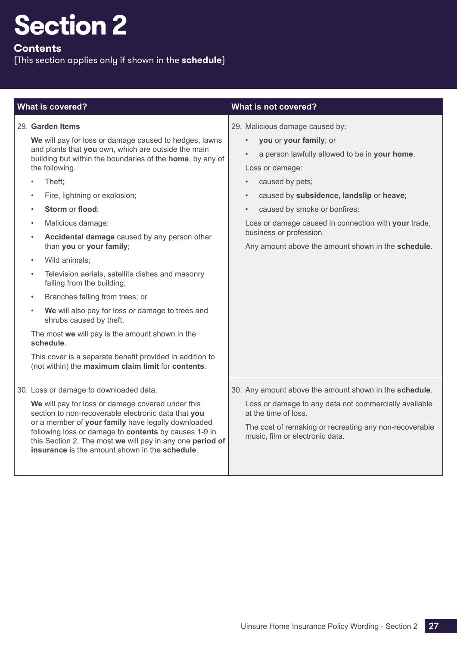## **Contents**

| <b>What is covered?</b>                                                                                                                                                                                                                                                                                                                                                                                                                                                                                                                                                                                                                                                                                                                                                                                                       | <b>What is not covered?</b>                                                                                                                                                                                                                                                                                                                                                                                               |
|-------------------------------------------------------------------------------------------------------------------------------------------------------------------------------------------------------------------------------------------------------------------------------------------------------------------------------------------------------------------------------------------------------------------------------------------------------------------------------------------------------------------------------------------------------------------------------------------------------------------------------------------------------------------------------------------------------------------------------------------------------------------------------------------------------------------------------|---------------------------------------------------------------------------------------------------------------------------------------------------------------------------------------------------------------------------------------------------------------------------------------------------------------------------------------------------------------------------------------------------------------------------|
| 29. Garden Items<br>We will pay for loss or damage caused to hedges, lawns<br>and plants that you own, which are outside the main<br>building but within the boundaries of the home, by any of<br>the following.<br>Theft:<br>Fire, lightning or explosion;<br>Storm or flood;<br>$\bullet$<br>Malicious damage;<br>Accidental damage caused by any person other<br>than you or your family;<br>Wild animals;<br>Television aerials, satellite dishes and masonry<br>falling from the building;<br>Branches falling from trees; or<br>$\bullet$<br>We will also pay for loss or damage to trees and<br>$\bullet$<br>shrubs caused by theft.<br>The most we will pay is the amount shown in the<br>schedule.<br>This cover is a separate benefit provided in addition to<br>(not within) the maximum claim limit for contents. | 29. Malicious damage caused by:<br>you or your family; or<br>$\bullet$<br>a person lawfully allowed to be in your home.<br>Loss or damage:<br>caused by pets;<br>$\bullet$<br>caused by subsidence, landslip or heave;<br>$\bullet$<br>caused by smoke or bonfires;<br>$\bullet$<br>Loss or damage caused in connection with your trade,<br>business or profession.<br>Any amount above the amount shown in the schedule. |
| 30. Loss or damage to downloaded data.<br>We will pay for loss or damage covered under this<br>section to non-recoverable electronic data that you<br>or a member of your family have legally downloaded<br>following loss or damage to contents by causes 1-9 in<br>this Section 2. The most we will pay in any one period of<br><b>insurance</b> is the amount shown in the <b>schedule</b> .                                                                                                                                                                                                                                                                                                                                                                                                                               | 30. Any amount above the amount shown in the schedule.<br>Loss or damage to any data not commercially available<br>at the time of loss.<br>The cost of remaking or recreating any non-recoverable<br>music, film or electronic data.                                                                                                                                                                                      |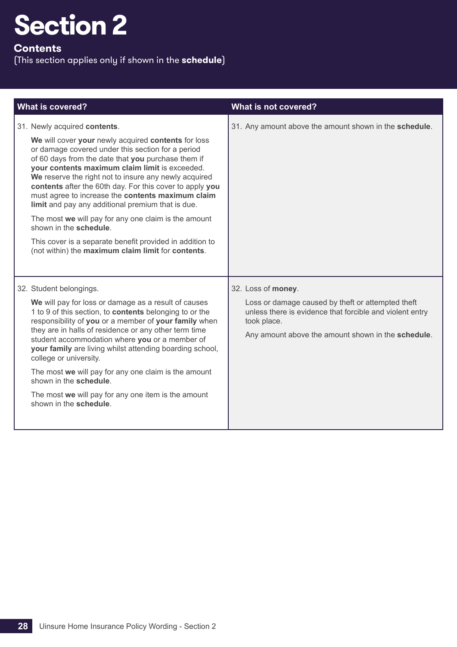## **Contents**

| <b>What is covered?</b>                                                                                                                                                                                                                                                                                                                                                          | What is not covered?                                                                                                                                                               |
|----------------------------------------------------------------------------------------------------------------------------------------------------------------------------------------------------------------------------------------------------------------------------------------------------------------------------------------------------------------------------------|------------------------------------------------------------------------------------------------------------------------------------------------------------------------------------|
| 31. Newly acquired contents.<br>We will cover your newly acquired contents for loss<br>or damage covered under this section for a period<br>of 60 days from the date that you purchase them if                                                                                                                                                                                   | 31. Any amount above the amount shown in the schedule.                                                                                                                             |
| your contents maximum claim limit is exceeded.<br>We reserve the right not to insure any newly acquired<br>contents after the 60th day. For this cover to apply you<br>must agree to increase the contents maximum claim<br>limit and pay any additional premium that is due.                                                                                                    |                                                                                                                                                                                    |
| The most we will pay for any one claim is the amount<br>shown in the schedule.                                                                                                                                                                                                                                                                                                   |                                                                                                                                                                                    |
| This cover is a separate benefit provided in addition to<br>(not within) the maximum claim limit for contents.                                                                                                                                                                                                                                                                   |                                                                                                                                                                                    |
| 32. Student belongings.                                                                                                                                                                                                                                                                                                                                                          | 32. Loss of money.                                                                                                                                                                 |
| We will pay for loss or damage as a result of causes<br>1 to 9 of this section, to <b>contents</b> belonging to or the<br>responsibility of you or a member of your family when<br>they are in halls of residence or any other term time<br>student accommodation where you or a member of<br>your family are living whilst attending boarding school,<br>college or university. | Loss or damage caused by theft or attempted theft<br>unless there is evidence that forcible and violent entry<br>took place.<br>Any amount above the amount shown in the schedule. |
| The most we will pay for any one claim is the amount<br>shown in the schedule.                                                                                                                                                                                                                                                                                                   |                                                                                                                                                                                    |
| The most we will pay for any one item is the amount<br>shown in the schedule.                                                                                                                                                                                                                                                                                                    |                                                                                                                                                                                    |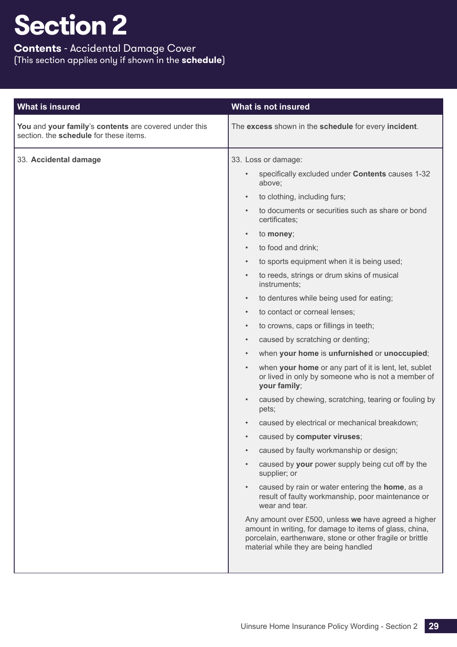## **Contents** - Accidental Damage Cover (This section applies only if shown in the **schedule**)

| You and your family's contents are covered under this<br>The excess shown in the schedule for every incident.<br>section. the schedule for these items.                                                                                                                                                                                                                                                                                                                                                                                                                                                                                                                                                                                                                                                                                                                                                                                                                                                                                                                                                                                                                                                                                                                                                                                                                                                                                                                                                                       |  |
|-------------------------------------------------------------------------------------------------------------------------------------------------------------------------------------------------------------------------------------------------------------------------------------------------------------------------------------------------------------------------------------------------------------------------------------------------------------------------------------------------------------------------------------------------------------------------------------------------------------------------------------------------------------------------------------------------------------------------------------------------------------------------------------------------------------------------------------------------------------------------------------------------------------------------------------------------------------------------------------------------------------------------------------------------------------------------------------------------------------------------------------------------------------------------------------------------------------------------------------------------------------------------------------------------------------------------------------------------------------------------------------------------------------------------------------------------------------------------------------------------------------------------------|--|
| 33. Accidental damage<br>33. Loss or damage:<br>specifically excluded under Contents causes 1-32<br>$\bullet$<br>above;<br>to clothing, including furs;<br>$\bullet$<br>to documents or securities such as share or bond<br>certificates;<br>to money;<br>$\bullet$<br>to food and drink;<br>$\bullet$<br>to sports equipment when it is being used;<br>$\bullet$<br>to reeds, strings or drum skins of musical<br>$\bullet$<br>instruments;<br>to dentures while being used for eating;<br>$\bullet$<br>to contact or corneal lenses;<br>$\bullet$<br>to crowns, caps or fillings in teeth;<br>$\bullet$<br>caused by scratching or denting;<br>$\bullet$<br>when your home is unfurnished or unoccupied;<br>$\bullet$<br>when your home or any part of it is lent, let, sublet<br>$\bullet$<br>or lived in only by someone who is not a member of<br>your family;<br>caused by chewing, scratching, tearing or fouling by<br>$\bullet$<br>pets;<br>caused by electrical or mechanical breakdown;<br>caused by computer viruses;<br>caused by faulty workmanship or design;<br>$\bullet$<br>caused by your power supply being cut off by the<br>supplier; or<br>caused by rain or water entering the home, as a<br>$\bullet$<br>result of faulty workmanship, poor maintenance or<br>wear and tear.<br>Any amount over £500, unless we have agreed a higher<br>amount in writing, for damage to items of glass, china,<br>porcelain, earthenware, stone or other fragile or brittle<br>material while they are being handled |  |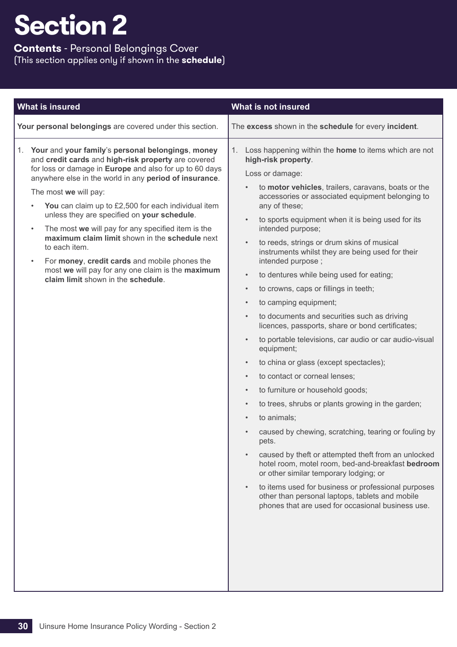## **Contents** - Personal Belongings Cover (This section applies only if shown in the **schedule**)

| What is insured                                                                                                                                                                                                                                                                                                                                                                                                                                                                                                                                                                                                                                                             | What is not insured                                                                                                                                                                                                                                                                                                                                                                                                                                                                                                                                                                                                                                                                                                                                                                                                                                                                                                                                                                                                                                                                                                                                                                                                                                                                                                                                                                                                                                                                        |
|-----------------------------------------------------------------------------------------------------------------------------------------------------------------------------------------------------------------------------------------------------------------------------------------------------------------------------------------------------------------------------------------------------------------------------------------------------------------------------------------------------------------------------------------------------------------------------------------------------------------------------------------------------------------------------|--------------------------------------------------------------------------------------------------------------------------------------------------------------------------------------------------------------------------------------------------------------------------------------------------------------------------------------------------------------------------------------------------------------------------------------------------------------------------------------------------------------------------------------------------------------------------------------------------------------------------------------------------------------------------------------------------------------------------------------------------------------------------------------------------------------------------------------------------------------------------------------------------------------------------------------------------------------------------------------------------------------------------------------------------------------------------------------------------------------------------------------------------------------------------------------------------------------------------------------------------------------------------------------------------------------------------------------------------------------------------------------------------------------------------------------------------------------------------------------------|
| Your personal belongings are covered under this section.                                                                                                                                                                                                                                                                                                                                                                                                                                                                                                                                                                                                                    | The excess shown in the schedule for every incident.                                                                                                                                                                                                                                                                                                                                                                                                                                                                                                                                                                                                                                                                                                                                                                                                                                                                                                                                                                                                                                                                                                                                                                                                                                                                                                                                                                                                                                       |
| 1. Your and your family's personal belongings, money<br>and credit cards and high-risk property are covered<br>for loss or damage in Europe and also for up to 60 days<br>anywhere else in the world in any period of insurance.<br>The most we will pay:<br>You can claim up to £2,500 for each individual item<br>$\bullet$<br>unless they are specified on your schedule.<br>The most we will pay for any specified item is the<br>$\bullet$<br>maximum claim limit shown in the schedule next<br>to each item.<br>For money, credit cards and mobile phones the<br>$\bullet$<br>most we will pay for any one claim is the maximum<br>claim limit shown in the schedule. | Loss happening within the home to items which are not<br>1.<br>high-risk property.<br>Loss or damage:<br>to motor vehicles, trailers, caravans, boats or the<br>$\bullet$<br>accessories or associated equipment belonging to<br>any of these;<br>to sports equipment when it is being used for its<br>$\bullet$<br>intended purpose;<br>to reeds, strings or drum skins of musical<br>$\bullet$<br>instruments whilst they are being used for their<br>intended purpose;<br>to dentures while being used for eating;<br>$\bullet$<br>to crowns, caps or fillings in teeth;<br>$\bullet$<br>to camping equipment;<br>$\bullet$<br>to documents and securities such as driving<br>$\bullet$<br>licences, passports, share or bond certificates;<br>to portable televisions, car audio or car audio-visual<br>$\bullet$<br>equipment;<br>to china or glass (except spectacles);<br>$\bullet$<br>to contact or corneal lenses;<br>$\bullet$<br>to furniture or household goods;<br>$\bullet$<br>to trees, shrubs or plants growing in the garden;<br>$\bullet$<br>to animals;<br>$\bullet$<br>caused by chewing, scratching, tearing or fouling by<br>pets.<br>caused by theft or attempted theft from an unlocked<br>hotel room, motel room, bed-and-breakfast bedroom<br>or other similar temporary lodging; or<br>to items used for business or professional purposes<br>$\bullet$<br>other than personal laptops, tablets and mobile<br>phones that are used for occasional business use. |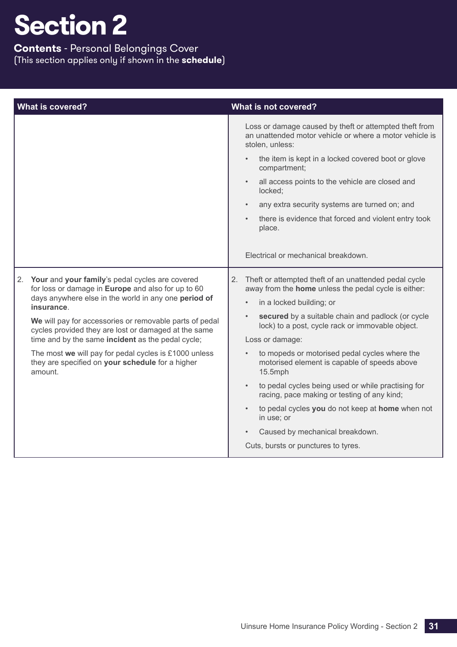## **Contents** - Personal Belongings Cover (This section applies only if shown in the **schedule**)

| <b>What is covered?</b>                                                                                                                                                                                                                                                                      | What is not covered?                                                                                                                 |
|----------------------------------------------------------------------------------------------------------------------------------------------------------------------------------------------------------------------------------------------------------------------------------------------|--------------------------------------------------------------------------------------------------------------------------------------|
|                                                                                                                                                                                                                                                                                              | Loss or damage caused by theft or attempted theft from<br>an unattended motor vehicle or where a motor vehicle is<br>stolen, unless: |
|                                                                                                                                                                                                                                                                                              | the item is kept in a locked covered boot or glove<br>compartment;                                                                   |
|                                                                                                                                                                                                                                                                                              | all access points to the vehicle are closed and<br>locked;                                                                           |
|                                                                                                                                                                                                                                                                                              | any extra security systems are turned on; and<br>$\bullet$                                                                           |
|                                                                                                                                                                                                                                                                                              | there is evidence that forced and violent entry took<br>place.                                                                       |
|                                                                                                                                                                                                                                                                                              | Electrical or mechanical breakdown.                                                                                                  |
| Your and your family's pedal cycles are covered<br>2.<br>for loss or damage in Europe and also for up to 60                                                                                                                                                                                  | Theft or attempted theft of an unattended pedal cycle<br>2.<br>away from the home unless the pedal cycle is either:                  |
| days anywhere else in the world in any one period of<br>insurance.                                                                                                                                                                                                                           | in a locked building; or<br>$\bullet$                                                                                                |
| We will pay for accessories or removable parts of pedal<br>cycles provided they are lost or damaged at the same<br>time and by the same incident as the pedal cycle;<br>The most we will pay for pedal cycles is £1000 unless<br>they are specified on your schedule for a higher<br>amount. | secured by a suitable chain and padlock (or cycle<br>$\bullet$<br>lock) to a post, cycle rack or immovable object.                   |
|                                                                                                                                                                                                                                                                                              | Loss or damage:                                                                                                                      |
|                                                                                                                                                                                                                                                                                              | to mopeds or motorised pedal cycles where the<br>motorised element is capable of speeds above<br>15.5mph                             |
|                                                                                                                                                                                                                                                                                              | to pedal cycles being used or while practising for<br>$\bullet$<br>racing, pace making or testing of any kind;                       |
|                                                                                                                                                                                                                                                                                              | to pedal cycles you do not keep at home when not<br>in use; or                                                                       |
|                                                                                                                                                                                                                                                                                              | Caused by mechanical breakdown.                                                                                                      |
|                                                                                                                                                                                                                                                                                              | Cuts, bursts or punctures to tyres.                                                                                                  |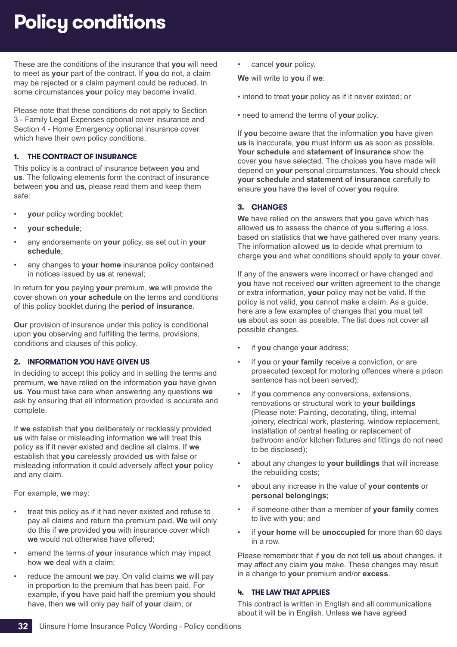## <span id="page-33-0"></span>**Policy conditions**

These are the conditions of the insurance that **you** will need to meet as **your** part of the contract. If **you** do not, a claim may be rejected or a claim payment could be reduced. In some circumstances **your** policy may become invalid.

Please note that these conditions do not apply to Section 3 - Family Legal Expenses optional cover insurance and Section 4 - Home Emergency optional insurance cover which have their own policy conditions.

## **1. THE CONTRACT OF INSURANCE**

This policy is a contract of insurance between **you** and **us**. The following elements form the contract of insurance between **you** and **us**, please read them and keep them safe:

- **your** policy wording booklet;
- **your schedule**;
- any endorsements on **your** policy, as set out in **your schedule**;
- any changes to **your home** insurance policy contained in notices issued by **us** at renewal;

In return for **you** paying **your** premium, **we** will provide the cover shown on **your schedule** on the terms and conditions of this policy booklet during the **period of insurance**.

**Our** provision of insurance under this policy is conditional upon **you** observing and fulfilling the terms, provisions, conditions and clauses of this policy.

## **2. INFORMATION YOU HAVE GIVEN US**

In deciding to accept this policy and in setting the terms and premium, **we** have relied on the information **you** have given **us**. **You** must take care when answering any questions **we** ask by ensuring that all information provided is accurate and complete.

If **we** establish that **you** deliberately or recklessly provided **us** with false or misleading information **we** will treat this policy as if it never existed and decline all claims. If **we** establish that **you** carelessly provided **us** with false or misleading information it could adversely affect **your** policy and any claim.

For example, **we** may:

- treat this policy as if it had never existed and refuse to pay all claims and return the premium paid. **We** will only do this if **we** provided **you** with insurance cover which **we** would not otherwise have offered;
- amend the terms of **your** insurance which may impact how **we** deal with a claim;
- reduce the amount **we** pay. On valid claims **we** will pay in proportion to the premium that has been paid. For example, if **you** have paid half the premium **you** should have, then **we** will only pay half of **your** claim; or

• cancel **your** policy.

**We** will write to **you** if **we**:

- intend to treat **your** policy as if it never existed; or
- need to amend the terms of **your** policy.

If **you** become aware that the information **you** have given **us** is inaccurate, **you** must inform **us** as soon as possible. **Your schedule** and **statement of insurance** show the cover **you** have selected. The choices **you** have made will depend on **your** personal circumstances. **You** should check **your schedule** and **statement of insurance** carefully to ensure **you** have the level of cover **you** require.

## **3. CHANGES**

**We** have relied on the answers that **you** gave which has allowed **us** to assess the chance of **you** suffering a loss, based on statistics that **we** have gathered over many years. The information allowed **us** to decide what premium to charge **you** and what conditions should apply to **your** cover.

If any of the answers were incorrect or have changed and **you** have not received **our** written agreement to the change or extra information, **your** policy may not be valid. If the policy is not valid, **you** cannot make a claim. As a guide, here are a few examples of changes that **you** must tell **us** about as soon as possible. The list does not cover all possible changes.

- if **you** change **your** address;
- if **you** or **your family** receive a conviction, or are prosecuted (except for motoring offences where a prison sentence has not been served);
- if **you** commence any conversions, extensions, renovations or structural work to **your buildings** (Please note: Painting, decorating, tiling, internal joinery, electrical work, plastering, window replacement, installation of central heating or replacement of bathroom and/or kitchen fixtures and fittings do not need to be disclosed);
- about any changes to **your buildings** that will increase the rebuilding costs;
- about any increase in the value of **your contents** or **personal belongings**;
- if someone other than a member of **your family** comes to live with **you**; and
- if **your home** will be **unoccupied** for more than 60 days in a row.

Please remember that if **you** do not tell **us** about changes, it may affect any claim **you** make. These changes may result in a change to **your** premium and/or **excess**.

## **4. THE LAW THAT APPLIES**

This contract is written in English and all communications about it will be in English. Unless **we** have agreed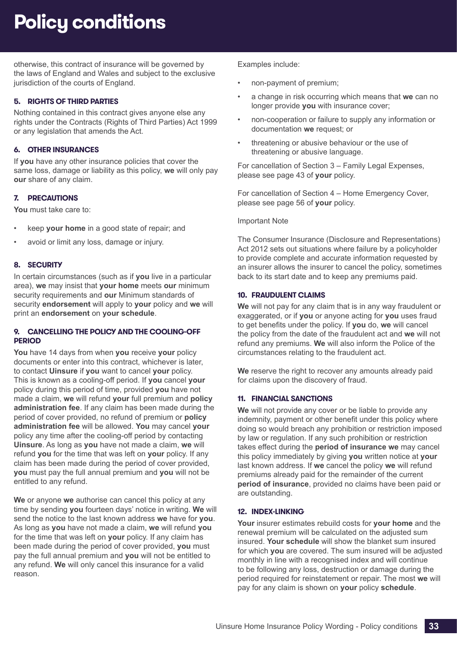## **Policy conditions**

otherwise, this contract of insurance will be governed by the laws of England and Wales and subject to the exclusive jurisdiction of the courts of England.

## **5. RIGHTS OF THIRD PARTIES**

Nothing contained in this contract gives anyone else any rights under the Contracts (Rights of Third Parties) Act 1999 or any legislation that amends the Act.

## **6. OTHER INSURANCES**

If **you** have any other insurance policies that cover the same loss, damage or liability as this policy, **we** will only pay **our** share of any claim.

## **7. PRECAUTIONS**

**You** must take care to:

- keep **your home** in a good state of repair; and
- avoid or limit any loss, damage or injury.

## **8. SECURITY**

In certain circumstances (such as if **you** live in a particular area), **we** may insist that **your home** meets **our** minimum security requirements and **our** Minimum standards of security **endorsement** will apply to **your** policy and **we** will print an **endorsement** on **your schedule**.

### **9. CANCELLING THE POLICY AND THE COOLING-OFF PERIOD**

**You** have 14 days from when **you** receive **your** policy documents or enter into this contract, whichever is later, to contact **Uinsure** if **you** want to cancel **your** policy. This is known as a cooling-off period. If **you** cancel **your** policy during this period of time, provided **you** have not made a claim, **we** will refund **your** full premium and **policy administration fee**. If any claim has been made during the period of cover provided, no refund of premium or **policy administration fee** will be allowed. **You** may cancel **your** policy any time after the cooling-off period by contacting **Uinsure**. As long as **you** have not made a claim, **we** will refund **you** for the time that was left on **your** policy. If any claim has been made during the period of cover provided, **you** must pay the full annual premium and **you** will not be entitled to any refund.

**We** or anyone **we** authorise can cancel this policy at any time by sending **you** fourteen days' notice in writing. **We** will send the notice to the last known address **we** have for **you**. As long as **you** have not made a claim, **we** will refund **you** for the time that was left on **your** policy. If any claim has been made during the period of cover provided, **you** must pay the full annual premium and **you** will not be entitled to any refund. **We** will only cancel this insurance for a valid reason.

Examples include:

- non-payment of premium;
- a change in risk occurring which means that **we** can no longer provide **you** with insurance cover;
- non-cooperation or failure to supply any information or documentation **we** request; or
- threatening or abusive behaviour or the use of threatening or abusive language.

For cancellation of Section 3 – Family Legal Expenses, please see page [43](#page-44-0) of **your** policy.

For cancellation of Section 4 – Home Emergency Cover, please see page [56](#page-57-0) of **your** policy.

#### Important Note

The Consumer Insurance (Disclosure and Representations) Act 2012 sets out situations where failure by a policyholder to provide complete and accurate information requested by an insurer allows the insurer to cancel the policy, sometimes back to its start date and to keep any premiums paid.

### **10. FRAUDULENT CLAIMS**

**We** will not pay for any claim that is in any way fraudulent or exaggerated, or if **you** or anyone acting for **you** uses fraud to get benefits under the policy. If **you** do, **we** will cancel the policy from the date of the fraudulent act and **we** will not refund any premiums. **We** will also inform the Police of the circumstances relating to the fraudulent act.

**We** reserve the right to recover any amounts already paid for claims upon the discovery of fraud.

## **11. FINANCIAL SANCTIONS**

**We** will not provide any cover or be liable to provide any indemnity, payment or other benefit under this policy where doing so would breach any prohibition or restriction imposed by law or regulation. If any such prohibition or restriction takes effect during the **period of insurance we** may cancel this policy immediately by giving **you** written notice at **your** last known address. If **we** cancel the policy **we** will refund premiums already paid for the remainder of the current **period of insurance**, provided no claims have been paid or are outstanding.

## **12. INDEX-LINKING**

**Your** insurer estimates rebuild costs for **your home** and the renewal premium will be calculated on the adjusted sum insured. **Your schedule** will show the blanket sum insured for which **you** are covered. The sum insured will be adjusted monthly in line with a recognised index and will continue to be following any loss, destruction or damage during the period required for reinstatement or repair. The most **we** will pay for any claim is shown on **your** policy **schedule**.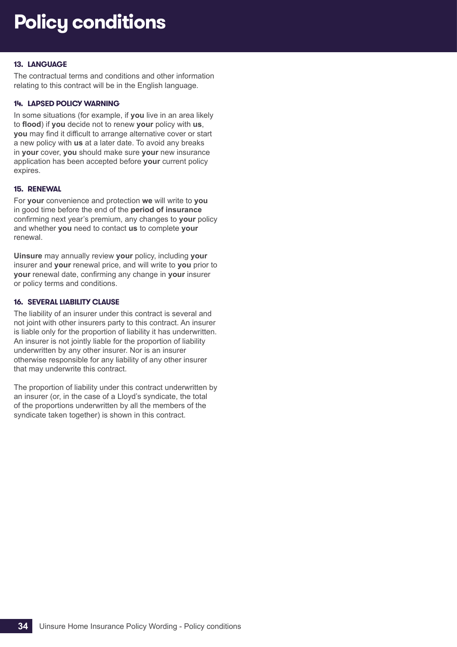## **Policy conditions**

## **13. LANGUAGE**

The contractual terms and conditions and other information relating to this contract will be in the English language.

### **14. LAPSED POLICY WARNING**

In some situations (for example, if **you** live in an area likely to **flood**) if **you** decide not to renew **your** policy with **us**, **you** may find it difficult to arrange alternative cover or start a new policy with **us** at a later date. To avoid any breaks in **your** cover, **you** should make sure **your** new insurance application has been accepted before **your** current policy expires.

### **15. RENEWAL**

For **your** convenience and protection **we** will write to **you** in good time before the end of the **period of insurance** confirming next year's premium, any changes to **your** policy and whether **you** need to contact **us** to complete **your** renewal.

**Uinsure** may annually review **your** policy, including **your** insurer and **your** renewal price, and will write to **you** prior to **your** renewal date, confirming any change in **your** insurer or policy terms and conditions.

#### **16. SEVERAL LIABILITY CLAUSE**

The liability of an insurer under this contract is several and not joint with other insurers party to this contract. An insurer is liable only for the proportion of liability it has underwritten. An insurer is not jointly liable for the proportion of liability underwritten by any other insurer. Nor is an insurer otherwise responsible for any liability of any other insurer that may underwrite this contract.

The proportion of liability under this contract underwritten by an insurer (or, in the case of a Lloyd's syndicate, the total of the proportions underwritten by all the members of the syndicate taken together) is shown in this contract.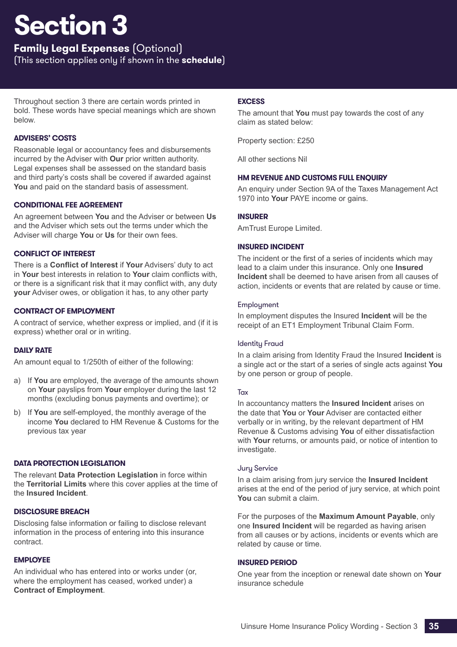## <span id="page-36-0"></span>**Family Legal Expenses** (Optional)

(This section applies only if shown in the **schedule**)

Throughout section 3 there are certain words printed in bold. These words have special meanings which are shown below.

## **ADVISERS' COSTS**

Reasonable legal or accountancy fees and disbursements incurred by the Adviser with **Our** prior written authority. Legal expenses shall be assessed on the standard basis and third party's costs shall be covered if awarded against **You** and paid on the standard basis of assessment.

## **CONDITIONAL FEE AGREEMENT**

An agreement between **You** and the Adviser or between **Us** and the Adviser which sets out the terms under which the Adviser will charge **You** or **Us** for their own fees.

## **CONFLICT OF INTEREST**

There is a **Conflict of Interest** if **Your** Advisers' duty to act in **Your** best interests in relation to **Your** claim conflicts with, or there is a significant risk that it may conflict with, any duty **your** Adviser owes, or obligation it has, to any other party

## **CONTRACT OF EMPLOYMENT**

A contract of service, whether express or implied, and (if it is express) whether oral or in writing.

## **DAILY RATE**

An amount equal to 1/250th of either of the following:

- a) If **You** are employed, the average of the amounts shown on **Your** payslips from **Your** employer during the last 12 months (excluding bonus payments and overtime); or
- b) If **You** are self-employed, the monthly average of the income **You** declared to HM Revenue & Customs for the previous tax year

## **DATA PROTECTION LEGISLATION**

The relevant **Data Protection Legislation** in force within the **Territorial Limits** where this cover applies at the time of the **Insured Incident**.

## **DISCLOSURE BREACH**

Disclosing false information or failing to disclose relevant information in the process of entering into this insurance contract.

## **EMPLOYEE**

An individual who has entered into or works under (or, where the employment has ceased, worked under) a **Contract of Employment**.

## **EXCESS**

The amount that **You** must pay towards the cost of any claim as stated below:

Property section: £250

All other sections Nil

## **HM REVENUE AND CUSTOMS FULL ENQUIRY**

An enquiry under Section 9A of the Taxes Management Act 1970 into **Your** PAYE income or gains.

## **INSURER**

AmTrust Europe Limited.

## **INSURED INCIDENT**

The incident or the first of a series of incidents which may lead to a claim under this insurance. Only one **Insured Incident** shall be deemed to have arisen from all causes of action, incidents or events that are related by cause or time.

### Employment

In employment disputes the Insured **Incident** will be the receipt of an ET1 Employment Tribunal Claim Form.

## Identity Fraud

In a claim arising from Identity Fraud the Insured **Incident** is a single act or the start of a series of single acts against **You** by one person or group of people.

## **Tax**

In accountancy matters the **Insured Incident** arises on the date that **You** or **Your** Adviser are contacted either verbally or in writing, by the relevant department of HM Revenue & Customs advising **You** of either dissatisfaction with **Your** returns, or amounts paid, or notice of intention to investigate.

#### Jury Service

In a claim arising from jury service the **Insured Incident** arises at the end of the period of jury service, at which point **You** can submit a claim.

For the purposes of the **Maximum Amount Payable**, only one **Insured Incident** will be regarded as having arisen from all causes or by actions, incidents or events which are related by cause or time.

## **INSURED PERIOD**

One year from the inception or renewal date shown on **Your** insurance schedule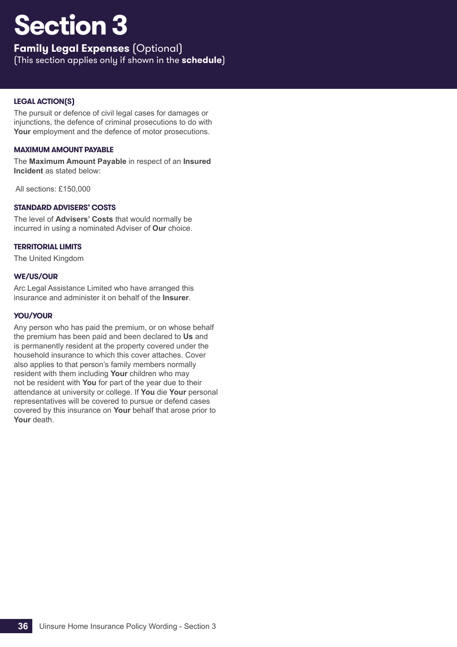## **Family Legal Expenses** (Optional)

(This section applies only if shown in the **schedule**)

## **LEGAL ACTION(S)**

The pursuit or defence of civil legal cases for damages or injunctions, the defence of criminal prosecutions to do with **Your** employment and the defence of motor prosecutions.

## **MAXIMUM AMOUNT PAYABLE**

The **Maximum Amount Payable** in respect of an **Insured Incident** as stated below:

All sections: £150,000

## **STANDARD ADVISERS' COSTS**

The level of **Advisers' Costs** that would normally be incurred in using a nominated Adviser of **Our** choice.

## **TERRITORIAL LIMITS**

The United Kingdom

## **WE/US/OUR**

Arc Legal Assistance Limited who have arranged this insurance and administer it on behalf of the **Insurer**.

## **YOU/YOUR**

Any person who has paid the premium, or on whose behalf the premium has been paid and been declared to **Us** and is permanently resident at the property covered under the household insurance to which this cover attaches. Cover also applies to that person's family members normally resident with them including **Your** children who may not be resident with **You** for part of the year due to their attendance at university or college. If **You** die **Your** personal representatives will be covered to pursue or defend cases covered by this insurance on **Your** behalf that arose prior to **Your** death.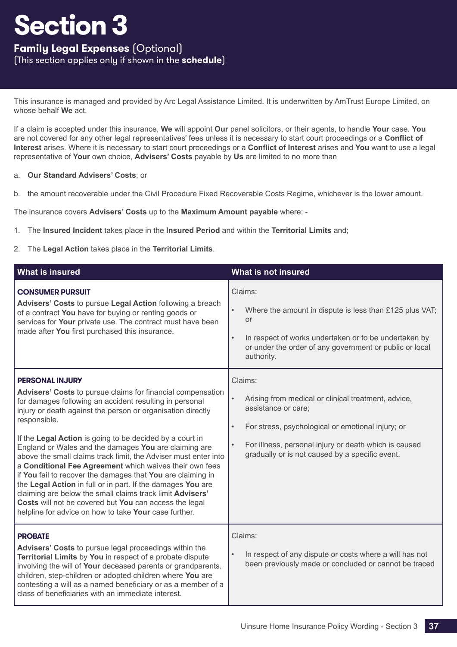## **Family Legal Expenses** (Optional)

(This section applies only if shown in the **schedule**)

This insurance is managed and provided by Arc Legal Assistance Limited. It is underwritten by AmTrust Europe Limited, on whose behalf **We** act.

If a claim is accepted under this insurance, **We** will appoint **Our** panel solicitors, or their agents, to handle **Your** case. **You** are not covered for any other legal representatives' fees unless it is necessary to start court proceedings or a **Conflict of Interest** arises. Where it is necessary to start court proceedings or a **Conflict of Interest** arises and **You** want to use a legal representative of **Your** own choice, **Advisers' Costs** payable by **Us** are limited to no more than

### a. **Our Standard Advisers' Costs**; or

b. the amount recoverable under the Civil Procedure Fixed Recoverable Costs Regime, whichever is the lower amount.

The insurance covers **Advisers' Costs** up to the **Maximum Amount payable** where: -

- 1. The **Insured Incident** takes place in the **Insured Period** and within the **Territorial Limits** and;
- 2. The **Legal Action** takes place in the **Territorial Limits**.

| <b>What is insured</b>                                                                                                                                                                                                                                                                                                                                                                                                                                                                                                                                                                                                                                                                                                                                                                           | What is not insured                                                                                                                                                                                                                                                                           |
|--------------------------------------------------------------------------------------------------------------------------------------------------------------------------------------------------------------------------------------------------------------------------------------------------------------------------------------------------------------------------------------------------------------------------------------------------------------------------------------------------------------------------------------------------------------------------------------------------------------------------------------------------------------------------------------------------------------------------------------------------------------------------------------------------|-----------------------------------------------------------------------------------------------------------------------------------------------------------------------------------------------------------------------------------------------------------------------------------------------|
| <b>CONSUMER PURSUIT</b><br>Advisers' Costs to pursue Legal Action following a breach<br>of a contract You have for buying or renting goods or<br>services for Your private use. The contract must have been<br>made after You first purchased this insurance.                                                                                                                                                                                                                                                                                                                                                                                                                                                                                                                                    | Claims:<br>Where the amount in dispute is less than £125 plus VAT;<br>$\bullet$<br><b>or</b><br>In respect of works undertaken or to be undertaken by<br>$\bullet$<br>or under the order of any government or public or local<br>authority.                                                   |
| <b>PERSONAL INJURY</b><br>Advisers' Costs to pursue claims for financial compensation<br>for damages following an accident resulting in personal<br>injury or death against the person or organisation directly<br>responsible.<br>If the Legal Action is going to be decided by a court in<br>England or Wales and the damages You are claiming are<br>above the small claims track limit, the Adviser must enter into<br>a Conditional Fee Agreement which waives their own fees<br>if You fail to recover the damages that You are claiming in<br>the Legal Action in full or in part. If the damages You are<br>claiming are below the small claims track limit Advisers'<br>Costs will not be covered but You can access the legal<br>helpline for advice on how to take Your case further. | Claims:<br>Arising from medical or clinical treatment, advice,<br>$\bullet$<br>assistance or care;<br>For stress, psychological or emotional injury; or<br>$\bullet$<br>For illness, personal injury or death which is caused<br>$\bullet$<br>gradually or is not caused by a specific event. |
| <b>PROBATE</b><br>Advisers' Costs to pursue legal proceedings within the<br>Territorial Limits by You in respect of a probate dispute<br>involving the will of Your deceased parents or grandparents,<br>children, step-children or adopted children where You are<br>contesting a will as a named beneficiary or as a member of a<br>class of beneficiaries with an immediate interest.                                                                                                                                                                                                                                                                                                                                                                                                         | Claims:<br>In respect of any dispute or costs where a will has not<br>$\bullet$<br>been previously made or concluded or cannot be traced                                                                                                                                                      |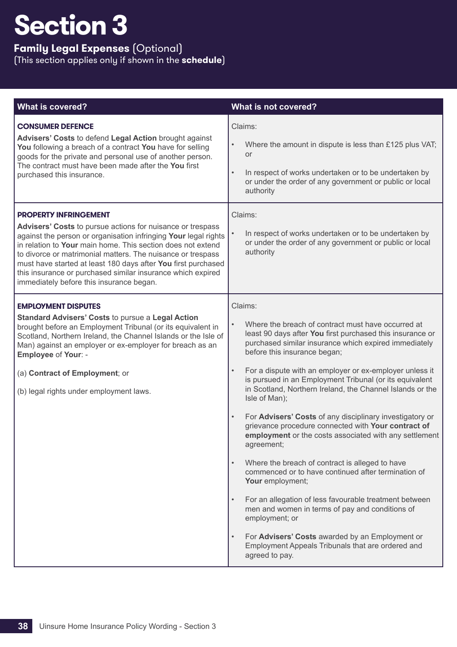## **Family Legal Expenses** (Optional)

| <b>What is covered?</b>                                                                                                                                                                                                                                                                                                                                                                                                                                                 | What is not covered?                                                                                                                                                                                                                                                                                                                                                                                                                                                                                                                                                                                                                                                                                                                                                                                                                                                                                                                                                                                                                                                                    |
|-------------------------------------------------------------------------------------------------------------------------------------------------------------------------------------------------------------------------------------------------------------------------------------------------------------------------------------------------------------------------------------------------------------------------------------------------------------------------|-----------------------------------------------------------------------------------------------------------------------------------------------------------------------------------------------------------------------------------------------------------------------------------------------------------------------------------------------------------------------------------------------------------------------------------------------------------------------------------------------------------------------------------------------------------------------------------------------------------------------------------------------------------------------------------------------------------------------------------------------------------------------------------------------------------------------------------------------------------------------------------------------------------------------------------------------------------------------------------------------------------------------------------------------------------------------------------------|
| <b>CONSUMER DEFENCE</b><br>Advisers' Costs to defend Legal Action brought against<br>You following a breach of a contract You have for selling<br>goods for the private and personal use of another person.<br>The contract must have been made after the You first<br>purchased this insurance.                                                                                                                                                                        | Claims:<br>Where the amount in dispute is less than £125 plus VAT;<br>$\bullet$<br>or<br>In respect of works undertaken or to be undertaken by<br>$\bullet$<br>or under the order of any government or public or local<br>authority                                                                                                                                                                                                                                                                                                                                                                                                                                                                                                                                                                                                                                                                                                                                                                                                                                                     |
| <b>PROPERTY INFRINGEMENT</b><br>Advisers' Costs to pursue actions for nuisance or trespass<br>against the person or organisation infringing Your legal rights<br>in relation to Your main home. This section does not extend<br>to divorce or matrimonial matters. The nuisance or trespass<br>must have started at least 180 days after You first purchased<br>this insurance or purchased similar insurance which expired<br>immediately before this insurance began. | Claims:<br>$\bullet$<br>In respect of works undertaken or to be undertaken by<br>or under the order of any government or public or local<br>authority                                                                                                                                                                                                                                                                                                                                                                                                                                                                                                                                                                                                                                                                                                                                                                                                                                                                                                                                   |
| <b>EMPLOYMENT DISPUTES</b><br><b>Standard Advisers' Costs to pursue a Legal Action</b><br>brought before an Employment Tribunal (or its equivalent in<br>Scotland, Northern Ireland, the Channel Islands or the Isle of<br>Man) against an employer or ex-employer for breach as an<br>Employee of Your: -<br>(a) Contract of Employment; or<br>(b) legal rights under employment laws.                                                                                 | Claims:<br>Where the breach of contract must have occurred at<br>$\bullet$<br>least 90 days after You first purchased this insurance or<br>purchased similar insurance which expired immediately<br>before this insurance began;<br>For a dispute with an employer or ex-employer unless it<br>$\bullet$<br>is pursued in an Employment Tribunal (or its equivalent<br>in Scotland, Northern Ireland, the Channel Islands or the<br>Isle of Man);<br>For Advisers' Costs of any disciplinary investigatory or<br>$\bullet$<br>grievance procedure connected with Your contract of<br>employment or the costs associated with any settlement<br>agreement;<br>Where the breach of contract is alleged to have<br>$\bullet$<br>commenced or to have continued after termination of<br>Your employment;<br>For an allegation of less favourable treatment between<br>$\bullet$<br>men and women in terms of pay and conditions of<br>employment; or<br>For Advisers' Costs awarded by an Employment or<br>$\bullet$<br>Employment Appeals Tribunals that are ordered and<br>agreed to pay. |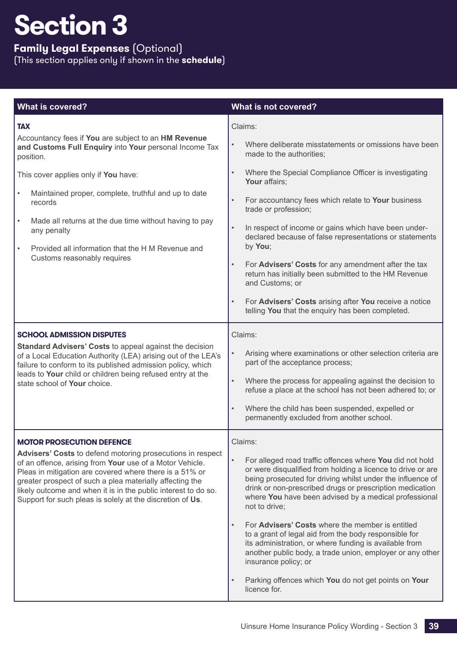## **Family Legal Expenses** (Optional)

| <b>What is covered?</b>                                                                                                                                                                                                                                                                                                                                                                                           | What is not covered?                                                                                                                                                                                                                                                                                                                                                                                                                                                                                                                                                                                                                                                                                              |
|-------------------------------------------------------------------------------------------------------------------------------------------------------------------------------------------------------------------------------------------------------------------------------------------------------------------------------------------------------------------------------------------------------------------|-------------------------------------------------------------------------------------------------------------------------------------------------------------------------------------------------------------------------------------------------------------------------------------------------------------------------------------------------------------------------------------------------------------------------------------------------------------------------------------------------------------------------------------------------------------------------------------------------------------------------------------------------------------------------------------------------------------------|
| <b>TAX</b><br>Accountancy fees if You are subject to an HM Revenue<br>and Customs Full Enquiry into Your personal Income Tax<br>position.<br>This cover applies only if You have:<br>Maintained proper, complete, truthful and up to date<br>records<br>Made all returns at the due time without having to pay<br>any penalty<br>Provided all information that the H M Revenue and<br>Customs reasonably requires | Claims:<br>Where deliberate misstatements or omissions have been<br>$\bullet$<br>made to the authorities;<br>Where the Special Compliance Officer is investigating<br>$\bullet$<br>Your affairs;<br>For accountancy fees which relate to Your business<br>$\bullet$<br>trade or profession;<br>In respect of income or gains which have been under-<br>$\bullet$<br>declared because of false representations or statements<br>by You;<br>For Advisers' Costs for any amendment after the tax<br>$\bullet$<br>return has initially been submitted to the HM Revenue<br>and Customs; or<br>For Advisers' Costs arising after You receive a notice<br>$\bullet$<br>telling You that the enquiry has been completed. |
| <b>SCHOOL ADMISSION DISPUTES</b><br><b>Standard Advisers' Costs to appeal against the decision</b><br>of a Local Education Authority (LEA) arising out of the LEA's<br>failure to conform to its published admission policy, which<br>leads to Your child or children being refused entry at the<br>state school of Your choice.                                                                                  | Claims:<br>Arising where examinations or other selection criteria are<br>$\bullet$<br>part of the acceptance process;<br>Where the process for appealing against the decision to<br>$\bullet$<br>refuse a place at the school has not been adhered to; or<br>Where the child has been suspended, expelled or<br>$\bullet$<br>permanently excluded from another school.                                                                                                                                                                                                                                                                                                                                            |
| <b>MOTOR PROSECUTION DEFENCE</b><br>Advisers' Costs to defend motoring prosecutions in respect<br>of an offence, arising from Your use of a Motor Vehicle.<br>Pleas in mitigation are covered where there is a 51% or<br>greater prospect of such a plea materially affecting the<br>likely outcome and when it is in the public interest to do so.<br>Support for such pleas is solely at the discretion of Us.  | Claims:<br>$\bullet$<br>For alleged road traffic offences where You did not hold<br>or were disqualified from holding a licence to drive or are<br>being prosecuted for driving whilst under the influence of<br>drink or non-prescribed drugs or prescription medication<br>where You have been advised by a medical professional<br>not to drive;<br>For Advisers' Costs where the member is entitled<br>$\bullet$<br>to a grant of legal aid from the body responsible for<br>its administration, or where funding is available from<br>another public body, a trade union, employer or any other<br>insurance policy; or<br>Parking offences which You do not get points on Your<br>$\bullet$<br>licence for. |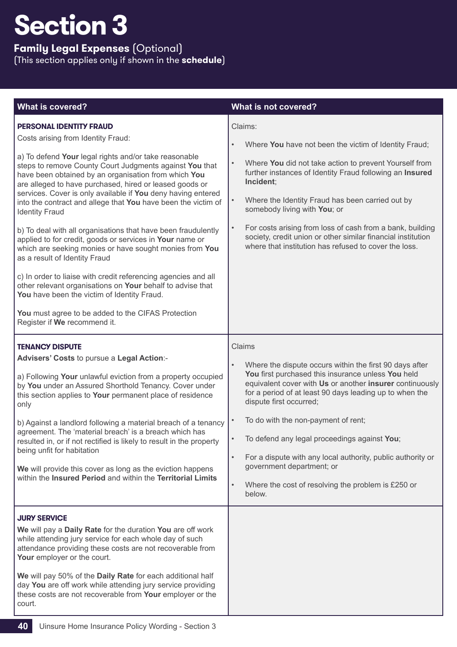**Family Legal Expenses** (Optional)

| <b>What is covered?</b>                                                                                                                                                                                                                                                                                                                                                                                                                                                                                                                                                                                                                                                                                                                                                                                                                                                                                                                                             | What is not covered?                                                                                                                                                                                                                                                                                                                                                                                                                                                                                                                                                             |
|---------------------------------------------------------------------------------------------------------------------------------------------------------------------------------------------------------------------------------------------------------------------------------------------------------------------------------------------------------------------------------------------------------------------------------------------------------------------------------------------------------------------------------------------------------------------------------------------------------------------------------------------------------------------------------------------------------------------------------------------------------------------------------------------------------------------------------------------------------------------------------------------------------------------------------------------------------------------|----------------------------------------------------------------------------------------------------------------------------------------------------------------------------------------------------------------------------------------------------------------------------------------------------------------------------------------------------------------------------------------------------------------------------------------------------------------------------------------------------------------------------------------------------------------------------------|
| <b>PERSONAL IDENTITY FRAUD</b><br>Costs arising from Identity Fraud:<br>a) To defend Your legal rights and/or take reasonable<br>steps to remove County Court Judgments against You that<br>have been obtained by an organisation from which You<br>are alleged to have purchased, hired or leased goods or<br>services. Cover is only available if You deny having entered<br>into the contract and allege that You have been the victim of<br><b>Identity Fraud</b><br>b) To deal with all organisations that have been fraudulently<br>applied to for credit, goods or services in Your name or<br>which are seeking monies or have sought monies from You<br>as a result of Identity Fraud<br>c) In order to liaise with credit referencing agencies and all<br>other relevant organisations on Your behalf to advise that<br>You have been the victim of Identity Fraud.<br>You must agree to be added to the CIFAS Protection<br>Register if We recommend it. | Claims:<br>Where You have not been the victim of Identity Fraud;<br>$\bullet$<br>Where You did not take action to prevent Yourself from<br>$\bullet$<br>further instances of Identity Fraud following an Insured<br>Incident;<br>$\bullet$<br>Where the Identity Fraud has been carried out by<br>somebody living with You; or<br>For costs arising from loss of cash from a bank, building<br>$\bullet$<br>society, credit union or other similar financial institution<br>where that institution has refused to cover the loss.                                                |
| <b>TENANCY DISPUTE</b><br>Advisers' Costs to pursue a Legal Action:-<br>a) Following Your unlawful eviction from a property occupied<br>by You under an Assured Shorthold Tenancy. Cover under<br>this section applies to Your permanent place of residence<br>only<br>b) Against a landlord following a material breach of a tenancy<br>agreement. The 'material breach' is a breach which has<br>resulted in, or if not rectified is likely to result in the property<br>being unfit for habitation<br>We will provide this cover as long as the eviction happens<br>within the Insured Period and within the Territorial Limits                                                                                                                                                                                                                                                                                                                                  | Claims<br>Where the dispute occurs within the first 90 days after<br>$\bullet$<br>You first purchased this insurance unless You held<br>equivalent cover with Us or another insurer continuously<br>for a period of at least 90 days leading up to when the<br>dispute first occurred;<br>To do with the non-payment of rent;<br>$\bullet$<br>To defend any legal proceedings against You;<br>For a dispute with any local authority, public authority or<br>$\bullet$<br>government department; or<br>Where the cost of resolving the problem is £250 or<br>$\bullet$<br>below. |
| <b>JURY SERVICE</b><br>We will pay a Daily Rate for the duration You are off work<br>while attending jury service for each whole day of such<br>attendance providing these costs are not recoverable from<br>Your employer or the court.<br>We will pay 50% of the Daily Rate for each additional half<br>day You are off work while attending jury service providing<br>these costs are not recoverable from Your employer or the<br>court.                                                                                                                                                                                                                                                                                                                                                                                                                                                                                                                        |                                                                                                                                                                                                                                                                                                                                                                                                                                                                                                                                                                                  |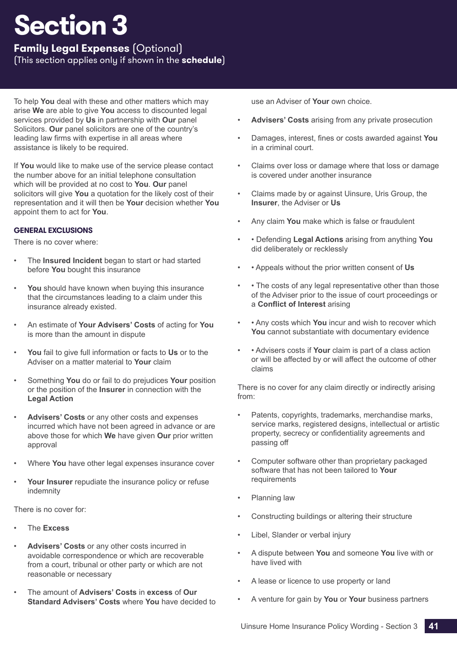**Family Legal Expenses** (Optional)

(This section applies only if shown in the **schedule**)

To help **You** deal with these and other matters which may arise **We** are able to give **You** access to discounted legal services provided by **Us** in partnership with **Our** panel Solicitors. **Our** panel solicitors are one of the country's leading law firms with expertise in all areas where assistance is likely to be required.

If **You** would like to make use of the service please contact the number above for an initial telephone consultation which will be provided at no cost to **You**. **Our** panel solicitors will give **You** a quotation for the likely cost of their representation and it will then be **Your** decision whether **You** appoint them to act for **You**.

## **GENERAL EXCLUSIONS**

There is no cover where:

- The **Insured Incident** began to start or had started before **You** bought this insurance
- You should have known when buying this insurance that the circumstances leading to a claim under this insurance already existed.
- An estimate of **Your Advisers' Costs** of acting for **You** is more than the amount in dispute
- **You** fail to give full information or facts to **Us** or to the Adviser on a matter material to **Your** claim
- Something **You** do or fail to do prejudices **Your** position or the position of the **Insurer** in connection with the **Legal Action**
- **Advisers' Costs** or any other costs and expenses incurred which have not been agreed in advance or are above those for which **We** have given **Our** prior written approval
- Where **You** have other legal expenses insurance cover
- **Your Insurer** repudiate the insurance policy or refuse indemnity

There is no cover for:

- The **Excess**
- **Advisers' Costs** or any other costs incurred in avoidable correspondence or which are recoverable from a court, tribunal or other party or which are not reasonable or necessary
- The amount of **Advisers' Costs** in **excess** of **Our Standard Advisers' Costs** where **You** have decided to

use an Adviser of **Your** own choice.

- **Advisers' Costs** arising from any private prosecution
- Damages, interest, fines or costs awarded against **You** in a criminal court.
- Claims over loss or damage where that loss or damage is covered under another insurance
- Claims made by or against Uinsure, Uris Group, the **Insurer**, the Adviser or **Us**
- Any claim **You** make which is false or fraudulent
- • Defending **Legal Actions** arising from anything **You** did deliberately or recklessly
- • Appeals without the prior written consent of **Us**
- • The costs of any legal representative other than those of the Adviser prior to the issue of court proceedings or a **Conflict of Interest** arising
- • Any costs which **You** incur and wish to recover which **You** cannot substantiate with documentary evidence
- • Advisers costs if **Your** claim is part of a class action or will be affected by or will affect the outcome of other claims

There is no cover for any claim directly or indirectly arising from:

- Patents, copyrights, trademarks, merchandise marks, service marks, registered designs, intellectual or artistic property, secrecy or confidentiality agreements and passing off
- Computer software other than proprietary packaged software that has not been tailored to **Your** requirements
- Planning law
- Constructing buildings or altering their structure
- Libel, Slander or verbal injury
- A dispute between **You** and someone **You** live with or have lived with
- A lease or licence to use property or land
- A venture for gain by **You** or **Your** business partners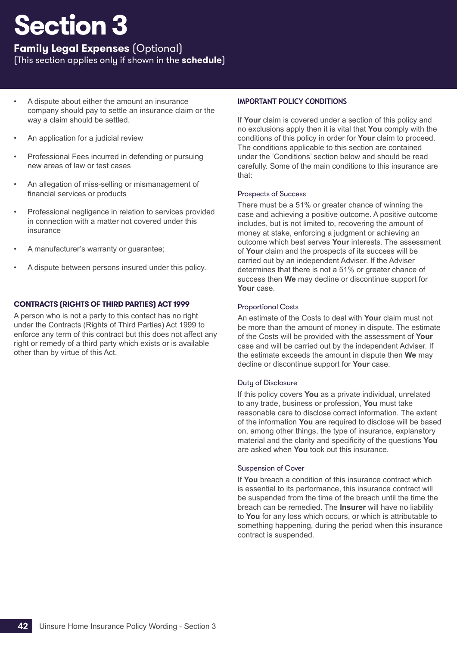**Family Legal Expenses** (Optional)

(This section applies only if shown in the **schedule**)

- A dispute about either the amount an insurance company should pay to settle an insurance claim or the way a claim should be settled.
- An application for a judicial review
- Professional Fees incurred in defending or pursuing new areas of law or test cases
- An allegation of miss-selling or mismanagement of financial services or products
- Professional negligence in relation to services provided in connection with a matter not covered under this insurance
- A manufacturer's warranty or guarantee;
- A dispute between persons insured under this policy.

## **CONTRACTS (RIGHTS OF THIRD PARTIES) ACT 1999**

A person who is not a party to this contact has no right under the Contracts (Rights of Third Parties) Act 1999 to enforce any term of this contract but this does not affect any right or remedy of a third party which exists or is available other than by virtue of this Act.

## **IMPORTANT POLICY CONDITIONS**

If **Your** claim is covered under a section of this policy and no exclusions apply then it is vital that **You** comply with the conditions of this policy in order for **Your** claim to proceed. The conditions applicable to this section are contained under the 'Conditions' section below and should be read carefully. Some of the main conditions to this insurance are that:

### Prospects of Success

There must be a 51% or greater chance of winning the case and achieving a positive outcome. A positive outcome includes, but is not limited to, recovering the amount of money at stake, enforcing a judgment or achieving an outcome which best serves **Your** interests. The assessment of **Your** claim and the prospects of its success will be carried out by an independent Adviser. If the Adviser determines that there is not a 51% or greater chance of success then **We** may decline or discontinue support for **Your** case.

## Proportional Costs

An estimate of the Costs to deal with **Your** claim must not be more than the amount of money in dispute. The estimate of the Costs will be provided with the assessment of **Your** case and will be carried out by the independent Adviser. If the estimate exceeds the amount in dispute then **We** may decline or discontinue support for **Your** case.

## Duty of Disclosure

If this policy covers **You** as a private individual, unrelated to any trade, business or profession, **You** must take reasonable care to disclose correct information. The extent of the information **You** are required to disclose will be based on, among other things, the type of insurance, explanatory material and the clarity and specificity of the questions **You** are asked when **You** took out this insurance.

## Suspension of Cover

If **You** breach a condition of this insurance contract which is essential to its performance, this insurance contract will be suspended from the time of the breach until the time the breach can be remedied. The **Insurer** will have no liability to **You** for any loss which occurs, or which is attributable to something happening, during the period when this insurance contract is suspended.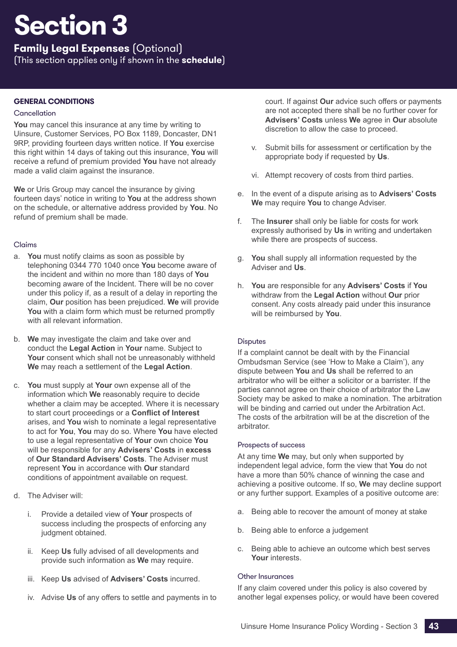**Family Legal Expenses** (Optional)

(This section applies only if shown in the **schedule**)

## **GENERAL CONDITIONS**

### <span id="page-44-0"></span>**Cancellation**

**You** may cancel this insurance at any time by writing to Uinsure, Customer Services, PO Box 1189, Doncaster, DN1 9RP, providing fourteen days written notice. If **You** exercise this right within 14 days of taking out this insurance, **You** will receive a refund of premium provided **You** have not already made a valid claim against the insurance.

**We** or Uris Group may cancel the insurance by giving fourteen days' notice in writing to **You** at the address shown on the schedule, or alternative address provided by **You**. No refund of premium shall be made.

### Claims

- a. **You** must notify claims as soon as possible by telephoning 0344 770 1040 once **You** become aware of the incident and within no more than 180 days of **You** becoming aware of the Incident. There will be no cover under this policy if, as a result of a delay in reporting the claim, **Our** position has been prejudiced. **We** will provide **You** with a claim form which must be returned promptly with all relevant information.
- b. **We** may investigate the claim and take over and conduct the **Legal Action** in **Your** name. Subject to Your consent which shall not be unreasonably withheld **We** may reach a settlement of the **Legal Action**.
- c. **You** must supply at **Your** own expense all of the information which **We** reasonably require to decide whether a claim may be accepted. Where it is necessary to start court proceedings or a **Conflict of Interest** arises, and **You** wish to nominate a legal representative to act for **You**, **You** may do so. Where **You** have elected to use a legal representative of **Your** own choice **You** will be responsible for any **Advisers' Costs** in **excess** of **Our Standard Advisers' Costs**. The Adviser must represent **You** in accordance with **Our** standard conditions of appointment available on request.
- d. The Adviser will:
	- i. Provide a detailed view of **Your** prospects of success including the prospects of enforcing any judgment obtained.
	- ii. Keep **Us** fully advised of all developments and provide such information as **We** may require.
	- iii. Keep **Us** advised of **Advisers' Costs** incurred.
	- iv. Advise **Us** of any offers to settle and payments in to

court. If against **Our** advice such offers or payments are not accepted there shall be no further cover for **Advisers' Costs** unless **We** agree in **Our** absolute discretion to allow the case to proceed.

- v. Submit bills for assessment or certification by the appropriate body if requested by **Us**.
- vi. Attempt recovery of costs from third parties.
- e. In the event of a dispute arising as to **Advisers' Costs We** may require **You** to change Adviser.
- f. The **Insurer** shall only be liable for costs for work expressly authorised by **Us** in writing and undertaken while there are prospects of success.
- g. **You** shall supply all information requested by the Adviser and **Us**.
- h. **You** are responsible for any **Advisers' Costs** if **You** withdraw from the **Legal Action** without **Our** prior consent. Any costs already paid under this insurance will be reimbursed by **You**.

## **Disputes**

If a complaint cannot be dealt with by the Financial Ombudsman Service (see 'How to Make a Claim'), any dispute between **You** and **Us** shall be referred to an arbitrator who will be either a solicitor or a barrister. If the parties cannot agree on their choice of arbitrator the Law Society may be asked to make a nomination. The arbitration will be binding and carried out under the Arbitration Act. The costs of the arbitration will be at the discretion of the arbitrator.

#### Prospects of success

At any time **We** may, but only when supported by independent legal advice, form the view that **You** do not have a more than 50% chance of winning the case and achieving a positive outcome. If so, **We** may decline support or any further support. Examples of a positive outcome are:

- a. Being able to recover the amount of money at stake
- b. Being able to enforce a judgement
- c. Being able to achieve an outcome which best serves **Your** interests.

#### Other Insurances

If any claim covered under this policy is also covered by another legal expenses policy, or would have been covered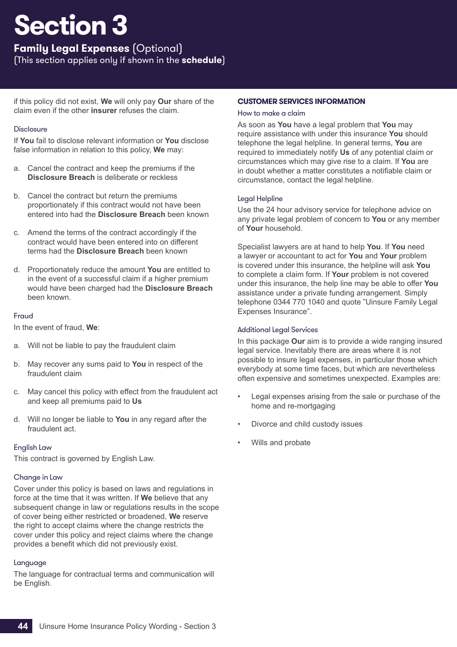**Family Legal Expenses** (Optional)

(This section applies only if shown in the **schedule**)

if this policy did not exist, **We** will only pay **Our** share of the claim even if the other **insurer** refuses the claim.

## **Disclosure**

If **You** fail to disclose relevant information or **You** disclose false information in relation to this policy, **We** may:

- a. Cancel the contract and keep the premiums if the **Disclosure Breach** is deliberate or reckless
- b. Cancel the contract but return the premiums proportionately if this contract would not have been entered into had the **Disclosure Breach** been known
- c. Amend the terms of the contract accordingly if the contract would have been entered into on different terms had the **Disclosure Breach** been known
- d. Proportionately reduce the amount **You** are entitled to in the event of a successful claim if a higher premium would have been charged had the **Disclosure Breach** been known.

## Fraud

In the event of fraud, **We**:

- a. Will not be liable to pay the fraudulent claim
- b. May recover any sums paid to **You** in respect of the fraudulent claim
- c. May cancel this policy with effect from the fraudulent act and keep all premiums paid to **Us**
- d. Will no longer be liable to **You** in any regard after the fraudulent act.

## English Law

This contract is governed by English Law.

## Change in Law

Cover under this policy is based on laws and regulations in force at the time that it was written. If **We** believe that any subsequent change in law or regulations results in the scope of cover being either restricted or broadened, **We** reserve the right to accept claims where the change restricts the cover under this policy and reject claims where the change provides a benefit which did not previously exist.

## Language

The language for contractual terms and communication will be English.

## **CUSTOMER SERVICES INFORMATION**

## How to make a claim

As soon as **You** have a legal problem that **You** may require assistance with under this insurance **You** should telephone the legal helpline. In general terms, **You** are required to immediately notify **Us** of any potential claim or circumstances which may give rise to a claim. If **You** are in doubt whether a matter constitutes a notifiable claim or circumstance, contact the legal helpline.

## Legal Helpline

Use the 24 hour advisory service for telephone advice on any private legal problem of concern to **You** or any member of **Your** household.

Specialist lawyers are at hand to help **You**. If **You** need a lawyer or accountant to act for **You** and **Your** problem is covered under this insurance, the helpline will ask **You** to complete a claim form. If **Your** problem is not covered under this insurance, the help line may be able to offer **You** assistance under a private funding arrangement. Simply telephone 0344 770 1040 and quote "Uinsure Family Legal Expenses Insurance".

## Additional Legal Services

In this package **Our** aim is to provide a wide ranging insured legal service. Inevitably there are areas where it is not possible to insure legal expenses, in particular those which everybody at some time faces, but which are nevertheless often expensive and sometimes unexpected. Examples are:

- Legal expenses arising from the sale or purchase of the home and re-mortgaging
- Divorce and child custody issues
- Wills and probate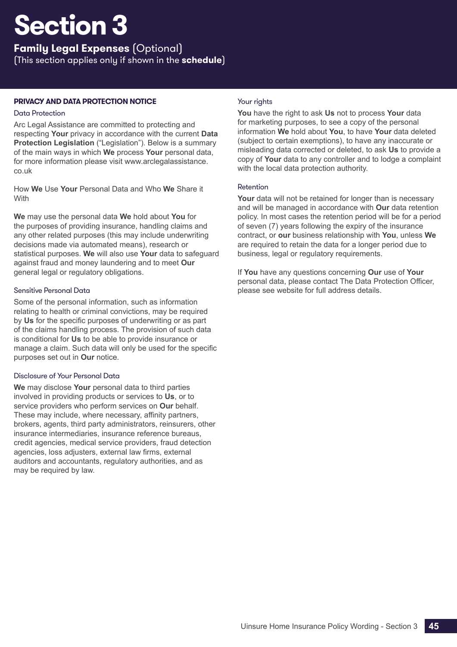**Family Legal Expenses** (Optional)

(This section applies only if shown in the **schedule**)

## **PRIVACY AND DATA PROTECTION NOTICE**

## Data Protection

Arc Legal Assistance are committed to protecting and respecting **Your** privacy in accordance with the current **Data Protection Legislation** ("Legislation"). Below is a summary of the main ways in which **We** process **Your** personal data, for more information please visit www.arclegalassistance. co.uk

How **We** Use **Your** Personal Data and Who **We** Share it With

**We** may use the personal data **We** hold about **You** for the purposes of providing insurance, handling claims and any other related purposes (this may include underwriting decisions made via automated means), research or statistical purposes. **We** will also use **Your** data to safeguard against fraud and money laundering and to meet **Our** general legal or regulatory obligations.

## Sensitive Personal Data

Some of the personal information, such as information relating to health or criminal convictions, may be required by **Us** for the specific purposes of underwriting or as part of the claims handling process. The provision of such data is conditional for **Us** to be able to provide insurance or manage a claim. Such data will only be used for the specific purposes set out in **Our** notice.

## Disclosure of Your Personal Data

**We** may disclose **Your** personal data to third parties involved in providing products or services to **Us**, or to service providers who perform services on **Our** behalf. These may include, where necessary, affinity partners, brokers, agents, third party administrators, reinsurers, other insurance intermediaries, insurance reference bureaus, credit agencies, medical service providers, fraud detection agencies, loss adjusters, external law firms, external auditors and accountants, regulatory authorities, and as may be required by law.

## Your rights

**You** have the right to ask **Us** not to process **Your** data for marketing purposes, to see a copy of the personal information **We** hold about **You**, to have **Your** data deleted (subject to certain exemptions), to have any inaccurate or misleading data corrected or deleted, to ask **Us** to provide a copy of **Your** data to any controller and to lodge a complaint with the local data protection authority.

## Retention

**Your** data will not be retained for longer than is necessary and will be managed in accordance with **Our** data retention policy. In most cases the retention period will be for a period of seven (7) years following the expiry of the insurance contract, or **our** business relationship with **You**, unless **We** are required to retain the data for a longer period due to business, legal or regulatory requirements.

If **You** have any questions concerning **Our** use of **Your** personal data, please contact The Data Protection Officer, please see website for full address details.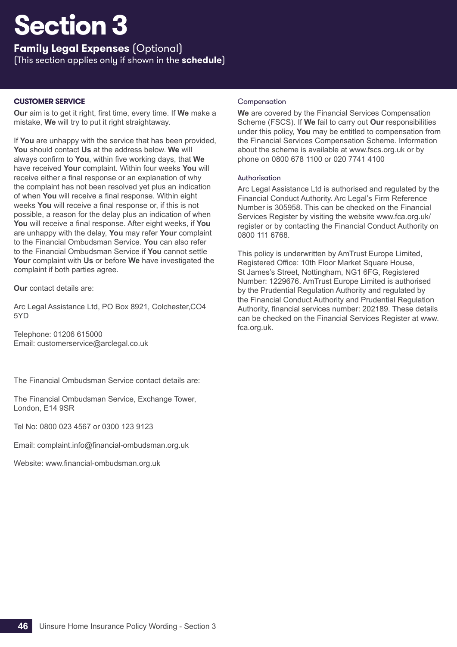**Family Legal Expenses** (Optional) (This section applies only if shown in the **schedule**)

## **CUSTOMER SERVICE**

**Our** aim is to get it right, first time, every time. If **We** make a mistake, **We** will try to put it right straightaway.

If **You** are unhappy with the service that has been provided, **You** should contact **Us** at the address below. **We** will always confirm to **You**, within five working days, that **We** have received **Your** complaint. Within four weeks **You** will receive either a final response or an explanation of why the complaint has not been resolved yet plus an indication of when **You** will receive a final response. Within eight weeks **You** will receive a final response or, if this is not possible, a reason for the delay plus an indication of when **You** will receive a final response. After eight weeks, if **You** are unhappy with the delay, **You** may refer **Your** complaint to the Financial Ombudsman Service. **You** can also refer to the Financial Ombudsman Service if **You** cannot settle **Your** complaint with **Us** or before **We** have investigated the complaint if both parties agree.

**Our** contact details are:

Arc Legal Assistance Ltd, PO Box 8921, Colchester,CO4 5YD

Telephone: 01206 615000 Email: customerservice@arclegal.co.uk

The Financial Ombudsman Service contact details are:

The Financial Ombudsman Service, Exchange Tower, London, E14 9SR

Tel No: 0800 023 4567 or 0300 123 9123

Email: complaint.info@financial-ombudsman.org.uk

Website: www.financial-ombudsman.org.uk

### Compensation

**We** are covered by the Financial Services Compensation Scheme (FSCS). If **We** fail to carry out **Our** responsibilities under this policy, **You** may be entitled to compensation from the Financial Services Compensation Scheme. Information about the scheme is available at www.fscs.org.uk or by phone on 0800 678 1100 or 020 7741 4100

#### Authorisation

Arc Legal Assistance Ltd is authorised and regulated by the Financial Conduct Authority. Arc Legal's Firm Reference Number is 305958. This can be checked on the Financial Services Register by visiting the website www.fca.org.uk/ register or by contacting the Financial Conduct Authority on 0800 111 6768.

This policy is underwritten by AmTrust Europe Limited, Registered Office: 10th Floor Market Square House, St James's Street, Nottingham, NG1 6FG, Registered Number: 1229676. AmTrust Europe Limited is authorised by the Prudential Regulation Authority and regulated by the Financial Conduct Authority and Prudential Regulation Authority, financial services number: 202189. These details can be checked on the Financial Services Register at www. fca.org.uk.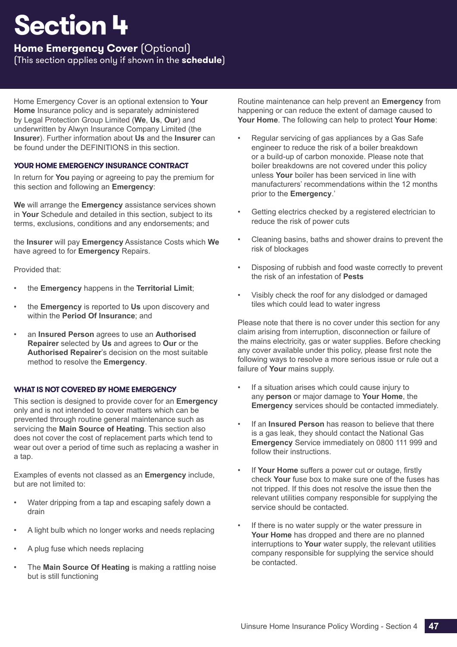## <span id="page-48-0"></span>**Home Emergency Cover** (Optional)

(This section applies only if shown in the **schedule**)

Home Emergency Cover is an optional extension to **Your Home** Insurance policy and is separately administered by Legal Protection Group Limited (**We**, **Us**, **Our**) and underwritten by Alwyn Insurance Company Limited (the **Insurer**). Further information about **Us** and the **Insurer** can be found under the DEFINITIONS in this section.

## **YOUR HOME EMERGENCY INSURANCE CONTRACT**

In return for **You** paying or agreeing to pay the premium for this section and following an **Emergency**:

**We** will arrange the **Emergency** assistance services shown in **Your** Schedule and detailed in this section, subject to its terms, exclusions, conditions and any endorsements; and

the **Insurer** will pay **Emergency** Assistance Costs which **We** have agreed to for **Emergency** Repairs.

Provided that:

- the **Emergency** happens in the **Territorial Limit**;
- the **Emergency** is reported to **Us** upon discovery and within the **Period Of Insurance**; and
- an **Insured Person** agrees to use an **Authorised Repairer** selected by **Us** and agrees to **Our** or the **Authorised Repairer**'s decision on the most suitable method to resolve the **Emergency**.

## **WHAT IS NOT COVERED BY HOME EMERGENCY**

This section is designed to provide cover for an **Emergency** only and is not intended to cover matters which can be prevented through routine general maintenance such as servicing the **Main Source of Heating**. This section also does not cover the cost of replacement parts which tend to wear out over a period of time such as replacing a washer in a tap.

Examples of events not classed as an **Emergency** include, but are not limited to:

- Water dripping from a tap and escaping safely down a drain
- A light bulb which no longer works and needs replacing
- A plug fuse which needs replacing
- The **Main Source Of Heating** is making a rattling noise but is still functioning

Routine maintenance can help prevent an **Emergency** from happening or can reduce the extent of damage caused to **Your Home**. The following can help to protect **Your Home**:

- Regular servicing of gas appliances by a Gas Safe engineer to reduce the risk of a boiler breakdown or a build-up of carbon monoxide. Please note that boiler breakdowns are not covered under this policy unless **Your** boiler has been serviced in line with manufacturers' recommendations within the 12 months prior to the **Emergency**.'
- Getting electrics checked by a registered electrician to reduce the risk of power cuts
- Cleaning basins, baths and shower drains to prevent the risk of blockages
- Disposing of rubbish and food waste correctly to prevent the risk of an infestation of **Pests**
- Visibly check the roof for any dislodged or damaged tiles which could lead to water ingress

Please note that there is no cover under this section for any claim arising from interruption, disconnection or failure of the mains electricity, gas or water supplies. Before checking any cover available under this policy, please first note the following ways to resolve a more serious issue or rule out a failure of **Your** mains supply.

- If a situation arises which could cause injury to any **person** or major damage to **Your Home**, the **Emergency** services should be contacted immediately.
- If an **Insured Person** has reason to believe that there is a gas leak, they should contact the National Gas **Emergency** Service immediately on 0800 111 999 and follow their instructions.
- If **Your Home** suffers a power cut or outage, firstly check **Your** fuse box to make sure one of the fuses has not tripped. If this does not resolve the issue then the relevant utilities company responsible for supplying the service should be contacted.
- If there is no water supply or the water pressure in **Your Home** has dropped and there are no planned interruptions to **Your** water supply, the relevant utilities company responsible for supplying the service should be contacted.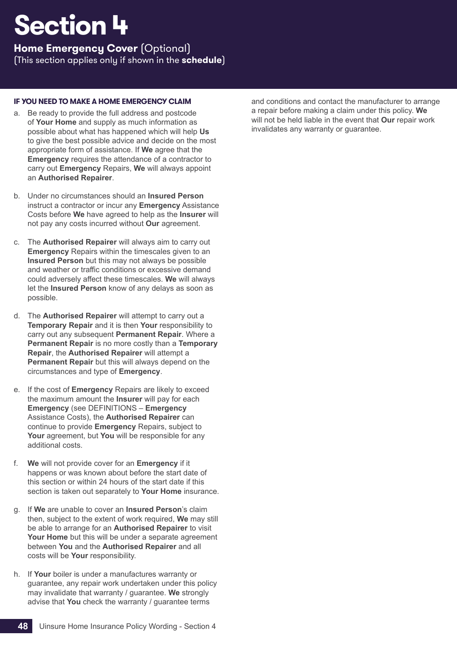**Home Emergency Cover** (Optional)

(This section applies only if shown in the **schedule**)

## **[IF YOU NEED TO MAKE A HOME EMERGENCY CLAIM](#page-9-0)**

- a. Be ready to provide the full address and postcode of **Your Home** and supply as much information as possible about what has happened which will help **Us** to give the best possible advice and decide on the most appropriate form of assistance. If **We** agree that the **Emergency** requires the attendance of a contractor to carry out **Emergency** Repairs, **We** will always appoint an **Authorised Repairer**.
- b. Under no circumstances should an **Insured Person** instruct a contractor or incur any **Emergency** Assistance Costs before **We** have agreed to help as the **Insurer** will not pay any costs incurred without **Our** agreement.
- c. The **Authorised Repairer** will always aim to carry out **Emergency** Repairs within the timescales given to an **Insured Person** but this may not always be possible and weather or traffic conditions or excessive demand could adversely affect these timescales. **We** will always let the **Insured Person** know of any delays as soon as possible.
- d. The **Authorised Repairer** will attempt to carry out a **Temporary Repair** and it is then **Your** responsibility to carry out any subsequent **Permanent Repair**. Where a **Permanent Repair** is no more costly than a **Temporary Repair**, the **Authorised Repairer** will attempt a **Permanent Repair** but this will always depend on the circumstances and type of **Emergency**.
- e. If the cost of **Emergency** Repairs are likely to exceed the maximum amount the **Insurer** will pay for each **Emergency** (see DEFINITIONS – **Emergency** Assistance Costs), the **Authorised Repairer** can continue to provide **Emergency** Repairs, subject to **Your** agreement, but **You** will be responsible for any additional costs.
- f. **We** will not provide cover for an **Emergency** if it happens or was known about before the start date of this section or within 24 hours of the start date if this section is taken out separately to **Your Home** insurance.
- g. If **We** are unable to cover an **Insured Person**'s claim then, subject to the extent of work required, **We** may still be able to arrange for an **Authorised Repairer** to visit **Your Home** but this will be under a separate agreement between **You** and the **Authorised Repairer** and all costs will be **Your** responsibility.
- h. If **Your** boiler is under a manufactures warranty or guarantee, any repair work undertaken under this policy may invalidate that warranty / guarantee. **We** strongly advise that **You** check the warranty / guarantee terms

and conditions and contact the manufacturer to arrange a repair before making a claim under this policy. **We** will not be held liable in the event that **Our** repair work invalidates any warranty or guarantee.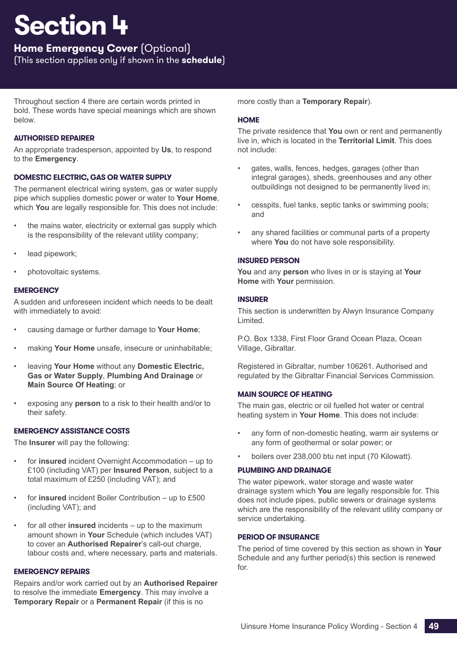## **Home Emergency Cover** (Optional)

(This section applies only if shown in the **schedule**)

Throughout section 4 there are certain words printed in bold. These words have special meanings which are shown below.

## **AUTHORISED REPAIRER**

An appropriate tradesperson, appointed by **Us**, to respond to the **Emergency**.

## **DOMESTIC ELECTRIC, GAS OR WATER SUPPLY**

The permanent electrical wiring system, gas or water supply pipe which supplies domestic power or water to **Your Home**, which **You** are legally responsible for. This does not include:

- the mains water, electricity or external gas supply which is the responsibility of the relevant utility company;
- lead pipework;
- photovoltaic systems.

## **EMERGENCY**

A sudden and unforeseen incident which needs to be dealt with immediately to avoid:

- causing damage or further damage to **Your Home**;
- making **Your Home** unsafe, insecure or uninhabitable;
- leaving **Your Home** without any **Domestic Electric, Gas or Water Supply**, **Plumbing And Drainage** or **Main Source Of Heating**; or
- exposing any **person** to a risk to their health and/or to their safety.

## **EMERGENCY ASSISTANCE COSTS**

The **Insurer** will pay the following:

- for **insured** incident Overnight Accommodation up to £100 (including VAT) per **Insured Person**, subject to a total maximum of £250 (including VAT); and
- for **insured** incident Boiler Contribution up to £500 (including VAT); and
- for all other **insured** incidents up to the maximum amount shown in **Your** Schedule (which includes VAT) to cover an **Authorised Repairer**'s call-out charge, labour costs and, where necessary, parts and materials.

## **EMERGENCY REPAIRS**

Repairs and/or work carried out by an **Authorised Repairer** to resolve the immediate **Emergency**. This may involve a **Temporary Repair** or a **Permanent Repair** (if this is no

more costly than a **Temporary Repair**).

### **HOME**

The private residence that **You** own or rent and permanently live in, which is located in the **Territorial Limit**. This does not include:

- gates, walls, fences, hedges, garages (other than integral garages), sheds, greenhouses and any other outbuildings not designed to be permanently lived in;
- cesspits, fuel tanks, septic tanks or swimming pools; and
- any shared facilities or communal parts of a property where **You** do not have sole responsibility.

## **INSURED PERSON**

**You** and any **person** who lives in or is staying at **Your Home** with **Your** permission.

### **INSURER**

This section is underwritten by Alwyn Insurance Company Limited.

P.O. Box 1338, First Floor Grand Ocean Plaza, Ocean Village, Gibraltar.

Registered in Gibraltar, number 106261. Authorised and regulated by the Gibraltar Financial Services Commission.

## **MAIN SOURCE OF HEATING**

The main gas, electric or oil fuelled hot water or central heating system in **Your Home**. This does not include:

- any form of non-domestic heating, warm air systems or any form of geothermal or solar power; or
- boilers over 238,000 btu net input (70 Kilowatt).

## **PLUMBING AND DRAINAGE**

The water pipework, water storage and waste water drainage system which **You** are legally responsible for. This does not include pipes, public sewers or drainage systems which are the responsibility of the relevant utility company or service undertaking.

## **PERIOD OF INSURANCE**

The period of time covered by this section as shown in **Your** Schedule and any further period(s) this section is renewed for.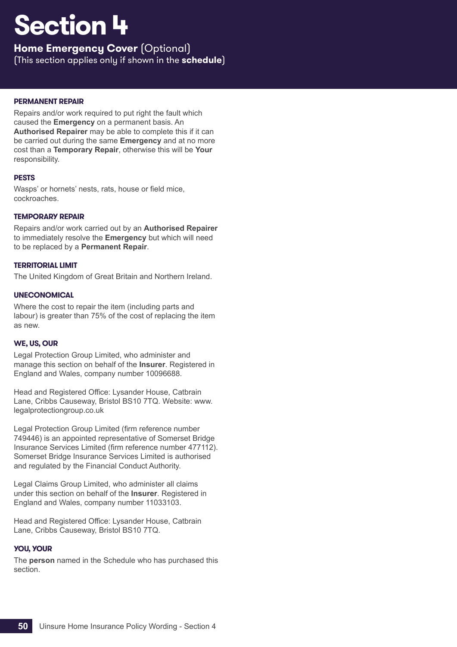**Home Emergency Cover** (Optional)

(This section applies only if shown in the **schedule**)

## **PERMANENT REPAIR**

Repairs and/or work required to put right the fault which caused the **Emergency** on a permanent basis. An **Authorised Repairer** may be able to complete this if it can be carried out during the same **Emergency** and at no more cost than a **Temporary Repair**, otherwise this will be **Your** responsibility.

## **PESTS**

Wasps' or hornets' nests, rats, house or field mice, cockroaches.

## **TEMPORARY REPAIR**

Repairs and/or work carried out by an **Authorised Repairer** to immediately resolve the **Emergency** but which will need to be replaced by a **Permanent Repair**.

## **TERRITORIAL LIMIT**

The United Kingdom of Great Britain and Northern Ireland.

### **UNECONOMICAL**

Where the cost to repair the item (including parts and labour) is greater than 75% of the cost of replacing the item as new.

## **WE, US, OUR**

Legal Protection Group Limited, who administer and manage this section on behalf of the **Insurer**. Registered in England and Wales, company number 10096688.

Head and Registered Office: Lysander House, Catbrain Lane, Cribbs Causeway, Bristol BS10 7TQ. Website: www. legalprotectiongroup.co.uk

Legal Protection Group Limited (firm reference number 749446) is an appointed representative of Somerset Bridge Insurance Services Limited (firm reference number 477112). Somerset Bridge Insurance Services Limited is authorised and regulated by the Financial Conduct Authority.

Legal Claims Group Limited, who administer all claims under this section on behalf of the **Insurer**. Registered in England and Wales, company number 11033103.

Head and Registered Office: Lysander House, Catbrain Lane, Cribbs Causeway, Bristol BS10 7TQ.

## **YOU, YOUR**

The **person** named in the Schedule who has purchased this section.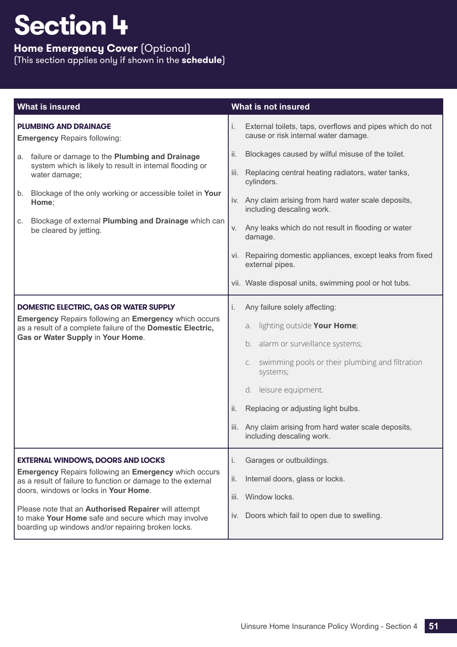## **Home Emergency Cover** (Optional)

| <b>What is insured</b>                                                                                                                                                                                                                                                                                                                                                                 | What is not insured                                                                                                                                                                                                                                                                                                                              |
|----------------------------------------------------------------------------------------------------------------------------------------------------------------------------------------------------------------------------------------------------------------------------------------------------------------------------------------------------------------------------------------|--------------------------------------------------------------------------------------------------------------------------------------------------------------------------------------------------------------------------------------------------------------------------------------------------------------------------------------------------|
| <b>PLUMBING AND DRAINAGE</b><br><b>Emergency Repairs following:</b>                                                                                                                                                                                                                                                                                                                    | i.<br>External toilets, taps, overflows and pipes which do not<br>cause or risk internal water damage.                                                                                                                                                                                                                                           |
| failure or damage to the Plumbing and Drainage<br>a.<br>system which is likely to result in internal flooding or<br>water damage;                                                                                                                                                                                                                                                      | ii.<br>Blockages caused by wilful misuse of the toilet.<br>Replacing central heating radiators, water tanks,<br>iii.                                                                                                                                                                                                                             |
| Blockage of the only working or accessible toilet in Your<br>b.<br>Home;                                                                                                                                                                                                                                                                                                               | cylinders.<br>iv. Any claim arising from hard water scale deposits,                                                                                                                                                                                                                                                                              |
| Blockage of external Plumbing and Drainage which can<br>C.<br>be cleared by jetting.                                                                                                                                                                                                                                                                                                   | including descaling work.<br>Any leaks which do not result in flooding or water<br>V.<br>damage.                                                                                                                                                                                                                                                 |
|                                                                                                                                                                                                                                                                                                                                                                                        | vi. Repairing domestic appliances, except leaks from fixed<br>external pipes.                                                                                                                                                                                                                                                                    |
|                                                                                                                                                                                                                                                                                                                                                                                        | vii. Waste disposal units, swimming pool or hot tubs.                                                                                                                                                                                                                                                                                            |
| DOMESTIC ELECTRIC, GAS OR WATER SUPPLY<br><b>Emergency Repairs following an Emergency which occurs</b><br>as a result of a complete failure of the Domestic Electric,<br>Gas or Water Supply in Your Home.                                                                                                                                                                             | Any failure solely affecting:<br>i.<br>lighting outside Your Home;<br>a.<br>b. alarm or surveillance systems;<br>c. swimming pools or their plumbing and filtration<br>systems;<br>d. leisure equipment.<br>ii.<br>Replacing or adjusting light bulbs.<br>Any claim arising from hard water scale deposits,<br>iii.<br>including descaling work. |
| <b>EXTERNAL WINDOWS, DOORS AND LOCKS</b><br><b>Emergency Repairs following an Emergency which occurs</b><br>as a result of failure to function or damage to the external<br>doors, windows or locks in Your Home.<br>Please note that an Authorised Repairer will attempt<br>to make Your Home safe and secure which may involve<br>boarding up windows and/or repairing broken locks. | Garages or outbuildings.<br>i.<br>ii.<br>Internal doors, glass or locks.<br>Window locks.<br>iii.<br>Doors which fail to open due to swelling.<br>iv.                                                                                                                                                                                            |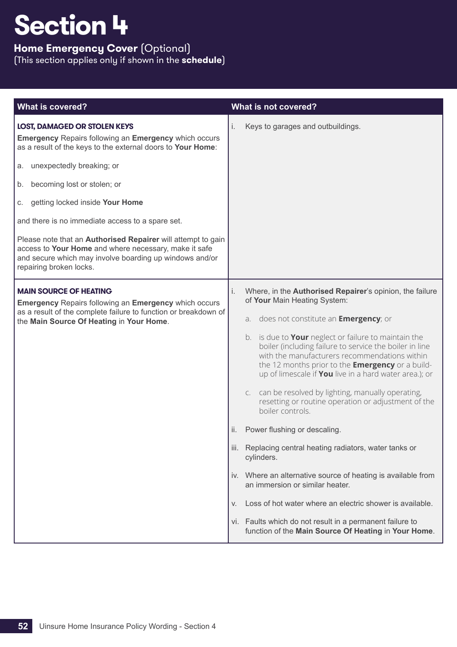## **Home Emergency Cover** (Optional)

| <b>What is covered?</b>                                                                                                                                                                                            | What is not covered?                                                                                                                                                                                                                                                                         |
|--------------------------------------------------------------------------------------------------------------------------------------------------------------------------------------------------------------------|----------------------------------------------------------------------------------------------------------------------------------------------------------------------------------------------------------------------------------------------------------------------------------------------|
| <b>LOST, DAMAGED OR STOLEN KEYS</b><br><b>Emergency Repairs following an Emergency which occurs</b><br>as a result of the keys to the external doors to Your Home:                                                 | i.<br>Keys to garages and outbuildings.                                                                                                                                                                                                                                                      |
| unexpectedly breaking; or<br>а.                                                                                                                                                                                    |                                                                                                                                                                                                                                                                                              |
| becoming lost or stolen; or<br>b.                                                                                                                                                                                  |                                                                                                                                                                                                                                                                                              |
| getting locked inside Your Home<br>C.                                                                                                                                                                              |                                                                                                                                                                                                                                                                                              |
| and there is no immediate access to a spare set.                                                                                                                                                                   |                                                                                                                                                                                                                                                                                              |
| Please note that an <b>Authorised Repairer</b> will attempt to gain<br>access to Your Home and where necessary, make it safe<br>and secure which may involve boarding up windows and/or<br>repairing broken locks. |                                                                                                                                                                                                                                                                                              |
| <b>MAIN SOURCE OF HEATING</b><br><b>Emergency Repairs following an Emergency which occurs</b><br>as a result of the complete failure to function or breakdown of<br>the Main Source Of Heating in Your Home.       | Where, in the Authorised Repairer's opinion, the failure<br>i.<br>of Your Main Heating System:                                                                                                                                                                                               |
|                                                                                                                                                                                                                    | a. does not constitute an <b>Emergency</b> ; or                                                                                                                                                                                                                                              |
|                                                                                                                                                                                                                    | b. is due to <b>Your</b> neglect or failure to maintain the<br>boiler (including failure to service the boiler in line<br>with the manufacturers recommendations within<br>the 12 months prior to the <b>Emergency</b> or a build-<br>up of limescale if You live in a hard water area.); or |
|                                                                                                                                                                                                                    | can be resolved by lighting, manually operating,<br>C.<br>resetting or routine operation or adjustment of the<br>boiler controls.                                                                                                                                                            |
|                                                                                                                                                                                                                    | Power flushing or descaling.<br>ii.                                                                                                                                                                                                                                                          |
|                                                                                                                                                                                                                    | Replacing central heating radiators, water tanks or<br>iii.<br>cylinders.                                                                                                                                                                                                                    |
|                                                                                                                                                                                                                    | Where an alternative source of heating is available from<br>iv.<br>an immersion or similar heater.                                                                                                                                                                                           |
|                                                                                                                                                                                                                    | Loss of hot water where an electric shower is available.<br>V.                                                                                                                                                                                                                               |
|                                                                                                                                                                                                                    | vi. Faults which do not result in a permanent failure to<br>function of the Main Source Of Heating in Your Home.                                                                                                                                                                             |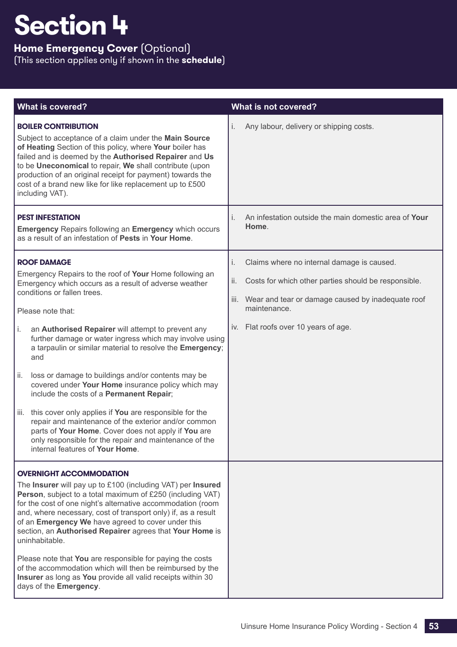## **Home Emergency Cover** (Optional)

| <b>What is covered?</b>                                                                                                                                                                                                                                                                                                                                                                                                                                                                                                                                                                                                                                                                                                                                                                                                            | What is not covered?                                                                                                                                                                                                                 |
|------------------------------------------------------------------------------------------------------------------------------------------------------------------------------------------------------------------------------------------------------------------------------------------------------------------------------------------------------------------------------------------------------------------------------------------------------------------------------------------------------------------------------------------------------------------------------------------------------------------------------------------------------------------------------------------------------------------------------------------------------------------------------------------------------------------------------------|--------------------------------------------------------------------------------------------------------------------------------------------------------------------------------------------------------------------------------------|
| <b>BOILER CONTRIBUTION</b><br>Subject to acceptance of a claim under the Main Source<br>of Heating Section of this policy, where Your boiler has<br>failed and is deemed by the Authorised Repairer and Us<br>to be Uneconomical to repair, We shall contribute (upon<br>production of an original receipt for payment) towards the<br>cost of a brand new like for like replacement up to £500<br>including VAT).                                                                                                                                                                                                                                                                                                                                                                                                                 | i.<br>Any labour, delivery or shipping costs.                                                                                                                                                                                        |
| <b>PEST INFESTATION</b><br><b>Emergency Repairs following an Emergency which occurs</b><br>as a result of an infestation of Pests in Your Home.                                                                                                                                                                                                                                                                                                                                                                                                                                                                                                                                                                                                                                                                                    | An infestation outside the main domestic area of Your<br>i.<br>Home.                                                                                                                                                                 |
| <b>ROOF DAMAGE</b><br>Emergency Repairs to the roof of Your Home following an<br>Emergency which occurs as a result of adverse weather<br>conditions or fallen trees.<br>Please note that:<br>an Authorised Repairer will attempt to prevent any<br>i.<br>further damage or water ingress which may involve using<br>a tarpaulin or similar material to resolve the Emergency;<br>and<br>ii.<br>loss or damage to buildings and/or contents may be<br>covered under Your Home insurance policy which may<br>include the costs of a Permanent Repair;<br>this cover only applies if You are responsible for the<br>iii.<br>repair and maintenance of the exterior and/or common<br>parts of Your Home. Cover does not apply if You are<br>only responsible for the repair and maintenance of the<br>internal features of Your Home. | i.<br>Claims where no internal damage is caused.<br>ii.<br>Costs for which other parties should be responsible.<br>Wear and tear or damage caused by inadequate roof<br>iii.<br>maintenance.<br>iv. Flat roofs over 10 years of age. |
| <b>OVERNIGHT ACCOMMODATION</b><br>The Insurer will pay up to £100 (including VAT) per Insured<br>Person, subject to a total maximum of £250 (including VAT)<br>for the cost of one night's alternative accommodation (room<br>and, where necessary, cost of transport only) if, as a result<br>of an Emergency We have agreed to cover under this<br>section, an Authorised Repairer agrees that Your Home is<br>uninhabitable.<br>Please note that You are responsible for paying the costs<br>of the accommodation which will then be reimbursed by the<br>Insurer as long as You provide all valid receipts within 30<br>days of the Emergency.                                                                                                                                                                                 |                                                                                                                                                                                                                                      |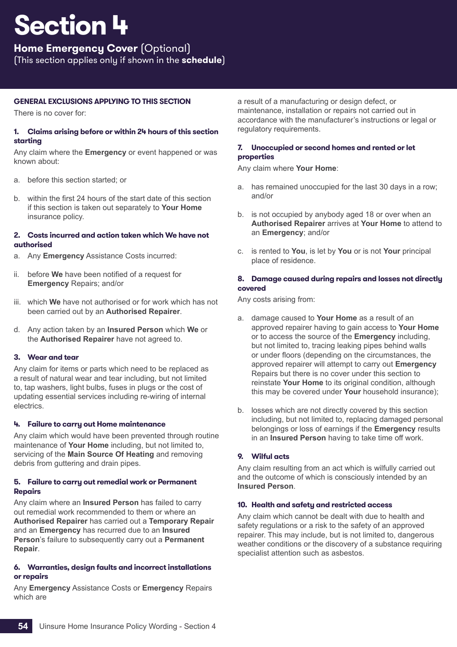**Home Emergency Cover** (Optional)

(This section applies only if shown in the **schedule**)

## **GENERAL EXCLUSIONS APPLYING TO THIS SECTION**

There is no cover for:

## **1. Claims arising before or within 24 hours of this section starting**

Any claim where the **Emergency** or event happened or was known about:

- a. before this section started; or
- b. within the first 24 hours of the start date of this section if this section is taken out separately to **Your Home** insurance policy.

## **2. Costs incurred and action taken which We have not authorised**

- a. Any **Emergency** Assistance Costs incurred:
- ii. before **We** have been notified of a request for **Emergency** Repairs; and/or
- iii. which **We** have not authorised or for work which has not been carried out by an **Authorised Repairer**.
- d. Any action taken by an **Insured Person** which **We** or the **Authorised Repairer** have not agreed to.

## **3. Wear and tear**

Any claim for items or parts which need to be replaced as a result of natural wear and tear including, but not limited to, tap washers, light bulbs, fuses in plugs or the cost of updating essential services including re-wiring of internal electrics.

## **4. Failure to carry out Home maintenance**

Any claim which would have been prevented through routine maintenance of **Your Home** including, but not limited to, servicing of the **Main Source Of Heating** and removing debris from guttering and drain pipes.

## **5. Failure to carry out remedial work or Permanent Repairs**

Any claim where an **Insured Person** has failed to carry out remedial work recommended to them or where an **Authorised Repairer** has carried out a **Temporary Repair** and an **Emergency** has recurred due to an **Insured Person**'s failure to subsequently carry out a **Permanent Repair**.

## **6. Warranties, design faults and incorrect installations or repairs**

Any **Emergency** Assistance Costs or **Emergency** Repairs which are

a result of a manufacturing or design defect, or maintenance, installation or repairs not carried out in accordance with the manufacturer's instructions or legal or regulatory requirements.

## **7. Unoccupied or second homes and rented or let properties**

Any claim where **Your Home**:

- a. has remained unoccupied for the last 30 days in a row; and/or
- b. is not occupied by anybody aged 18 or over when an **Authorised Repairer** arrives at **Your Home** to attend to an **Emergency**; and/or
- c. is rented to **You**, is let by **You** or is not **Your** principal place of residence.

## **8. Damage caused during repairs and losses not directly covered**

Any costs arising from:

- a. damage caused to **Your Home** as a result of an approved repairer having to gain access to **Your Home** or to access the source of the **Emergency** including, but not limited to, tracing leaking pipes behind walls or under floors (depending on the circumstances, the approved repairer will attempt to carry out **Emergency** Repairs but there is no cover under this section to reinstate **Your Home** to its original condition, although this may be covered under **Your** household insurance);
- b. losses which are not directly covered by this section including, but not limited to, replacing damaged personal belongings or loss of earnings if the **Emergency** results in an **Insured Person** having to take time off work.

## **9. Wilful acts**

Any claim resulting from an act which is wilfully carried out and the outcome of which is consciously intended by an **Insured Person**.

## **10. Health and safety and restricted access**

Any claim which cannot be dealt with due to health and safety regulations or a risk to the safety of an approved repairer. This may include, but is not limited to, dangerous weather conditions or the discovery of a substance requiring specialist attention such as asbestos.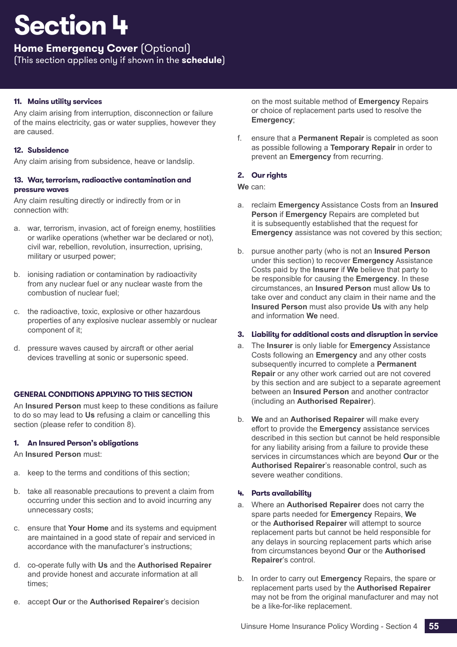## **Home Emergency Cover** (Optional)

(This section applies only if shown in the **schedule**)

## **11. Mains utility services**

Any claim arising from interruption, disconnection or failure of the mains electricity, gas or water supplies, however they are caused.

## **12. Subsidence**

Any claim arising from subsidence, heave or landslip.

### **13. War, terrorism, radioactive contamination and pressure waves**

Any claim resulting directly or indirectly from or in connection with:

- a. war, terrorism, invasion, act of foreign enemy, hostilities or warlike operations (whether war be declared or not), civil war, rebellion, revolution, insurrection, uprising, military or usurped power;
- b. ionising radiation or contamination by radioactivity from any nuclear fuel or any nuclear waste from the combustion of nuclear fuel;
- c. the radioactive, toxic, explosive or other hazardous properties of any explosive nuclear assembly or nuclear component of it;
- d. pressure waves caused by aircraft or other aerial devices travelling at sonic or supersonic speed.

## **GENERAL CONDITIONS APPLYING TO THIS SECTION**

An **Insured Person** must keep to these conditions as failure to do so may lead to **Us** refusing a claim or cancelling this section (please refer to condition 8).

## **1. An Insured Person's obligations**

An **Insured Person** must:

- a. keep to the terms and conditions of this section;
- b. take all reasonable precautions to prevent a claim from occurring under this section and to avoid incurring any unnecessary costs;
- c. ensure that **Your Home** and its systems and equipment are maintained in a good state of repair and serviced in accordance with the manufacturer's instructions;
- d. co-operate fully with **Us** and the **Authorised Repairer** and provide honest and accurate information at all times;
- e. accept **Our** or the **Authorised Repairer**'s decision

on the most suitable method of **Emergency** Repairs or choice of replacement parts used to resolve the **Emergency**;

f. ensure that a **Permanent Repair** is completed as soon as possible following a **Temporary Repair** in order to prevent an **Emergency** from recurring.

## **2. Our rights**

## **We** can:

- a. reclaim **Emergency** Assistance Costs from an **Insured Person** if **Emergency** Repairs are completed but it is subsequently established that the request for **Emergency** assistance was not covered by this section;
- b. pursue another party (who is not an **Insured Person** under this section) to recover **Emergency** Assistance Costs paid by the **Insurer** if **We** believe that party to be responsible for causing the **Emergency**. In these circumstances, an **Insured Person** must allow **Us** to take over and conduct any claim in their name and the **Insured Person** must also provide **Us** with any help and information **We** need.

## **3. Liability for additional costs and disruption in service**

- a. The **Insurer** is only liable for **Emergency** Assistance Costs following an **Emergency** and any other costs subsequently incurred to complete a **Permanent Repair** or any other work carried out are not covered by this section and are subject to a separate agreement between an **Insured Person** and another contractor (including an **Authorised Repairer**).
- b. **We** and an **Authorised Repairer** will make every effort to provide the **Emergency** assistance services described in this section but cannot be held responsible for any liability arising from a failure to provide these services in circumstances which are beyond **Our** or the **Authorised Repairer**'s reasonable control, such as severe weather conditions.

## **4. Parts availability**

- a. Where an **Authorised Repairer** does not carry the spare parts needed for **Emergency** Repairs, **We** or the **Authorised Repairer** will attempt to source replacement parts but cannot be held responsible for any delays in sourcing replacement parts which arise from circumstances beyond **Our** or the **Authorised Repairer**'s control.
- b. In order to carry out **Emergency** Repairs, the spare or replacement parts used by the **Authorised Repairer** may not be from the original manufacturer and may not be a like-for-like replacement.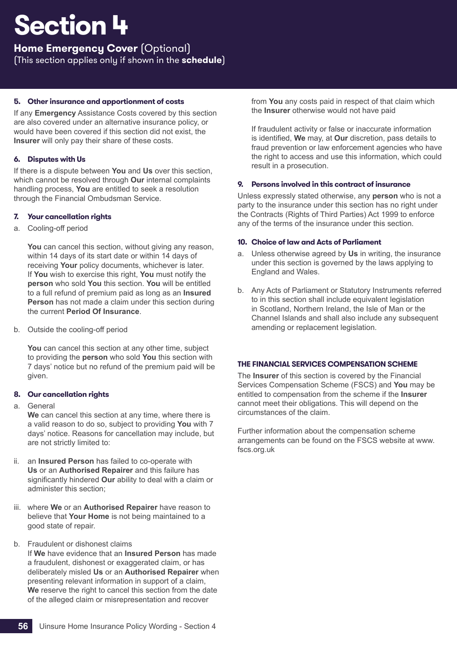## **Home Emergency Cover** (Optional)

(This section applies only if shown in the **schedule**)

## **5. Other insurance and apportionment of costs**

If any **Emergency** Assistance Costs covered by this section are also covered under an alternative insurance policy, or would have been covered if this section did not exist, the **Insurer** will only pay their share of these costs.

## **6. Disputes with Us**

If there is a dispute between **You** and **Us** over this section, which cannot be resolved through **Our** internal complaints handling process, **You** are entitled to seek a resolution through the Financial Ombudsman Service.

## <span id="page-57-0"></span>**7. Your cancellation rights**

a. Cooling-off period

You can cancel this section, without giving any reason, within 14 days of its start date or within 14 days of receiving **Your** policy documents, whichever is later. If **You** wish to exercise this right, **You** must notify the **person** who sold **You** this section. **You** will be entitled to a full refund of premium paid as long as an **Insured Person** has not made a claim under this section during the current **Period Of Insurance**.

b. Outside the cooling-off period

You can cancel this section at any other time, subject to providing the **person** who sold **You** this section with 7 days' notice but no refund of the premium paid will be given.

## **8. Our cancellation rights**

a. General

**We** can cancel this section at any time, where there is a valid reason to do so, subject to providing **You** with 7 days' notice. Reasons for cancellation may include, but are not strictly limited to:

- ii. an **Insured Person** has failed to co-operate with **Us** or an **Authorised Repairer** and this failure has significantly hindered **Our** ability to deal with a claim or administer this section;
- iii. where **We** or an **Authorised Repairer** have reason to believe that **Your Home** is not being maintained to a good state of repair.
- b. Fraudulent or dishonest claims

If **We** have evidence that an **Insured Person** has made a fraudulent, dishonest or exaggerated claim, or has deliberately misled **Us** or an **Authorised Repairer** when presenting relevant information in support of a claim, **We** reserve the right to cancel this section from the date of the alleged claim or misrepresentation and recover

from **You** any costs paid in respect of that claim which the **Insurer** otherwise would not have paid

If fraudulent activity or false or inaccurate information is identified, **We** may, at **Our** discretion, pass details to fraud prevention or law enforcement agencies who have the right to access and use this information, which could result in a prosecution.

## **9. Persons involved in this contract of insurance**

Unless expressly stated otherwise, any **person** who is not a party to the insurance under this section has no right under the Contracts (Rights of Third Parties) Act 1999 to enforce any of the terms of the insurance under this section.

## **10. Choice of law and Acts of Parliament**

- a. Unless otherwise agreed by **Us** in writing, the insurance under this section is governed by the laws applying to England and Wales.
- b. Any Acts of Parliament or Statutory Instruments referred to in this section shall include equivalent legislation in Scotland, Northern Ireland, the Isle of Man or the Channel Islands and shall also include any subsequent amending or replacement legislation.

## **THE FINANCIAL SERVICES COMPENSATION SCHEME**

The **Insurer** of this section is covered by the Financial Services Compensation Scheme (FSCS) and **You** may be entitled to compensation from the scheme if the **Insurer** cannot meet their obligations. This will depend on the circumstances of the claim.

Further information about the compensation scheme arrangements can be found on the FSCS website at www. fscs.org.uk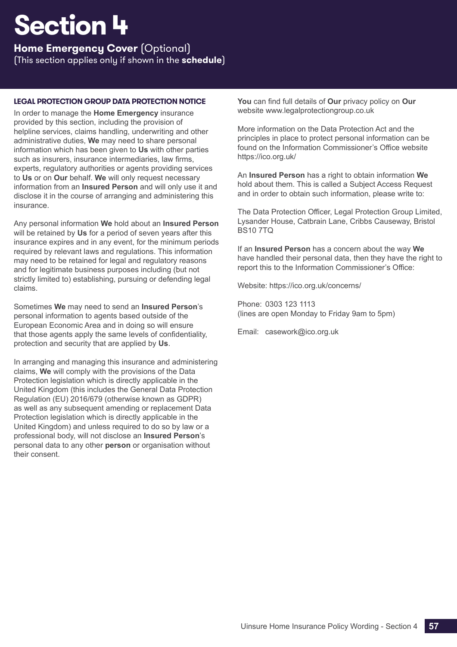**Home Emergency Cover** (Optional)

(This section applies only if shown in the **schedule**)

## **LEGAL PROTECTION GROUP DATA PROTECTION NOTICE**

In order to manage the **Home Emergency** insurance provided by this section, including the provision of helpline services, claims handling, underwriting and other administrative duties, **We** may need to share personal information which has been given to **Us** with other parties such as insurers, insurance intermediaries, law firms, experts, regulatory authorities or agents providing services to **Us** or on **Our** behalf. **We** will only request necessary information from an **Insured Person** and will only use it and disclose it in the course of arranging and administering this insurance.

Any personal information **We** hold about an **Insured Person** will be retained by **Us** for a period of seven years after this insurance expires and in any event, for the minimum periods required by relevant laws and regulations. This information may need to be retained for legal and regulatory reasons and for legitimate business purposes including (but not strictly limited to) establishing, pursuing or defending legal claims.

Sometimes **We** may need to send an **Insured Person**'s personal information to agents based outside of the European Economic Area and in doing so will ensure that those agents apply the same levels of confidentiality, protection and security that are applied by **Us**.

In arranging and managing this insurance and administering claims, **We** will comply with the provisions of the Data Protection legislation which is directly applicable in the United Kingdom (this includes the General Data Protection Regulation (EU) 2016/679 (otherwise known as GDPR) as well as any subsequent amending or replacement Data Protection legislation which is directly applicable in the United Kingdom) and unless required to do so by law or a professional body, will not disclose an **Insured Person**'s personal data to any other **person** or organisation without their consent.

**You** can find full details of **Our** privacy policy on **Our** website www.legalprotectiongroup.co.uk

More information on the Data Protection Act and the principles in place to protect personal information can be found on the Information Commissioner's Office website https://ico.org.uk/

An **Insured Person** has a right to obtain information **We** hold about them. This is called a Subject Access Request and in order to obtain such information, please write to:

The Data Protection Officer, Legal Protection Group Limited, Lysander House, Catbrain Lane, Cribbs Causeway, Bristol BS10 7TQ

If an **Insured Person** has a concern about the way **We** have handled their personal data, then they have the right to report this to the Information Commissioner's Office:

Website: https://ico.org.uk/concerns/

Phone: 0303 123 1113 (lines are open Monday to Friday 9am to 5pm)

Email: casework@ico.org.uk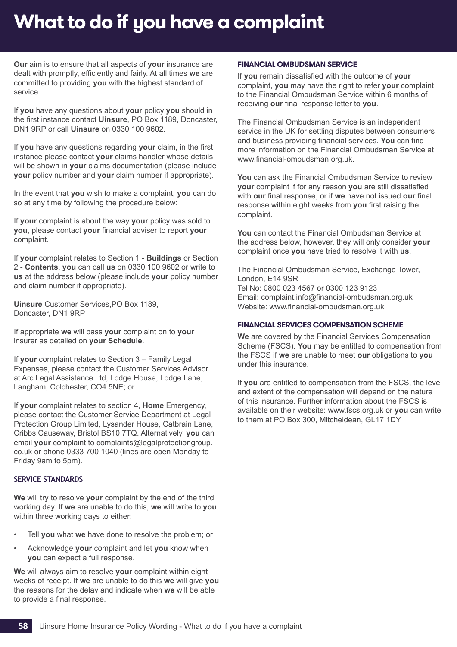## <span id="page-59-0"></span>**What to do if you have a complaint**

**Our** aim is to ensure that all aspects of **your** insurance are dealt with promptly, efficiently and fairly. At all times **we** are committed to providing **you** with the highest standard of service.

If **you** have any questions about **your** policy **you** should in the first instance contact **Uinsure**, PO Box 1189, Doncaster, DN1 9RP or call **Uinsure** on 0330 100 9602.

If **you** have any questions regarding **your** claim, in the first instance please contact **your** claims handler whose details will be shown in **your** claims documentation (please include **your** policy number and **your** claim number if appropriate).

In the event that **you** wish to make a complaint, **you** can do so at any time by following the procedure below:

If **your** complaint is about the way **your** policy was sold to **you**, please contact **your** financial adviser to report **your** complaint.

If **your** complaint relates to Section 1 - **Buildings** or Section 2 - **Contents**, **you** can call **us** on 0330 100 9602 or write to **us** at the address below (please include **your** policy number and claim number if appropriate).

**Uinsure** Customer Services,PO Box 1189, Doncaster, DN1 9RP

If appropriate **we** will pass **your** complaint on to **your** insurer as detailed on **your Schedule**.

If **your** complaint relates to Section 3 – Family Legal Expenses, please contact the Customer Services Advisor at Arc Legal Assistance Ltd, Lodge House, Lodge Lane, Langham, Colchester, CO4 5NE; or

If **your** complaint relates to section 4, **Home** Emergency, please contact the Customer Service Department at Legal Protection Group Limited, Lysander House, Catbrain Lane, Cribbs Causeway, Bristol BS10 7TQ. Alternatively, **you** can email **your** complaint to complaints@legalprotectiongroup. co.uk or phone 0333 700 1040 (lines are open Monday to Friday 9am to 5pm).

## **SERVICE STANDARDS**

**We** will try to resolve **your** complaint by the end of the third working day. If **we** are unable to do this, **we** will write to **you** within three working days to either:

- Tell **you** what **we** have done to resolve the problem; or
- Acknowledge **your** complaint and let **you** know when **you** can expect a full response.

**We** will always aim to resolve **your** complaint within eight weeks of receipt. If **we** are unable to do this **we** will give **you** the reasons for the delay and indicate when **we** will be able to provide a final response.

#### **FINANCIAL OMBUDSMAN SERVICE**

If **you** remain dissatisfied with the outcome of **your** complaint, **you** may have the right to refer **your** complaint to the Financial Ombudsman Service within 6 months of receiving **our** final response letter to **you**.

The Financial Ombudsman Service is an independent service in the UK for settling disputes between consumers and business providing financial services. **You** can find more information on the Financial Ombudsman Service at www.financial-ombudsman.org.uk.

**You** can ask the Financial Ombudsman Service to review **your** complaint if for any reason **you** are still dissatisfied with **our** final response, or if **we** have not issued **our** final response within eight weeks from **you** first raising the complaint.

**You** can contact the Financial Ombudsman Service at the address below, however, they will only consider **your** complaint once **you** have tried to resolve it with **us**.

The Financial Ombudsman Service, Exchange Tower, London, E14 9SR Tel No: 0800 023 4567 or 0300 123 9123 Email: complaint.info@financial-ombudsman.org.uk Website: www.financial-ombudsman.org.uk

### **FINANCIAL SERVICES COMPENSATION SCHEME**

**We** are covered by the Financial Services Compensation Scheme (FSCS). **You** may be entitled to compensation from the FSCS if **we** are unable to meet **our** obligations to **you** under this insurance.

<span id="page-59-1"></span>If **you** are entitled to compensation from the FSCS, the level and extent of the compensation will depend on the nature of this insurance. Further information about the FSCS is available on their website: www.fscs.org.uk or **you** can write to them at PO Box 300, Mitcheldean, GL17 1DY.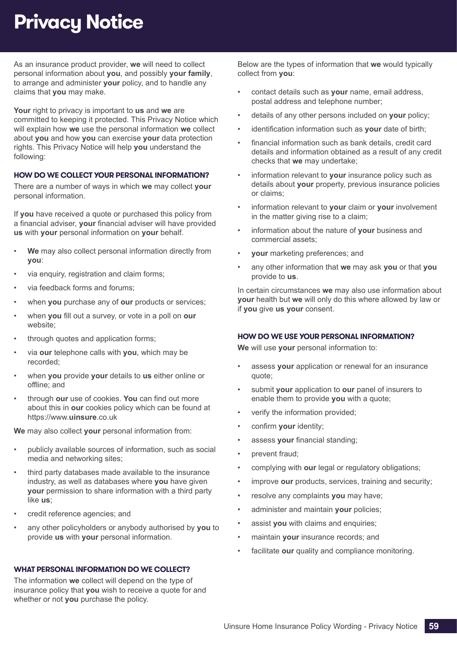## **Privacy Notice**

As an insurance product provider, **we** will need to collect personal information about **you**, and possibly **your family**, to arrange and administer **your** policy, and to handle any claims that **you** may make.

**Your** right to privacy is important to **us** and **we** are committed to keeping it protected. This Privacy Notice which will explain how **we** use the personal information **we** collect about **you** and how **you** can exercise **your** data protection rights. This Privacy Notice will help **you** understand the following:

## **HOW DO WE COLLECT YOUR PERSONAL INFORMATION?**

There are a number of ways in which **we** may collect **your** personal information.

If **you** have received a quote or purchased this policy from a financial adviser, **your** financial adviser will have provided **us** with **your** personal information on **your** behalf.

- **We** may also collect personal information directly from **you**:
- via enquiry, registration and claim forms;
- via feedback forms and forums;
- when **you** purchase any of **our** products or services;
- when **you** fill out a survey, or vote in a poll on **our** website;
- through quotes and application forms;
- via **our** telephone calls with **you**, which may be recorded;
- when **you** provide **your** details to **us** either online or offline; and
- through **our** use of cookies. **You** can find out more about this in **our** cookies policy which can be found at https://www.**uinsure**.co.uk

**We** may also collect **your** personal information from:

- publicly available sources of information, such as social media and networking sites;
- third party databases made available to the insurance industry, as well as databases where **you** have given **your** permission to share information with a third party like **us**;
- credit reference agencies; and
- any other policyholders or anybody authorised by **you** to provide **us** with **your** personal information.

## **WHAT PERSONAL INFORMATION DO WE COLLECT?**

The information **we** collect will depend on the type of insurance policy that **you** wish to receive a quote for and whether or not **you** purchase the policy.

Below are the types of information that **we** would typically collect from **you**:

- contact details such as **your** name, email address, postal address and telephone number;
- details of any other persons included on **your** policy;
- identification information such as **your** date of birth;
- financial information such as bank details, credit card details and information obtained as a result of any credit checks that **we** may undertake;
- information relevant to **your** insurance policy such as details about **your** property, previous insurance policies or claims;
- information relevant to **your** claim or **your** involvement in the matter giving rise to a claim;
- information about the nature of **your** business and commercial assets;
- **your** marketing preferences; and
- any other information that **we** may ask **you** or that **you** provide to **us**.

In certain circumstances **we** may also use information about **your** health but **we** will only do this where allowed by law or if **you** give **us your** consent.

## **HOW DO WE USE YOUR PERSONAL INFORMATION?**

**We** will use **your** personal information to:

- assess your application or renewal for an insurance quote;
- submit **your** application to **our** panel of insurers to enable them to provide **you** with a quote;
- verify the information provided;
- confirm **your** identity;
- assess **your** financial standing;
- prevent fraud;
- complying with **our** legal or regulatory obligations;
- improve **our** products, services, training and security;
- resolve any complaints you may have;
- administer and maintain **your** policies;
- assist **you** with claims and enquiries;
- maintain **your** insurance records; and
- facilitate **our** quality and compliance monitoring.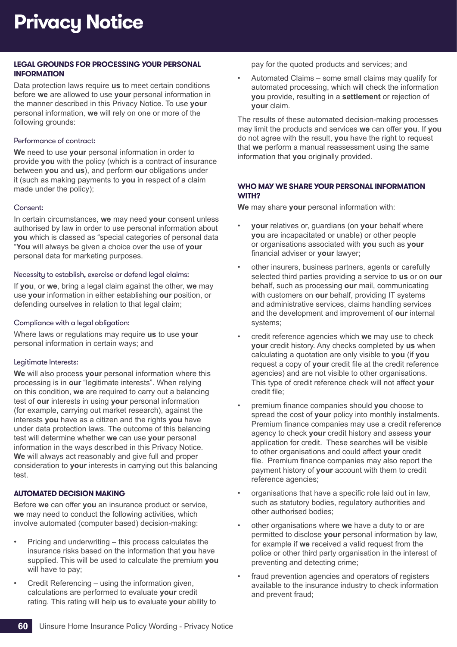## **LEGAL GROUNDS FOR PROCESSING YOUR PERSONAL INFORMATION**

Data protection laws require **us** to meet certain conditions before **we** are allowed to use **your** personal information in the manner described in this Privacy Notice. To use **your** personal information, **we** will rely on one or more of the following grounds:

### Performance of contract:

**We** need to use **your** personal information in order to provide **you** with the policy (which is a contract of insurance between **you** and **us**), and perform **our** obligations under it (such as making payments to **you** in respect of a claim made under the policy);

### Consent:

In certain circumstances, **we** may need **your** consent unless authorised by law in order to use personal information about **you** which is classed as "special categories of personal data "**You** will always be given a choice over the use of **your** personal data for marketing purposes.

### Necessity to establish, exercise or defend legal claims:

If **you**, or **we**, bring a legal claim against the other, **we** may use **your** information in either establishing **our** position, or defending ourselves in relation to that legal claim;

### Compliance with a legal obligation:

Where laws or regulations may require **us** to use **your** personal information in certain ways; and

## Legitimate Interests:

**We** will also process **your** personal information where this processing is in **our** "legitimate interests". When relying on this condition, **we** are required to carry out a balancing test of **our** interests in using **your** personal information (for example, carrying out market research), against the interests **you** have as a citizen and the rights **you** have under data protection laws. The outcome of this balancing test will determine whether **we** can use **your** personal information in the ways described in this Privacy Notice. **We** will always act reasonably and give full and proper consideration to **your** interests in carrying out this balancing test.

## **AUTOMATED DECISION MAKING**

Before **we** can offer **you** an insurance product or service, **we** may need to conduct the following activities, which involve automated (computer based) decision-making:

- Pricing and underwriting this process calculates the insurance risks based on the information that **you** have supplied. This will be used to calculate the premium **you** will have to pay;
- Credit Referencing using the information given, calculations are performed to evaluate **your** credit rating. This rating will help **us** to evaluate **your** ability to

pay for the quoted products and services; and

• Automated Claims – some small claims may qualify for automated processing, which will check the information **you** provide, resulting in a **settlement** or rejection of **your** claim.

The results of these automated decision-making processes may limit the products and services **we** can offer **you**. If **you** do not agree with the result, **you** have the right to request that **we** perform a manual reassessment using the same information that **you** originally provided.

### **WHO MAY WE SHARE YOUR PERSONAL INFORMATION WITH?**

**We** may share **your** personal information with:

- **your** relatives or, guardians (on **your** behalf where **you** are incapacitated or unable) or other people or organisations associated with **you** such as **your** financial adviser or **your** lawyer;
- other insurers, business partners, agents or carefully selected third parties providing a service to **us** or on **our** behalf, such as processing **our** mail, communicating with customers on **our** behalf, providing IT systems and administrative services, claims handling services and the development and improvement of **our** internal systems;
- credit reference agencies which **we** may use to check **your** credit history. Any checks completed by **us** when calculating a quotation are only visible to **you** (if **you** request a copy of **your** credit file at the credit reference agencies) and are not visible to other organisations. This type of credit reference check will not affect **your** credit file;
- premium finance companies should **you** choose to spread the cost of **your** policy into monthly instalments. Premium finance companies may use a credit reference agency to check **your** credit history and assess **your** application for credit. These searches will be visible to other organisations and could affect **your** credit file. Premium finance companies may also report the payment history of **your** account with them to credit reference agencies;
- organisations that have a specific role laid out in law, such as statutory bodies, regulatory authorities and other authorised bodies;
- other organisations where **we** have a duty to or are permitted to disclose **your** personal information by law, for example if **we** received a valid request from the police or other third party organisation in the interest of preventing and detecting crime;
- fraud prevention agencies and operators of registers available to the insurance industry to check information and prevent fraud;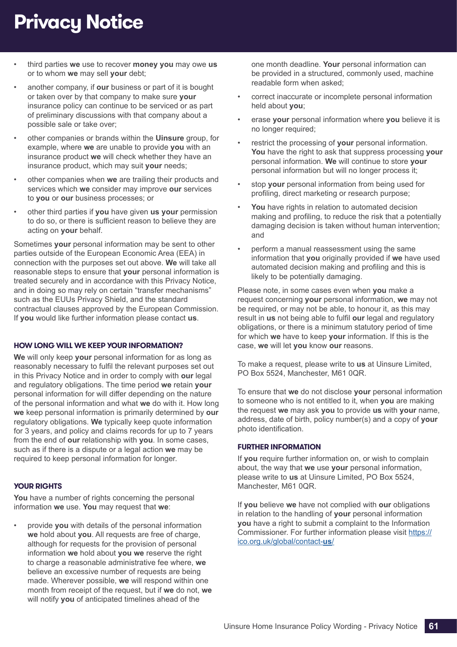## **Privacy Notice**

- third parties **we** use to recover **money you** may owe **us** or to whom **we** may sell **your** debt;
- another company, if **our** business or part of it is bought or taken over by that company to make sure **your** insurance policy can continue to be serviced or as part of preliminary discussions with that company about a possible sale or take over;
- other companies or brands within the **Uinsure** group, for example, where **we** are unable to provide **you** with an insurance product **we** will check whether they have an insurance product, which may suit **your** needs;
- other companies when **we** are trailing their products and services which **we** consider may improve **our** services to **you** or **our** business processes; or
- other third parties if **you** have given **us your** permission to do so, or there is sufficient reason to believe they are acting on **your** behalf.

Sometimes **your** personal information may be sent to other parties outside of the European Economic Area (EEA) in connection with the purposes set out above. **We** will take all reasonable steps to ensure that **your** personal information is treated securely and in accordance with this Privacy Notice, and in doing so may rely on certain "transfer mechanisms" such as the EUUs Privacy Shield, and the standard contractual clauses approved by the European Commission. If **you** would like further information please contact **us**.

#### **HOW LONG WILL WE KEEP YOUR INFORMATION?**

**We** will only keep **your** personal information for as long as reasonably necessary to fulfil the relevant purposes set out in this Privacy Notice and in order to comply with **our** legal and regulatory obligations. The time period **we** retain **your** personal information for will differ depending on the nature of the personal information and what **we** do with it. How long **we** keep personal information is primarily determined by **our** regulatory obligations. **We** typically keep quote information for 3 years, and policy and claims records for up to 7 years from the end of **our** relationship with **you**. In some cases, such as if there is a dispute or a legal action **we** may be required to keep personal information for longer.

## **YOUR RIGHTS**

**You** have a number of rights concerning the personal information **we** use. **You** may request that **we**:

• provide **you** with details of the personal information **we** hold about **you**. All requests are free of charge, although for requests for the provision of personal information **we** hold about **you we** reserve the right to charge a reasonable administrative fee where, **we** believe an excessive number of requests are being made. Wherever possible, **we** will respond within one month from receipt of the request, but if **we** do not, **we** will notify **you** of anticipated timelines ahead of the

one month deadline. **Your** personal information can be provided in a structured, commonly used, machine readable form when asked;

- correct inaccurate or incomplete personal information held about **you**;
- erase **your** personal information where **you** believe it is no longer required;
- restrict the processing of **your** personal information. **You** have the right to ask that suppress processing **your** personal information. **We** will continue to store **your** personal information but will no longer process it;
- stop **your** personal information from being used for profiling, direct marketing or research purpose;
- You have rights in relation to automated decision making and profiling, to reduce the risk that a potentially damaging decision is taken without human intervention; and
- perform a manual reassessment using the same information that **you** originally provided if **we** have used automated decision making and profiling and this is likely to be potentially damaging.

Please note, in some cases even when **you** make a request concerning **your** personal information, **we** may not be required, or may not be able, to honour it, as this may result in **us** not being able to fulfil **our** legal and regulatory obligations, or there is a minimum statutory period of time for which **we** have to keep **your** information. If this is the case, **we** will let **you** know **our** reasons.

To make a request, please write to **us** at Uinsure Limited, PO Box 5524, Manchester, M61 0QR.

To ensure that **we** do not disclose **your** personal information to someone who is not entitled to it, when **you** are making the request **we** may ask **you** to provide **us** with **your** name, address, date of birth, policy number(s) and a copy of **your** photo identification.

## **FURTHER INFORMATION**

If **you** require further information on, or wish to complain about, the way that **we** use **your** personal information, please write to **us** at Uinsure Limited, PO Box 5524, Manchester, M61 0QR.

If **you** believe **we** have not complied with **our** obligations in relation to the handling of **your** personal information **you** have a right to submit a complaint to the Information Commissioner. For further information please visit https:// ico.org.uk/global/contact-**us**/